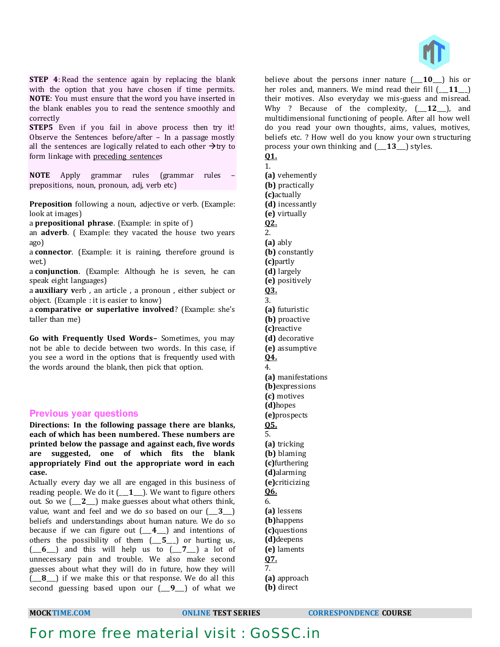

**STEP 4**: Read the sentence again by replacing the blank with the option that you have chosen if time permits. **NOTE**: You must ensure that the word you have inserted in the blank enables you to read the sentence smoothly and correctly

**STEP5** Even if you fail in above process then try it! Observe the Sentences before/after – In a passage mostly all the sentences are logically related to each other  $\rightarrow$ try to form linkage with preceding sentences

**NOTE** Apply grammar rules (grammar rules – prepositions, noun, pronoun, adj, verb etc)

**Preposition** following a noun, adjective or verb. (Example: look at images)

a **prepositional phrase**. (Example: in spite of )

an **adverb**. ( Example: they vacated the house two years ago)

a **connector**. (Example: it is raining, therefore ground is wet.)

a **conjunction**. (Example: Although he is seven, he can speak eight languages)

a **auxiliary v**erb , an article , a pronoun , either subject or object. (Example : it is easier to know)

a **comparative or superlative involved**? (Example: she's taller than me)

**Go with Frequently Used Words–** Sometimes, you may not be able to decide between two words. In this case, if you see a word in the options that is frequently used with the words around the blank, then pick that option.

### Previous year questions

**Directions: In the following passage there are blanks, each of which has been numbered. These numbers are printed below the passage and against each, five words are suggested, one of which fits the blank appropriately Find out the appropriate word in each case.** 

Actually every day we all are engaged in this business of reading people. We do it (\_\_\_**1**\_\_\_). We want to figure others out. So we (\_\_\_**2**\_\_\_) make guesses about what others think, value, want and feel and we do so based on our (\_\_\_**3**\_\_\_) beliefs and understandings about human nature. We do so because if we can figure out (\_\_\_**4**\_\_\_) and intentions of others the possibility of them (\_\_\_**5**\_\_\_) or hurting us, (\_\_\_**6**\_\_\_) and this will help us to (\_\_\_**7**\_\_\_) a lot of unnecessary pain and trouble. We also make second guesses about what they will do in future, how they will (\_\_\_**8**\_\_\_) if we make this or that response. We do all this second guessing based upon our (\_\_\_**9**\_\_\_) of what we

believe about the persons inner nature (\_\_\_**10**\_\_\_) his or her roles and, manners. We mind read their fill (\_\_\_**11**\_\_\_) their motives. Also everyday we mis-guess and misread. Why ? Because of the complexity, (\_\_\_**12**\_\_\_), and multidimensional functioning of people. After all how well do you read your own thoughts, aims, values, motives, beliefs etc. ? How well do you know your own structuring process your own thinking and (\_\_\_**13**\_\_\_) styles.

| . . |  |
|-----|--|

1. **(a)** vehemently **(b)** practically **(c)**actually **(d)** incessantly **(e)** virtually **Q2.** 2. **(a)** ably **(b)** constantly **(c)**partly **(d)** largely **(e)** positively **Q3.** 3. **(a)** futuristic **(b)** proactive **(c)**reactive **(d)** decorative **(e)** assumptive **Q4.** 4. **(a)** manifestations **(b)**expressions **(c)** motives **(d)**hopes **(e)**prospects **Q5.** 5. **(a)** tricking **(b)** blaming **(c)**furthering **(d)**alarming **(e)**criticizing **Q6.** 6. **(a)** lessens **(b)**happens **(c)**questions **(d)**deepens **(e)** laments **Q7.** 7. **(a)** approach **(b)** direct

**MOCKTIME.COM ONLINE TEST SERIES CORRESPONDENCE COURSE**

# For more free material visit : GoSSC.in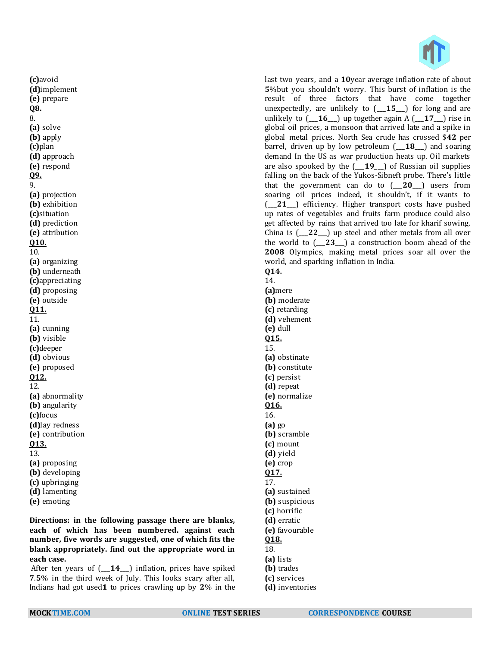

last two years, and a **10**year average inflation rate of about **5**%but you shouldn't worry. This burst of inflation is the result of three factors that have come together unexpectedly, are unlikely to (\_\_\_**15**\_\_\_) for long and are unlikely to  $(-16)$  up together again A  $(-17)$  rise in global oil prices, a monsoon that arrived late and a spike in global metal prices. North Sea crude has crossed \$**42** per barrel, driven up by low petroleum (\_\_\_**18**\_\_\_) and soaring demand In the US as war production heats up. Oil markets are also spooked by the (\_\_\_**19**\_\_\_) of Russian oil supplies falling on the back of the Yukos-Sibneft probe. There's little that the government can do to (\_\_\_**20**\_\_\_) users from soaring oil prices indeed, it shouldn't, if it wants to (\_\_\_**21**\_\_\_) efficiency. Higher transport costs have pushed up rates of vegetables and fruits farm produce could also get affected by rains that arrived too late for kharif sowing. China is (\_\_\_**22**\_\_\_) up steel and other metals from all over the world to (\_\_\_**23**\_\_\_) a construction boom ahead of the **2008** Olympics, making metal prices soar all over the world, and sparking inflation in India. **Q14.**

14. **(a)**mere **(b)** moderate **(c)** retarding **(d)** vehement **(e)** dull **Q15.** 15. **(a)** obstinate **(b)** constitute **(c)** persist **(d)** repeat **(e)** normalize **Q16.** 16. **(a)** go **(b)** scramble **(c)** mount **(d)** yield **(e)** crop **Q17.** 17. **(a)** sustained **(b)** suspicious **(c)** horrific **(d)** erratic **(e)** favourable

- **Q18.**
- 18.
- **(a)** lists
- **(b)** trades
- **(c)** services
- **(d)** inventories

**(c)**avoid **(d)**implement **(e)** prepare **Q8.** 8. **(a)** solve **(b)** apply **(c)**plan **(d)** approach **(e)** respond **Q9.** 9. **(a)** projection **(b)** exhibition **(c)**situation **(d)** prediction **(e)** attribution **Q10.** 10. **(a)** organizing **(b)** underneath **(c)**appreciating **(d)** proposing **(e)** outside **Q11.** 11. **(a)** cunning **(b)** visible **(c)**deeper **(d)** obvious **(e)** proposed **Q12.** 12. **(a)** abnormality **(b)** angularity **(c)**focus **(d)**lay redness **(e)** contribution **Q13.** 13. **(a)** proposing **(b)** developing **(c)** upbringing **(d)** lamenting **(e)** emoting

**Directions: in the following passage there are blanks, each of which has been numbered. against each number, five words are suggested, one of which fits the blank appropriately. find out the appropriate word in each case.**

After ten years of (\_\_\_**14**\_\_\_) inflation, prices have spiked **7**.**5**% in the third week of July. This looks scary after all, Indians had got used**1** to prices crawling up by **2**% in the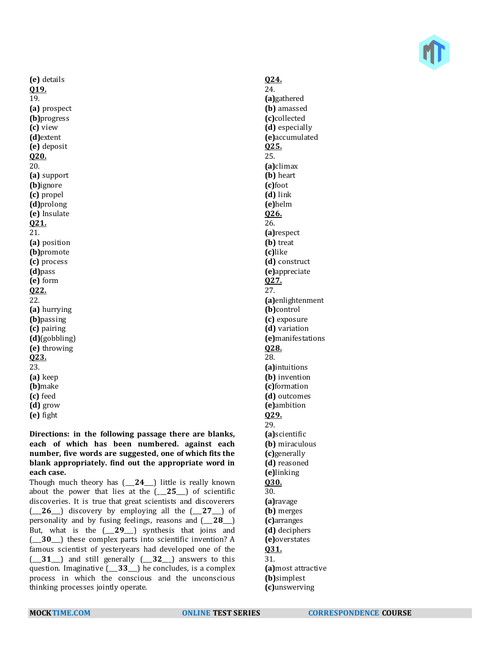**(e)** details **Q19.** 19. **(a)** prospect **(b)**progress **(c)** view **(d)**extent **(e)** deposit **Q20.** 20. **(a)** support **(b)**ignore **(c)** propel **(d)**prolong **(e)** Insulate **Q21.** 21. **(a)** position **(b)**promote **(c)** process **(d)**pass **(e)** form **Q22.** 22. **(a)** hurrying **(b)**passing **(c)** pairing **(d)**(gobbling) **(e)** throwing **Q23.** 23. **(a)** keep **(b)**make **(c)** feed **(d)** grow **(e)** fight

**Directions: in the following passage there are blanks, each of which has been numbered. against each number, five words are suggested, one of which fits the blank appropriately. find out the appropriate word in each case.**

Though much theory has (\_\_\_**24**\_\_\_) little is really known about the power that lies at the (\_\_\_**25**\_\_\_) of scientific discoveries. It is true that great scientists and discoverers (\_\_\_**26**\_\_\_) discovery by employing all the (\_\_\_**27**\_\_\_) of personality and by fusing feelings, reasons and (\_\_\_**28**\_\_\_) But, what is the (\_\_\_**29**\_\_\_) synthesis that joins and (\_\_\_**30**\_\_\_) these complex parts into scientific invention? A famous scientist of yesteryears had developed one of the (\_\_\_**31**\_\_\_) and still generally (\_\_\_**32**\_\_\_) answers to this question. Imaginative (\_\_\_**33**\_\_\_) he concludes, is a complex process in which the conscious and the unconscious thinking processes jointly operate.

### **Q24.** 24. **(a)**gathered **(b)** amassed **(c)**collected **(d)** especially **(e)**accumulated **Q25.** 25. **(a)**climax **(b)** heart **(c)**foot **(d)** link **(e)**helm **Q26.** 26. **(a)**respect **(b)** treat **(c)**like **(d)** construct **(e)**appreciate **Q27.** 27. **(a)**enlightenment **(b)**control **(c)** exposure **(d)** variation **(e)**manifestations **Q28.** 28. **(a)**intuitions **(b)** invention **(c)**formation **(d)** outcomes **(e)**ambition **Q29.** 29. **(a)**scientific **(b)** miraculous **(c)**generally **(d)** reasoned **(e)**linking **Q30.** 30. **(a)**ravage **(b)** merges **(c)**arranges **(d)** deciphers **(e)**overstates **Q31.** 31. **(a)**most attractive **(b)**simplest

**(c)**unswerving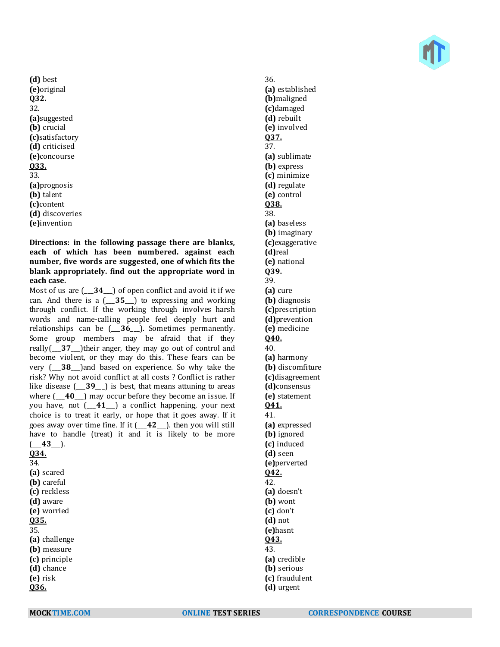**(d)** best **(e)**original **Q32.** 32. **(a)**suggested **(b)** crucial **(c)**satisfactory **(d)** criticised **(e)**concourse **Q33.** 33. **(a)**prognosis **(b)** talent **(c)**content **(d)** discoveries **(e)**invention

**Directions: in the following passage there are blanks, each of which has been numbered. against each number, five words are suggested, one of which fits the blank appropriately. find out the appropriate word in each case.**

Most of us are (\_\_\_**34**\_\_\_) of open conflict and avoid it if we can. And there is a (\_\_\_**35**\_\_\_) to expressing and working through conflict. If the working through involves harsh words and name-calling people feel deeply hurt and relationships can be (\_\_\_**36**\_\_\_). Sometimes permanently. Some group members may be afraid that if they really(\_\_\_**37**\_\_\_)their anger, they may go out of control and become violent, or they may do this. These fears can be very (\_\_\_**38**\_\_\_)and based on experience. So why take the risk? Why not avoid conflict at all costs ? Conflict is rather like disease (\_\_\_**39**\_\_\_) is best, that means attuning to areas where  $(-40)$  may occur before they become an issue. If you have, not (\_\_\_**41**\_\_\_) a conflict happening, your next choice is to treat it early, or hope that it goes away. If it goes away over time fine. If it (\_\_\_**42**\_\_\_). then you will still have to handle (treat) it and it is likely to be more  $(-43)$ . **Q34.** 34. **(a)** scared **(b)** careful **(c)** reckless **(d)** aware **(e)** worried **Q35.** 35. **(a)** challenge **(b)** measure **(c)** principle **(d)** chance **(e)** risk **Q36.**

36. **(a)** established **(b)**maligned **(c)**damaged **(d)** rebuilt **(e)** involved **Q37.** 37. **(a)** sublimate **(b)** express **(c)** minimize **(d)** regulate **(e)** control **Q38.** 38. **(a)** baseless **(b)** imaginary **(c)**exaggerative **(d)**real **(e)** national **Q39.** 39. **(a)** cure **(b)** diagnosis **(c)**prescription **(d)**prevention **(e)** medicine **Q40.** 40. **(a)** harmony **(b)** discomfiture **(c)**disagreement **(d)**consensus **(e)** statement **Q41.** 41. **(a)** expressed **(b)** ignored **(c)** induced **(d)** seen **(e)**perverted **Q42.** 42. **(a)** doesn't **(b)** wont **(c)** don't **(d)** not **(e)**hasnt **Q43.** 43. **(a)** credible **(b)** serious **(c)** fraudulent **(d)** urgent

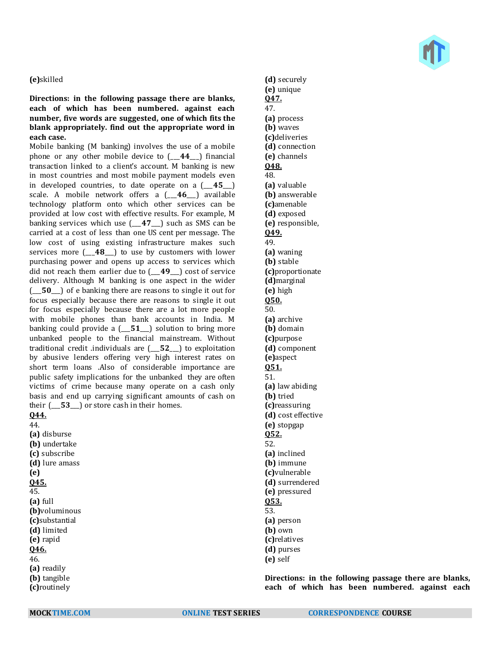#### **(e)**skilled

### **Directions: in the following passage there are blanks, each of which has been numbered. against each number, five words are suggested, one of which fits the blank appropriately. find out the appropriate word in each case.**

Mobile banking (M banking) involves the use of a mobile phone or any other mobile device to (\_\_\_**44**\_\_\_) financial transaction linked to a client's account. M banking is new in most countries and most mobile payment models even in developed countries, to date operate on a (\_\_\_**45**\_\_\_) scale. A mobile network offers a (\_\_\_**46**\_\_\_) available technology platform onto which other services can be provided at low cost with effective results. For example, M banking services which use (\_\_\_**47**\_\_\_) such as SMS can be carried at a cost of less than one US cent per message. The low cost of using existing infrastructure makes such services more (\_\_\_**48**\_\_\_) to use by customers with lower purchasing power and opens up access to services which did not reach them earlier due to  $(49)$  cost of service delivery. Although M banking is one aspect in the wider (\_\_\_**50**\_\_\_) of e banking there are reasons to single it out for focus especially because there are reasons to single it out for focus especially because there are a lot more people with mobile phones than bank accounts in India. M banking could provide a (\_\_\_**51**\_\_\_) solution to bring more unbanked people to the financial mainstream. Without traditional credit .individuals are (\_\_\_**52**\_\_\_) to exploitation by abusive lenders offering very high interest rates on short term loans .Also of considerable importance are public safety implications for the unbanked they are often victims of crime because many operate on a cash only basis and end up carrying significant amounts of cash on their (\_\_\_**53**\_\_\_) or store cash in their homes. **Q44.**

44. **(a)** disburse **(b)** undertake **(c)** subscribe **(d)** lure amass **(e) Q45.** 45. **(a)** full **(b)**voluminous **(c)**substantial **(d)** limited **(e)** rapid **Q46.** 46. **(a)** readily **(b)** tangible **(c)**routinely



**(d)** securely **(e)** unique **Q47.** 47. **(a)** process **(b)** waves **(c)**deliveries **(d)** connection **(e)** channels **Q48.** 48. **(a)** valuable **(b)** answerable **(c)**amenable **(d)** exposed **(e)** responsible, **Q49.** 49. **(a)** waning **(b)** stable **(c)**proportionate **(d)**marginal **(e)** high **Q50.** 50. **(a)** archive **(b)** domain **(c)**purpose **(d)** component **(e)**aspect **Q51.** 51. **(a)** law abiding **(b)** tried **(c)**reassuring **(d)** cost effective **(e)** stopgap **Q52.** 52. **(a)** inclined **(b)** immune **(c)**vulnerable **(d)** surrendered **(e)** pressured **Q53.** 53. **(a)** person **(b)** own **(c)**relatives **(d)** purses **(e)** self

**Directions: in the following passage there are blanks, each of which has been numbered. against each**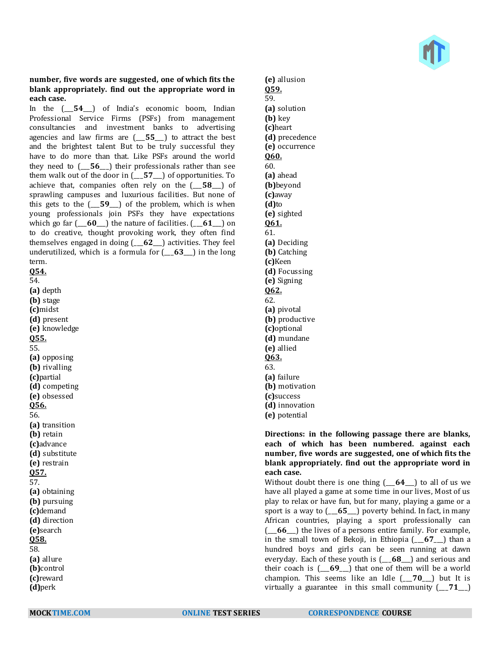#### **number, five words are suggested, one of which fits the blank appropriately. find out the appropriate word in each case.**

In the (\_\_\_**54**\_\_\_) of India's economic boom, Indian Professional Service Firms (PSFs) from management consultancies and investment banks to advertising agencies and law firms are (\_\_\_**55**\_\_\_) to attract the best and the brightest talent But to be truly successful they have to do more than that. Like PSFs around the world they need to (\_\_\_**56**\_\_\_) their professionals rather than see them walk out of the door in (\_\_\_**57**\_\_\_) of opportunities. To achieve that, companies often rely on the (\_\_\_**58**\_\_\_) of sprawling campuses and luxurious facilities. But none of this gets to the (\_\_\_**59**\_\_\_) of the problem, which is when young professionals join PSFs they have expectations which go far (\_\_\_**60**\_\_\_) the nature of facilities. (\_\_\_**61**\_\_\_) on to do creative, thought provoking work, they often find themselves engaged in doing (\_\_\_**62**\_\_\_) activities. They feel underutilized, which is a formula for (\_\_\_**63**\_\_\_) in the long term. **Q54.**

54. **(a)** depth

**(b)** stage **(c)**midst **(d)** present **(e)** knowledge **Q55.** 55. **(a)** opposing **(b)** rivalling **(c)**partial **(d)** competing **(e)** obsessed **Q56.** 56. **(a)** transition **(b)** retain **(c)**advance **(d)** substitute **(e)** restrain **Q57.** 57. **(a)** obtaining **(b)** pursuing **(c)**demand **(d)** direction **(e)**search **Q58.** 58. **(a)** allure **(b)**control **(c)**reward **(d)**perk

**(e)** allusion **Q59.** 59. **(a)** solution **(b)** key **(c)**heart **(d)** precedence **(e)** occurrence **Q60.** 60. **(a)** ahead **(b)**beyond **(c)**away **(d)**to **(e)** sighted **Q61.** 61. **(a)** Deciding **(b)** Catching **(c)**Keen **(d)** Focussing **(e)** Signing **Q62.** 62. **(a)** pivotal **(b)** productive **(c)**optional **(d)** mundane **(e)** allied **Q63.** 63. **(a)** failure **(b)** motivation **(c)**success **(d)** innovation **(e)** potential

### **Directions: in the following passage there are blanks, each of which has been numbered. against each number, five words are suggested, one of which fits the blank appropriately. find out the appropriate word in each case.**

Without doubt there is one thing (\_\_\_**64**\_\_\_) to all of us we have all played a game at some time in our lives, Most of us play to relax or have fun, but for many, playing a game or a sport is a way to (\_\_\_**65**\_\_\_) poverty behind. In fact, in many African countries, playing a sport professionally can (\_\_\_**66**\_\_\_) the lives of a persons entire family. For example, in the small town of Bekoji, in Ethiopia (\_\_\_**67**\_\_\_) than a hundred boys and girls can be seen running at dawn everyday. Each of these youth is (\_\_\_**68**\_\_\_) and serious and their coach is (\_\_\_**69**\_\_\_) that one of them will be a world champion. This seems like an Idle (\_\_\_**70**\_\_\_) but It is virtually a guarantee in this small community (\_\_\_**71**\_\_\_)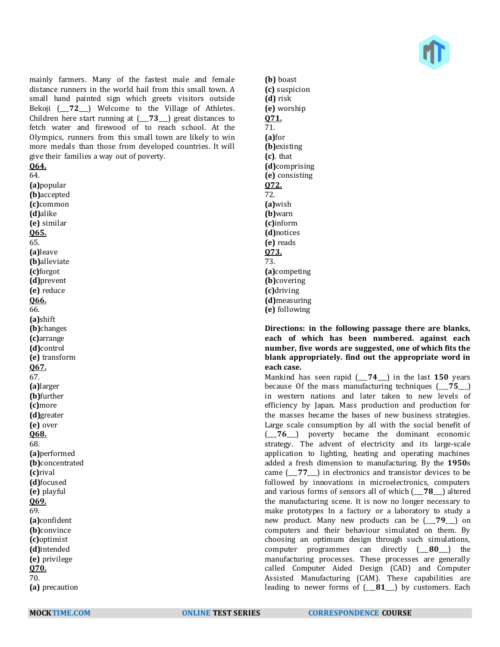

mainly farmers. Many of the fastest male and female distance runners in the world hail from this small town. A small hand painted sign which greets visitors outside Bekoji (\_\_\_**72**\_\_\_) Welcome to the Village of Athletes. Children here start running at (\_\_\_**73**\_\_\_) great distances to fetch water and firewood of to reach school. At the Olympics, runners from this small town are likely to win more medals than those from developed countries. It will give their families a way out of poverty.

**Q64.**

64. **(a)**popular **(b)**accepted **(c)**common **(d)**alike **(e)** similar **Q65.** 65. **(a)**leave **(b)**alleviate **(c)**forgot **(d)**prevent **(e)** reduce **Q66.** 66. **(a)**shift **(b)**changes **(c)**arrange **(d)**control **(e)** transform **Q67.** 67. **(a)**larger **(b)**further **(c)**more **(d)**greater **(e)** over **Q68.** 68. **(a)**performed **(b)**concentrated **(c)**rival **(d)**focused **(e)** playful **Q69.** 69. **(a)**confident **(b)**convince **(c)**optimist **(d)**intended **(e)** privilege **Q70.** 70. **(a)** precaution

**(b)** boast **(c)** suspicion **(d)** risk **(e)** worship **Q71.** 71. **(a)**for **(b)**existing **(c)**. that **(d)**comprising **(e)** consisting **Q72.** 72. **(a)**wish **(b)**warn **(c)**inform **(d)**notices **(e)** reads **Q73.** 73. **(a)**competing **(b)**covering **(c)**driving **(d)**measuring **(e)** following

**Directions: in the following passage there are blanks, each of which has been numbered. against each number, five words are suggested, one of which fits the blank appropriately. find out the appropriate word in each case.**

Mankind has seen rapid (\_\_\_**74**\_\_\_) in the last **150** years because Of the mass manufacturing techniques (\_\_\_**75**\_\_\_) in western nations and later taken to new levels of efficiency by Japan. Mass production and production for the masses became the bases of new business strategies. Large scale consumption by all with the social benefit of (\_\_\_**76**\_\_\_) poverty became the dominant economic strategy. The advent of electricity and its large-scale application to lighting, heating and operating machines added a fresh dimension to manufacturing. By the **1950**s came (\_\_\_**77**\_\_\_) in electronics and transistor devices to be followed by innovations in microelectronics, computers and various forms of sensors all of which (\_\_\_**78**\_\_\_) altered the manufacturing scene. It is now no longer necessary to make prototypes In a factory or a laboratory to study a new product. Many new products can be (\_\_\_**79**\_\_\_) on computers and their behaviour simulated on them. By choosing an optimum design through such simulations, computer programmes can directly (\_\_\_**80**\_\_\_) the manufacturing processes. These processes are generally called Computer Aided Design (CAD) and Computer Assisted Manufacturing (CAM). These capabilities are leading to newer forms of (\_\_\_**81**\_\_\_) by customers. Each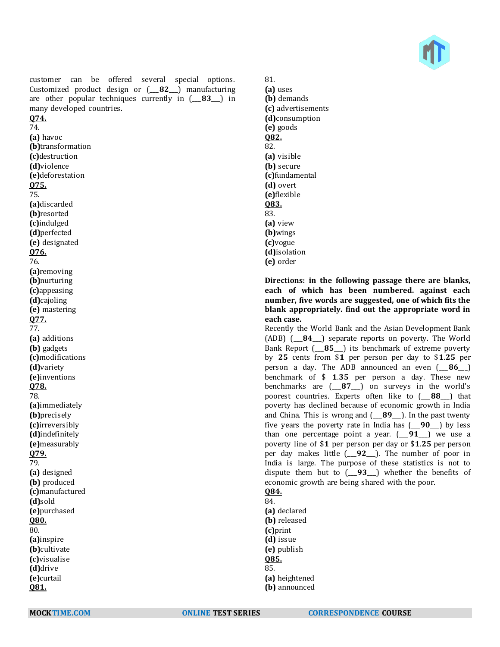

customer can be offered several special options. Customized product design or (\_\_\_**82**\_\_\_) manufacturing are other popular techniques currently in (\_\_\_**83**\_\_\_) in many developed countries.

## **Q74.**

74. **(a)** havoc **(b)**transformation **(c)**destruction **(d)**violence **(e)**deforestation **Q75.** 75. **(a)**discarded **(b)**resorted **(c)**indulged **(d)**perfected **(e)** designated **Q76.** 76. **(a)**removing **(b)**nurturing **(c)**appeasing **(d)**cajoling **(e)** mastering **Q77.** 77. **(a)** additions **(b)** gadgets **(c)**modifications **(d)**variety **(e)**inventions **Q78.** 78. **(a)**immediately **(b)**precisely **(c)**irreversibly **(d)**indefinitely **(e)**measurably **Q79.** 79. **(a)** designed **(b)** produced **(c)**manufactured **(d)**sold **(e)**purchased **Q80.** 80. **(a)**inspire **(b)**cultivate **(c)**visualise **(d)**drive **(e)**curtail **Q81.**

81. **(a)** uses **(b)** demands **(c)** advertisements **(d)**consumption **(e)** goods **Q82.** 82. **(a)** visible **(b)** secure **(c)**fundamental **(d)** overt **(e)**flexible **Q83.** 83. **(a)** view **(b)**wings **(c)**vogue **(d)**isolation **(e)** order

**Directions: in the following passage there are blanks, each of which has been numbered. against each number, five words are suggested, one of which fits the blank appropriately. find out the appropriate word in each case.**

Recently the World Bank and the Asian Development Bank (ADB) (\_\_\_**84**\_\_\_) separate reports on poverty. The World Bank Report (\_\_\_**85**\_\_\_) its benchmark of extreme poverty by **25** cents from \$**1** per person per day to \$**1**.**25** per person a day. The ADB announced an even (\_\_\_**86**\_\_\_) benchmark of \$ **1**.**35** per person a day. These new benchmarks are (\_\_\_**87**\_\_\_) on surveys in the world's poorest countries. Experts often like to (\_\_\_**88**\_\_\_) that poverty has declined because of economic growth in India and China. This is wrong and (\_\_\_**89**\_\_\_). In the past twenty five years the poverty rate in India has (\_\_\_**90**\_\_\_) by less than one percentage point a year. (\_\_\_**91**\_\_\_) we use a poverty line of \$**1** per person per day or \$**1**.**25** per person per day makes little (\_\_\_**92**\_\_\_). The number of poor in India is large. The purpose of these statistics is not to dispute them but to (\_\_\_**93**\_\_\_) whether the benefits of economic growth are being shared with the poor. **Q84.**

## 84.

**(a)** declared **(b)** released **(c)**print **(d)** issue **(e)** publish **Q85.** 85. **(a)** heightened

**<sup>(</sup>b)** announced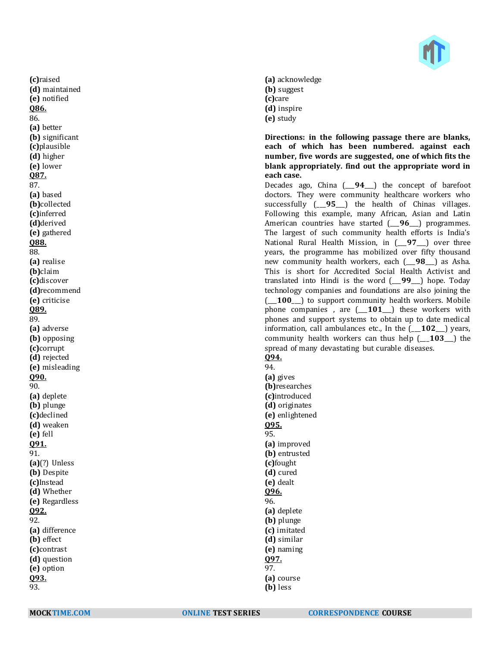

**(a)** acknowledge **(b)** suggest **(c)**care **(d)** inspire **(e)** study

**Directions: in the following passage there are blanks, each of which has been numbered. against each number, five words are suggested, one of which fits the blank appropriately. find out the appropriate word in each case.**

Decades ago, China (\_\_\_**94**\_\_\_) the concept of barefoot doctors. They were community healthcare workers who successfully (\_\_\_**95**\_\_\_) the health of Chinas villages. Following this example, many African, Asian and Latin American countries have started (\_\_\_**96**\_\_\_) programmes. The largest of such community health efforts is India's National Rural Health Mission, in (\_\_\_**97**\_\_\_) over three years, the programme has mobilized over fifty thousand new community health workers, each (\_\_\_**98**\_\_\_) as Asha. This is short for Accredited Social Health Activist and translated into Hindi is the word (\_\_\_**99**\_\_\_) hope. Today technology companies and foundations are also joining the ( $\overline{100}$ ) to support community health workers. Mobile phone companies , are (\_\_\_**101**\_\_\_) these workers with phones and support systems to obtain up to date medical information, call ambulances etc., In the (\_\_\_**102**\_\_\_) years, community health workers can thus help (\_\_\_**103**\_\_\_) the spread of many devastating but curable diseases.

**Q94.** 94. **(a)** gives **(b)**researches **(c)**introduced **(d)** originates **(e)** enlightened **Q95.** 95. **(a)** improved **(b)** entrusted **(c)**fought **(d)** cured **(e)** dealt **Q96.** 96. **(a)** deplete **(b)** plunge **(c)** imitated **(d)** similar **(e)** naming **Q97.** 97. **(a)** course **(b)** less

**(c)**raised **(d)** maintained **(e)** notified **Q86.** 86. **(a)** better **(b)** significant **(c)**plausible **(d)** higher **(e)** lower **Q87.** 87. **(a)** based **(b)**collected **(c)**inferred **(d)**derived **(e)** gathered **Q88.** 88. **(a)** realise **(b)**claim **(c)**discover **(d)**recommend **(e)** criticise **Q89.** 89.

**(a)** adverse **(b)** opposing **(c)**corrupt **(d)** rejected **(e)** misleading

**Q90.** 90.

**(a)** deplete **(b)** plunge **(c)**declined **(d)** weaken **(e)** fell **Q91.** 91.

**(a)**(?) Unless **(b)** Despite **(c)**Instead **(d)** Whether **(e)** Regardless

**(a)** difference **(b)** effect **(c)**contrast **(d)** question **(e)** option **Q93.** 93.

**Q92.** 92.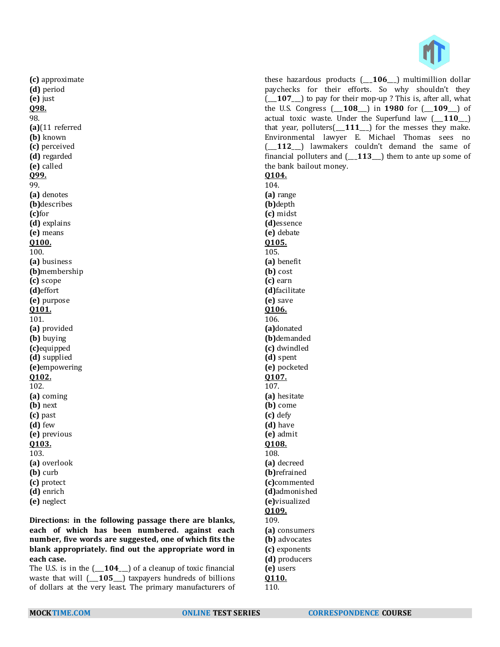

**(c)** approximate **(d)** period **(e)** just **Q98.** 98. **(a)**(11 referred **(b)** known **(c)** perceived **(d)** regarded **(e)** called **Q99.** 99. **(a)** denotes **(b)**describes **(c)**for **(d)** explains **(e)** means **Q100.** 100. **(a)** business **(b)**membership **(c)** scope **(d)**effort **(e)** purpose **Q101.** 101. **(a)** provided **(b)** buying **(c)**equipped **(d)** supplied **(e)**empowering **Q102.** 102. **(a)** coming **(b)** next **(c)** past **(d)** few **(e)** previous **Q103.** 103. **(a)** overlook **(b)** curb **(c)** protect **(d)** enrich **(e)** neglect

**Directions: in the following passage there are blanks, each of which has been numbered. against each number, five words are suggested, one of which fits the blank appropriately. find out the appropriate word in each case.**

The U.S. is in the (\_\_\_**104**\_\_\_) of a cleanup of toxic financial waste that will (\_\_\_**105**\_\_\_) taxpayers hundreds of billions of dollars at the very least. The primary manufacturers of

these hazardous products (\_\_\_**106**\_\_\_) multimillion dollar paychecks for their efforts. So why shouldn't they (\_\_\_**107**\_\_\_) to pay for their mop-up ? This is, after all, what the U.S. Congress (\_\_\_**108**\_\_\_) in **1980** for (\_\_\_**109**\_\_\_) of actual toxic waste. Under the Superfund law (\_\_\_**110**\_\_\_) that year, polluters(\_\_\_**111**\_\_\_) for the messes they make. Environmental lawyer E. Michael Thomas sees no (\_\_\_**112**\_\_\_) lawmakers couldn't demand the same of financial polluters and (\_\_\_**113**\_\_\_) them to ante up some of the bank bailout money. **Q104.** 104. **(a)** range **(b)**depth **(c)** midst **(d)**essence **(e)** debate **Q105.** 105. **(a)** benefit **(b)** cost **(c)** earn **(d)**facilitate **(e)** save **Q106.** 106. **(a)**donated **(b)**demanded **(c)** dwindled **(d)** spent **(e)** pocketed **Q107.** 107. **(a)** hesitate **(b)** come **(c)** defy **(d)** have **(e)** admit **Q108.** 108. **(a)** decreed **(b)**refrained **(c)**commented **(d)**admonished **(e)**visualized **Q109.** 109. **(a)** consumers **(b)** advocates **(c)** exponents **(d)** producers **(e)** users **Q110.**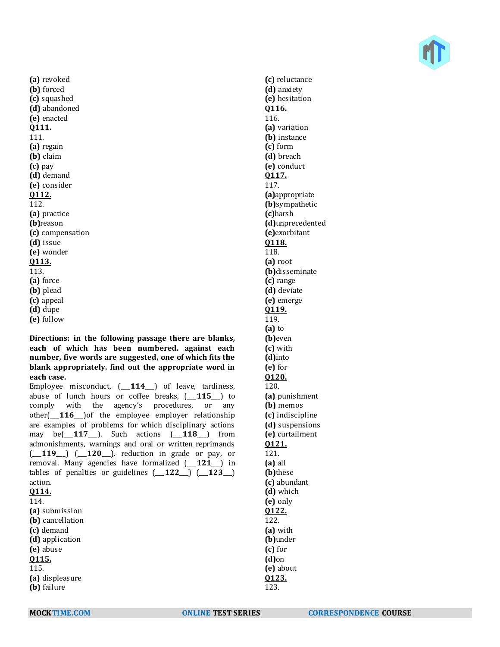

**(a)** revoked **(b)** forced **(c)** squashed **(d)** abandoned **(e)** enacted **Q111.** 111. **(a)** regain **(b)** claim **(c)** pay **(d)** demand **(e)** consider **Q112.** 112. **(a)** practice **(b)**reason **(c)** compensation **(d)** issue **(e)** wonder **Q113.** 113. **(a)** force **(b)** plead **(c)** appeal **(d)** dupe **(e)** follow

**Directions: in the following passage there are blanks, each of which has been numbered. against each number, five words are suggested, one of which fits the blank appropriately. find out the appropriate word in each case.**

Employee misconduct, (\_\_\_**114**\_\_\_) of leave, tardiness, abuse of lunch hours or coffee breaks, (\_\_\_**115**\_\_\_) to comply with the agency's procedures, or any other(\_\_\_**116**\_\_\_)of the employee employer relationship are examples of problems for which disciplinary actions may be(\_\_\_**117**\_\_\_). Such actions (\_\_\_**118**\_\_\_) from admonishments, warnings and oral or written reprimands (\_\_\_**119**\_\_\_) (\_\_\_**120**\_\_\_). reduction in grade or pay, or removal. Many agencies have formalized (\_\_\_**121**\_\_\_) in tables of penalties or guidelines (\_\_\_**122**\_\_\_) (\_\_\_**123**\_\_\_) action. **Q114.** 114. **(a)** submission **(b)** cancellation **(c)** demand **(d)** application **(e)** abuse **Q115.** 115. **(a)** displeasure **(b)** failure

**(c)** reluctance **(d)** anxiety **(e)** hesitation **Q116.** 116. **(a)** variation **(b)** instance **(c)** form **(d)** breach **(e)** conduct **Q117.** 117. **(a)**appropriate **(b)**sympathetic **(c)**harsh **(d)**unprecedented **(e)**exorbitant **Q118.** 118. **(a)** root **(b)**disseminate **(c)** range **(d)** deviate **(e)** emerge **Q119.** 119. **(a)** to **(b)**even **(c)** with **(d)**into **(e)** for **Q120.** 120. **(a)** punishment **(b)** memos **(c)** indiscipline **(d)** suspensions **(e)** curtailment **Q121.** 121. **(a)** all **(b)**these **(c)** abundant **(d)** which **(e)** only **Q122.** 122. **(a)** with **(b)**under **(c)** for **(d)**on **(e)** about **Q123.** 123.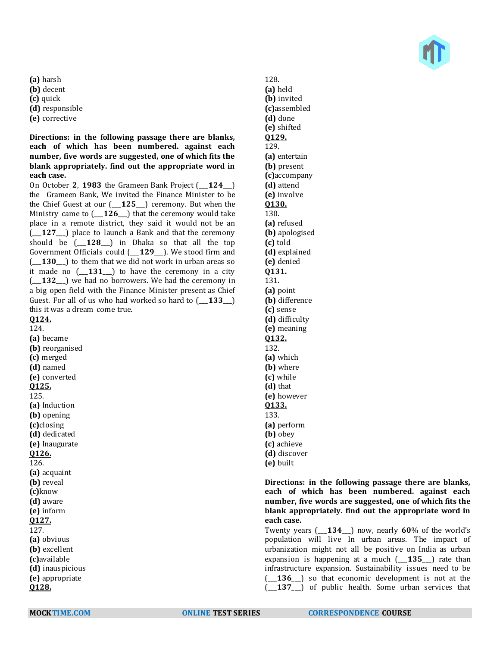

**(a)** harsh

- **(b)** decent
- **(c)** quick
- **(d)** responsible
- **(e)** corrective

**Directions: in the following passage there are blanks, each of which has been numbered. against each number, five words are suggested, one of which fits the blank appropriately. find out the appropriate word in each case.**

On October **2**, **1983** the Grameen Bank Project (\_\_\_**124**\_\_\_) the Grameen Bank, We invited the Finance Minister to be the Chief Guest at our (\_\_\_**125**\_\_\_) ceremony. But when the Ministry came to  $($  **126**  $)$  that the ceremony would take place in a remote district, they said it would not be an (\_\_\_**127**\_\_\_) place to launch a Bank and that the ceremony should be (\_\_\_**128**\_\_\_) in Dhaka so that all the top Government Officials could (\_\_\_**129**\_\_\_). We stood firm and (\_\_\_**130**\_\_\_) to them that we did not work in urban areas so it made no (\_\_\_**131**\_\_\_) to have the ceremony in a city (\_\_\_**132**\_\_\_) we had no borrowers. We had the ceremony in a big open field with the Finance Minister present as Chief Guest. For all of us who had worked so hard to (\_\_\_**133**\_\_\_) this it was a dream come true.

**Q124.** 124.

**(a)** became **(b)** reorganised **(c)** merged **(d)** named **(e)** converted **Q125.** 125. **(a)** Induction **(b)** opening **(c)**closing **(d)** dedicated **(e)** Inaugurate **Q126.** 126. **(a)** acquaint **(b)** reveal **(c)**know **(d)** aware **(e)** inform **Q127.** 127. **(a)** obvious **(b)** excellent **(c)**available **(d)** inauspicious **(e)** appropriate **Q128.**

128. **(a)** held **(b)** invited **(c)**assembled **(d)** done **(e)** shifted **Q129.** 129. **(a)** entertain **(b)** present **(c)**accompany **(d)** attend **(e)** involve **Q130.** 130. **(a)** refused **(b)** apologised **(c)** told **(d)** explained **(e)** denied **Q131.** 131. **(a)** point **(b)** difference **(c)** sense **(d)** difficulty **(e)** meaning **Q132.** 132. **(a)** which **(b)** where **(c)** while **(d)** that **(e)** however **Q133.** 133. **(a)** perform **(b)** obey **(c)** achieve **(d)** discover **(e)** built

**Directions: in the following passage there are blanks, each of which has been numbered. against each number, five words are suggested, one of which fits the blank appropriately. find out the appropriate word in each case.**

Twenty years (\_\_\_**134**\_\_\_) now, nearly **60**% of the world's population will live In urban areas. The impact of urbanization might not all be positive on India as urban expansion is happening at a much (\_\_\_**135**\_\_\_) rate than infrastructure expansion. Sustainability issues need to be (\_\_\_**136**\_\_\_) so that economic development is not at the (\_\_\_**137**\_\_\_) of public health. Some urban services that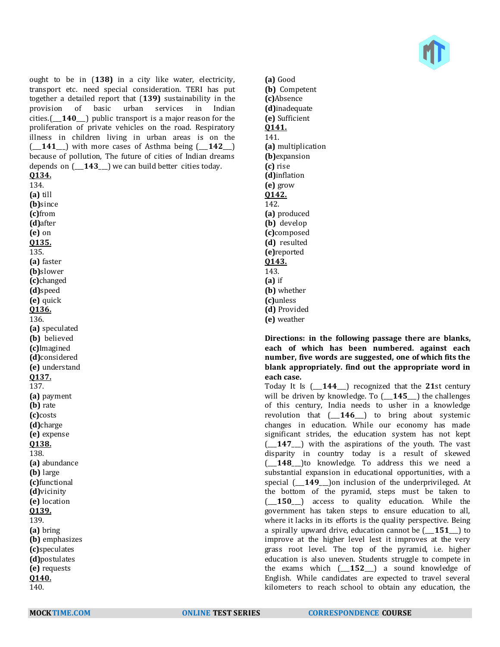

ought to be in (**138)** in a city like water, electricity, transport etc. need special consideration. TERI has put together a detailed report that (**139)** sustainability in the provision of basic urban services in Indian cities.(\_\_\_**140**\_\_\_) public transport is a major reason for the proliferation of private vehicles on the road. Respiratory illness in children living in urban areas is on the (\_\_\_**141**\_\_\_) with more cases of Asthma being (\_\_\_**142**\_\_\_) because of pollution, The future of cities of Indian dreams depends on  $($ **143**  $)$  we can build better cities today. **Q134.** 134. **(a)** till **(b)**since **(c)**from **(d)**after **(e)** on **Q135.** 135. **(a)** faster **(b)**slower **(c)**changed **(d)**speed **(e)** quick **Q136.** 136. **(a)** speculated **(b)** believed **(c)**Imagined **(d)**considered **(e)** understand **Q137.** 137. **(a)** payment **(b)** rate **(c)**costs **(d)**charge **(e)** expense **Q138.** 138. **(a)** abundance **(b)** large **(c)**functional **(d)**vicinity **(e)** location **Q139.** 139.

**(a)** bring **(b)** emphasizes **(c)**speculates **(d)**postulates **(e)** requests **Q140.**

140.

**(a)** Good **(b)** Competent **(c)**Absence **(d)**inadequate **(e)** Sufficient **Q141.** 141. **(a)** multiplication **(b)**expansion **(c)** rise **(d)**inflation **(e)** grow **Q142.** 142. **(a)** produced **(b)** develop **(c)**composed **(d)** resulted **(e)**reported **Q143.** 143. **(a)** if **(b)** whether **(c)**unless **(d)** Provided **(e)** weather

**Directions: in the following passage there are blanks, each of which has been numbered. against each number, five words are suggested, one of which fits the blank appropriately. find out the appropriate word in each case.**

Today It Is (\_\_\_**144**\_\_\_) recognized that the **21**st century will be driven by knowledge. To (\_\_\_**145**\_\_\_) the challenges of this century, India needs to usher in a knowledge revolution that (\_\_\_**146**\_\_\_) to bring about systemic changes in education. While our economy has made significant strides, the education system has not kept (\_\_\_**147**\_\_\_) with the aspirations of the youth. The vast disparity in country today is a result of skewed (\_\_\_**148**\_\_\_)to knowledge. To address this we need a substantial expansion in educational opportunities, with a special  $\left(\begin{array}{c} 149 \end{array}\right)$  on inclusion of the underprivileged. At the bottom of the pyramid, steps must be taken to (\_\_\_**150**\_\_\_) access to quality education. While the government has taken steps to ensure education to all, where it lacks in its efforts is the quality perspective. Being a spirally upward drive, education cannot be (\_\_\_**151**\_\_\_) to improve at the higher level lest it improves at the very grass root level. The top of the pyramid, i.e. higher education is also uneven. Students struggle to compete in the exams which (\_\_\_**152**\_\_\_) a sound knowledge of English. While candidates are expected to travel several kilometers to reach school to obtain any education, the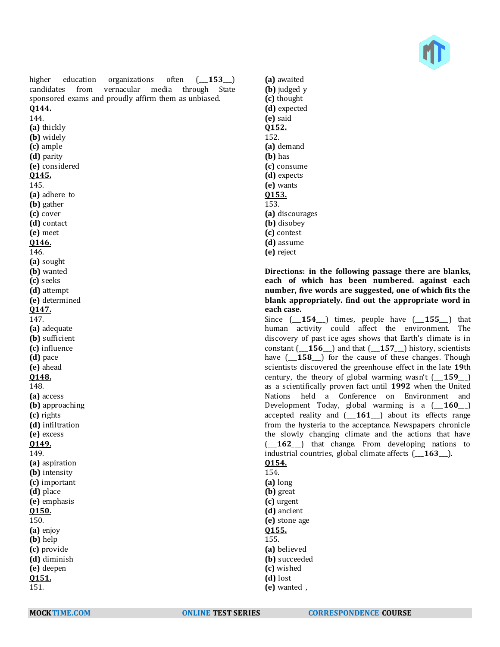

higher education organizations often  $(-153)$ candidates from vernacular media through State sponsored exams and proudly affirm them as unbiased.

### **Q144.** 144.

**(a)** thickly **(b)** widely **(c)** ample **(d)** parity **(e)** considered **Q145.** 145. **(a)** adhere to **(b)** gather **(c)** cover **(d)** contact **(e)** meet **Q146.** 146. **(a)** sought **(b)** wanted **(c)** seeks **(d)** attempt **(e)** determined **Q147.** 147. **(a)** adequate **(b)** sufficient **(c)** influence **(d)** pace **(e)** ahead **Q148.** 148. **(a)** access **(b)** approaching **(c)** rights **(d)** infiltration **(e)** excess **Q149.** 149. **(a)** aspiration **(b)** intensity **(c)** important **(d)** place **(e)** emphasis **Q150.** 150. **(a)** enjoy **(b)** help **(c)** provide **(d)** diminish **(e)** deepen **Q151.**

**(a)** awaited **(b)** judged y **(c)** thought **(d)** expected **(e)** said **Q152.** 152. **(a)** demand **(b)** has **(c)** consume **(d)** expects **(e)** wants **Q153.** 153. **(a)** discourages **(b)** disobey **(c)** contest **(d)** assume **(e)** reject

### **Directions: in the following passage there are blanks, each of which has been numbered. against each number, five words are suggested, one of which fits the blank appropriately. find out the appropriate word in each case.**

Since (\_\_\_**154**\_\_\_) times, people have (\_\_\_**155**\_\_\_) that human activity could affect the environment. The discovery of past ice ages shows that Earth's climate is in constant (\_\_\_**156**\_\_\_) and that (\_\_\_**157**\_\_\_) history, scientists have  $(-158)$  for the cause of these changes. Though scientists discovered the greenhouse effect in the late **19**th century, the theory of global warming wasn't (\_\_\_**159**\_\_\_) as a scientifically proven fact until **1992** when the United Nations held a Conference on Environment and Development Today, global warming is a (\_\_\_**160**\_\_\_) accepted reality and (\_\_\_**161**\_\_\_) about its effects range from the hysteria to the acceptance. Newspapers chronicle the slowly changing climate and the actions that have (\_\_\_**162**\_\_\_) that change. From developing nations to industrial countries, global climate affects (\_\_\_**163**\_\_\_).

## **Q154.**

154. **(a)** long **(b)** great **(c)** urgent **(d)** ancient **(e)** stone age **Q155.** 155. **(a)** believed **(b)** succeeded **(c)** wished **(d)** lost

151.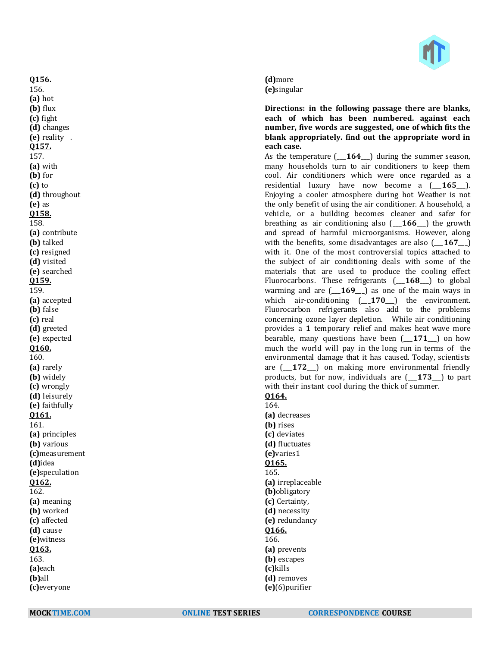

#### **(d)**more **(e)**singular

**Directions: in the following passage there are blanks, each of which has been numbered. against each number, five words are suggested, one of which fits the blank appropriately. find out the appropriate word in each case.**

As the temperature (\_\_\_**164**\_\_\_) during the summer season, many households turn to air conditioners to keep them cool. Air conditioners which were once regarded as a residential luxury have now become a (\_\_\_**165**\_\_\_). Enjoying a cooler atmosphere during hot Weather is not the only benefit of using the air conditioner. A household, a vehicle, or a building becomes cleaner and safer for breathing as air conditioning also (\_\_\_**166**\_\_\_) the growth and spread of harmful microorganisms. However, along with the benefits, some disadvantages are also (\_\_\_**167**\_\_\_) with it. One of the most controversial topics attached to the subject of air conditioning deals with some of the materials that are used to produce the cooling effect Fluorocarbons. These refrigerants (\_\_\_**168**\_\_\_) to global warming and are (\_\_\_**169**\_\_\_) as one of the main ways in which air-conditioning  $(-170)$  the environment. Fluorocarbon refrigerants also add to the problems concerning ozone layer depletion. While air conditioning provides a **1** temporary relief and makes heat wave more bearable, many questions have been (\_\_\_**171**\_\_\_) on how much the world will pay in the long run in terms of the environmental damage that it has caused. Today, scientists are (\_\_\_**172**\_\_\_) on making more environmental friendly products, but for now, individuals are (\_\_\_**173**\_\_\_) to part with their instant cool during the thick of summer.

#### **Q164.** 164.

**(a)** decreases **(b)** rises **(c)** deviates **(d)** fluctuates **(e)**varies1 **Q165.** 165. **(a)** irreplaceable **(b)**obligatory **(c)** Certainty, **(d)** necessity **(e)** redundancy **Q166.** 166. **(a)** prevents **(b)** escapes **(c)**kills **(d)** removes

**Q156.** 156. **(a)** hot **(b)** flux **(c)** fight **(d)** changes **(e)** reality . **Q157.** 157. **(a)** with **(b)** for **(c)** to

**(d)** throughout

**(a)** contribute **(b)** talked **(c)** resigned **(d)** visited **(e)** searched **Q159.** 159.

**(a)** accepted **(b)** false **(c)** real **(d)** greeted **(e)** expected **Q160.** 160. **(a)** rarely **(b)** widely **(c)** wrongly **(d)** leisurely **(e)** faithfully **Q161.** 161.

**(a)** principles **(b)** various **(c)**measurement

**(d)**idea **(e)**speculation

**Q162.** 162.

**(a)** meaning **(b)** worked **(c)** affected **(d)** cause **(e)**witness **Q163.** 163. **(a)**each **(b)**all **(c)**everyone

**(e)** as **Q158.** 158.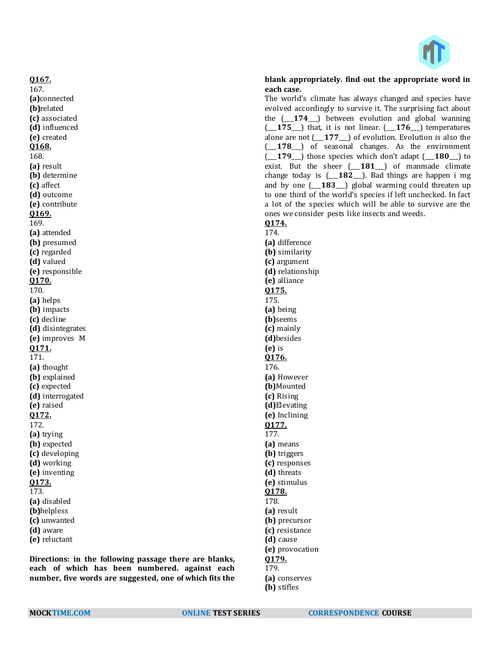

#### J **blank appropriately. find out the appropriate word in each case.**

The world's climate has always changed and species have evolved accordingly to survive it. The surprising fact about the (\_\_\_**174**\_\_\_) between evolution and global wanning (\_\_\_**175**\_\_\_) that, it is not linear. (\_\_\_**176**\_\_\_) temperatures alone are not (\_\_\_**177**\_\_\_) of evolution. Evolution is also the (\_\_\_**178**\_\_\_) of seasonal changes. As the environment (\_\_\_**179**\_\_\_) those species which don't adapt (\_\_\_**180**\_\_\_) to exist. But the sheer (\_\_\_**181**\_\_\_) of manmade climate change today is (\_\_\_**182**\_\_\_). Bad things are happen i mg and by one (\_\_\_**183**\_\_\_) global warming could threaten up to one third of the world's species if left unchecked. In fact a lot of the species which will be able to survive are the ones we consider pests like insects and weeds.

### **Q174.**

174. **(a)** difference **(b)** similarity **(c)** argument **(d)** relationship **(e)** alliance **Q175.** 175. **(a)** being **(b)**seems **(c)** mainly **(d)**besides **(e)** is **Q176.** 176. **(a)** However **(b)**Mounted **(c)** Rising **(d)**Elevating **(e)** Inclining **Q177.** 177. **(a)** means **(b)** triggers **(c)** responses **(d)** threats **(e)** stimulus **Q178.** 178. **(a)** result **(b)** precursor **(c)** resistance **(d)** cause **(e)** provocation **Q179.** 179. **(a)** conserves **(b)** stifles

168. **(a)** result **(b)** determine **(c)** affect **(d)** outcome **(e)** contribute **Q169.** 169. **(a)** attended **(b)** presumed **(c)** regarded **(d)** valued **(e)** responsible **Q170.** 170. **(a)** helps **(b)** impacts **(c)** decline **(d)** disintegrates **(e)** improves M **Q171.** 171. **(a)** thought **(b)** explained **(c)** expected **(d)** interrogated **(e)** raised **Q172.** 172. **(a)** trying **(b)** expected **(c)** developing **(d)** working **(e)** inventing **Q173.** 173. **(a)** disabled **(b)**helpless **(c)** unwanted **(d)** aware **(e)** reluctant

**Q167.** 167.

**(a)**connected **(b)**related **(c)** associated **(d)** influenced **(e)** created **Q168.**

**Directions: in the following passage there are blanks, each of which has been numbered. against each number, five words are suggested, one of which fits the**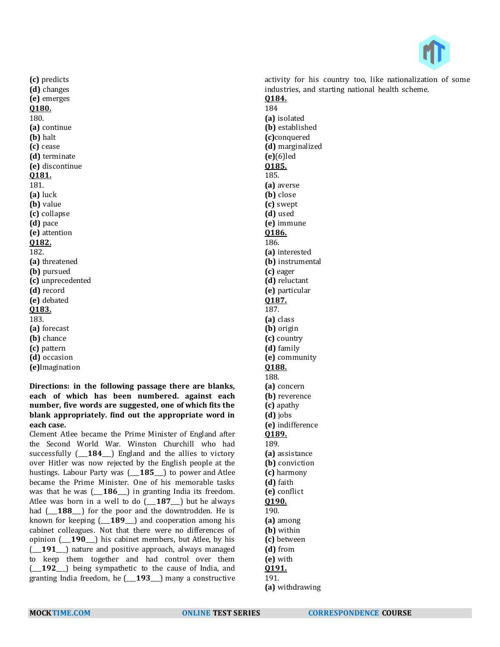

**(c)** predicts **(d)** changes **(e)** emerges **Q180.** 180. **(a)** continue **(b)** halt **(c)** cease **(d)** terminate **(e)** discontinue **Q181.** 181. **(a)** luck **(b)** value **(c)** collapse **(d)** pace **(e)** attention **Q182.** 182. **(a)** threatened **(b)** pursued **(c)** unprecedented **(d)** record **(e)** debated **Q183.** 183. **(a)** forecast **(b)** chance **(c)** pattern **(d)** occasion **(e)**Imagination

**Directions: in the following passage there are blanks, each of which has been numbered. against each number, five words are suggested, one of which fits the blank appropriately. find out the appropriate word in each case.**

Clement Atlee became the Prime Minister of England after the Second World War. Winston Churchill who had successfully (\_\_\_**184**\_\_\_) England and the allies to victory over Hitler was now rejected by the English people at the hustings. Labour Party was (\_\_\_**185**\_\_\_) to power and Atlee became the Prime Minister. One of his memorable tasks was that he was (\_\_\_**186**\_\_\_) in granting India its freedom. Atlee was born in a well to do (\_\_\_**187**\_\_\_) but he always had  $(-188)$  for the poor and the downtrodden. He is known for keeping (\_\_\_**189**\_\_\_) and cooperation among his cabinet colleagues. Not that there were no differences of opinion (\_\_\_**190**\_\_\_) his cabinet members, but Atlee, by his (\_\_\_**191**\_\_\_) nature and positive approach, always managed to keep them together and had control over them (\_\_\_**192**\_\_\_) being sympathetic to the cause of India, and granting India freedom, he (\_\_\_**193**\_\_\_) many a constructive

activity for his country too, like nationalization of some industries, and starting national health scheme. **Q184.** 184 **(a)** isolated **(b)** established **(c)**conquered **(d)** marginalized **(e)**(6)led **Q185.** 185. **(a)** averse **(b)** close **(c)** swept **(d)** used **(e)** immune **Q186.** 186. **(a)** interested **(b)** instrumental **(c)** eager **(d)** reluctant **(e)** particular **Q187.** 187. **(a)** class **(b)** origin **(c)** country **(d)** family **(e)** community **Q188.** 188. **(a)** concern **(b)** reverence **(c)** apathy **(d)** jobs **(e)** indifference **Q189.** 189. **(a)** assistance **(b)** conviction **(c)** harmony **(d)** faith **(e)** conflict **Q190.** 190. **(a)** among **(b)** within **(c)** between **(d)** from **(e)** with **Q191.**

**<sup>(</sup>a)** withdrawing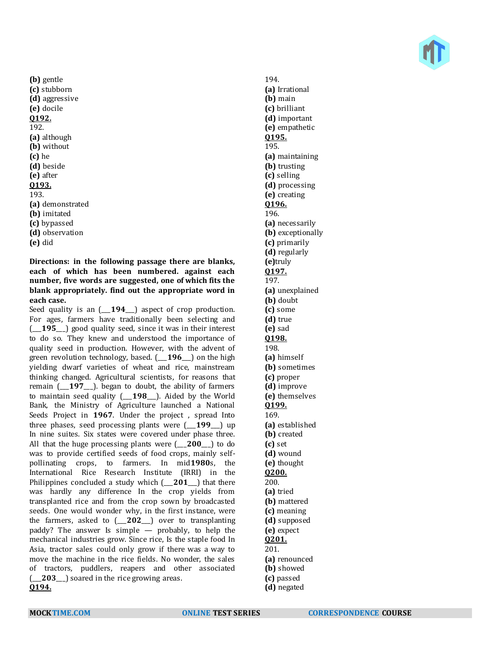**(b)** gentle **(c)** stubborn **(d)** aggressive **(e)** docile **Q192.** 192. **(a)** although **(b)** without **(c)** he **(d)** beside **(e)** after **Q193.** 193. **(a)** demonstrated **(b)** imitated **(c)** bypassed **(d)** observation **(e)** did

**Directions: in the following passage there are blanks, each of which has been numbered. against each number, five words are suggested, one of which fits the blank appropriately. find out the appropriate word in each case.**

Seed quality is an (\_\_\_**194**\_\_\_) aspect of crop production. For ages, farmers have traditionally been selecting and (\_\_\_**195**\_\_\_) good quality seed, since it was in their interest to do so. They knew and understood the importance of quality seed in production. However, with the advent of green revolution technology, based. (\_\_\_**196**\_\_\_) on the high yielding dwarf varieties of wheat and rice, mainstream thinking changed. Agricultural scientists, for reasons that remain (\_\_\_**197**\_\_\_). began to doubt, the ability of farmers to maintain seed quality (\_\_\_**198**\_\_\_). Aided by the World Bank, the Ministry of Agriculture launched a National Seeds Project in **1967**. Under the project , spread Into three phases, seed processing plants were (\_\_\_**199**\_\_\_) up In nine suites. Six states were covered under phase three. All that the huge processing plants were (\_\_\_**200**\_\_\_) to do was to provide certified seeds of food crops, mainly selfpollinating crops, to farmers. In mid**1980**s, the International Rice Research Institute (IRRI) in the Philippines concluded a study which (\_\_\_**201**\_\_\_) that there was hardly any difference In the crop yields from transplanted rice and from the crop sown by broadcasted seeds. One would wonder why, in the first instance, were the farmers, asked to (\_\_\_**202**\_\_\_) over to transplanting paddy? The answer Is simple — probably, to help the mechanical industries grow. Since rice, Is the staple food In Asia, tractor sales could only grow if there was a way to move the machine in the rice fields. No wonder, the sales of tractors, puddlers, reapers and other associated (\_\_\_**203**\_\_\_) soared in the rice growing areas. **Q194.**

194. **(a)** Irrational **(b)** main **(c)** brilliant **(d)** important **(e)** empathetic **Q195.** 195. **(a)** maintaining **(b)** trusting **(c)** selling **(d)** processing **(e)** creating **Q196.** 196. **(a)** necessarily **(b)** exceptionally **(c)** primarily **(d)** regularly **(e)**truly **Q197.** 197. **(a)** unexplained **(b)** doubt **(c)** some **(d)** true **(e)** sad **Q198.** 198. **(a)** himself **(b)** sometimes **(c)** proper **(d)** improve **(e)** themselves **Q199.** 169. **(a)** established **(b)** created **(c)** set **(d)** wound **(e)** thought **Q200.** 200. **(a)** tried **(b)** mattered **(c)** meaning **(d)** supposed **(e)** expect **Q201.** 201. **(a)** renounced **(b)** showed **(c)** passed **(d)** negated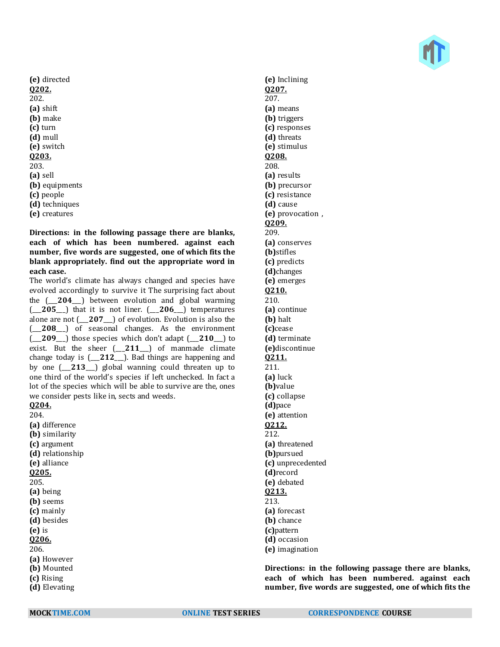**(e)** directed **Q202.** 202. **(a)** shift **(b)** make **(c)** turn **(d)** mull **(e)** switch **Q203.** 203. **(a)** sell **(b)** equipments **(c)** people **(d)** techniques **(e)** creatures

**Directions: in the following passage there are blanks, each of which has been numbered. against each number, five words are suggested, one of which fits the blank appropriately. find out the appropriate word in each case.**

The world's climate has always changed and species have evolved accordingly to survive it The surprising fact about the (\_\_\_**204**\_\_\_) between evolution and global warming (\_\_\_**205**\_\_\_) that it is not liner. (\_\_\_**206**\_\_\_) temperatures alone are not (\_\_\_**207**\_\_\_) of evolution. Evolution is also the (\_\_\_**208**\_\_\_) of seasonal changes. As the environment (\_\_\_**209**\_\_\_) those species which don't adapt (\_\_\_**210**\_\_\_) to exist. But the sheer (\_\_\_**211**\_\_\_) of manmade climate change today is (\_\_\_**212**\_\_\_). Bad things are happening and by one (\_\_\_**213**\_\_\_) global wanning could threaten up to one third of the world's species if left unchecked. In fact a lot of the species which will be able to survive are the, ones we consider pests like in, sects and weeds. **Q204.**

204. **(a)** difference **(b)** similarity **(c)** argument **(d)** relationship **(e)** alliance **Q205.** 205. **(a)** being **(b)** seems **(c)** mainly **(d)** besides **(e)** is **Q206.** 206. **(a)** However **(b)** Mounted **(c)** Rising **(d)** Elevating

**(e)** Inclining **Q207.** 207. **(a)** means **(b)** triggers **(c)** responses **(d)** threats **(e)** stimulus **Q208.** 208. **(a)** results **(b)** precursor **(c)** resistance **(d)** cause **(e)** provocation , **Q209.** 209. **(a)** conserves **(b)**stifles **(c)** predicts **(d)**changes **(e)** emerges **Q210.** 210. **(a)** continue **(b)** halt **(c)**cease **(d)** terminate **(e)**discontinue **Q211.** 211. **(a)** luck **(b)**value **(c)** collapse **(d)**pace **(e)** attention **Q212.** 212. **(a)** threatened **(b)**pursued **(c)** unprecedented **(d)**record **(e)** debated **Q213.** 213. **(a)** forecast **(b)** chance **(c)**pattern **(d)** occasion **(e)** imagination

**Directions: in the following passage there are blanks, each of which has been numbered. against each number, five words are suggested, one of which fits the**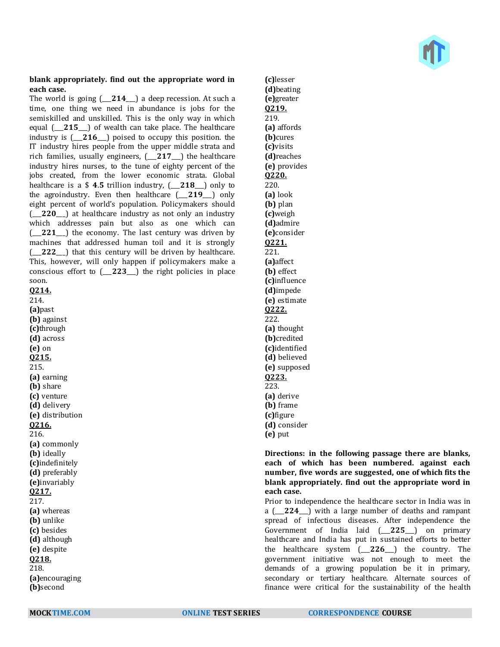#### **blank appropriately. find out the appropriate word in each case.**

The world is going (\_\_\_**214**\_\_\_) a deep recession. At such a time, one thing we need in abundance is jobs for the semiskilled and unskilled. This is the only way in which equal (\_\_\_**215**\_\_\_) of wealth can take place. The healthcare industry is (\_\_\_**216**\_\_\_) poised to occupy this position. the IT industry hires people from the upper middle strata and rich families, usually engineers, (\_\_\_**217**\_\_\_) the healthcare industry hires nurses, to the tune of eighty percent of the jobs created, from the lower economic strata. Global healthcare is a \$ **4**.**5** trillion industry, (\_\_\_**218**\_\_\_) only to the agroindustry. Even then healthcare (\_\_\_**219**\_\_\_) only eight percent of world's population. Policymakers should (\_\_\_**220**\_\_\_) at healthcare industry as not only an industry which addresses pain but also as one which can (\_\_\_**221**\_\_\_) the economy. The last century was driven by machines that addressed human toil and it is strongly (\_\_\_**222**\_\_\_) that this century will be driven by healthcare. This, however, will only happen if policymakers make a conscious effort to (\_\_\_**223**\_\_\_) the right policies in place soon.

**Q214.** 214. **(a)**past **(b)** against **(c)**through **(d)** across **(e)** on **Q215.** 215. **(a)** earning **(b)** share **(c)** venture **(d)** delivery **(e)** distribution **Q216.** 216. **(a)** commonly **(b)** ideally **(c)**indefinitely **(d)** preferably **(e)**invariably **Q217.** 217. **(a)** whereas **(b)** unlike **(c)** besides **(d)** although **(e)** despite **Q218.** 218. **(a)**encouraging

**(c)**lesser **(d)**beating **(e)**greater **Q219.** 219. **(a)** affords **(b)**cures **(c)**visits **(d)**reaches **(e)** provides **Q220.** 220. **(a)** look **(b)** plan **(c)**weigh **(d)**admire **(e)**consider **Q221.** 221. **(a)**affect **(b)** effect **(c)**influence **(d)**impede **(e)** estimate **Q222.** 222. **(a)** thought **(b)**credited **(c)**identified **(d)** believed **(e)** supposed **Q223.** 223. **(a)** derive **(b)** frame **(c)**figure **(d)** consider **(e)** put

### **Directions: in the following passage there are blanks, each of which has been numbered. against each number, five words are suggested, one of which fits the blank appropriately. find out the appropriate word in each case.**

Prior to independence the healthcare sector in India was in a (\_\_\_**224**\_\_\_) with a large number of deaths and rampant spread of infectious diseases. After independence the Government of India laid (\_\_\_**225**\_\_\_) on primary healthcare and India has put in sustained efforts to better the healthcare system (\_\_\_**226**\_\_\_) the country. The government initiative was not enough to meet the demands of a growing population be it in primary, secondary or tertiary healthcare. Alternate sources of finance were critical for the sustainability of the health

**(b)**second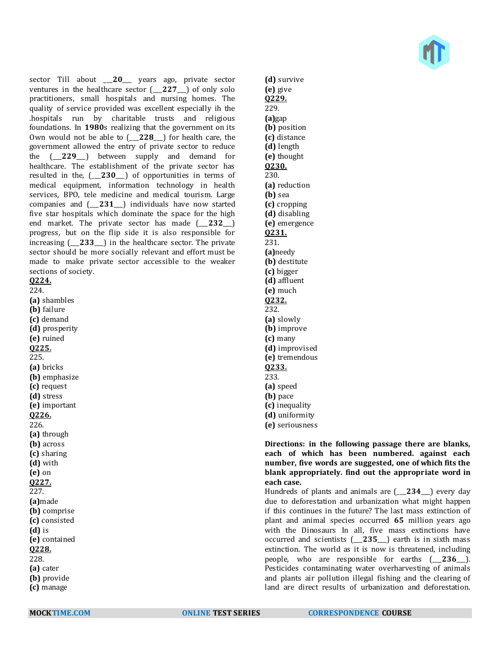sector Till about \_\_\_**20**\_\_\_ years ago, private sector ventures in the healthcare sector (\_\_\_**227**\_\_\_) of only solo practitioners, small hospitals and nursing homes. The quality of service provided was excellent especially ih the .hospitals run by charitable trusts and religious foundations. In **1980**s realizing that the government on its Own would not be able to (\_\_\_**228**\_\_\_) for health care, the government allowed the entry of private sector to reduce the (\_\_\_**229**\_\_\_) between supply and demand for healthcare. The establishment of the private sector has resulted in the, (\_\_\_**230**\_\_\_) of opportunities in terms of medical equipment, information technology in health services, BPO, tele medicine and medical tourism. Large companies and (\_\_\_**231**\_\_\_) individuals have now started five star hospitals which dominate the space for the high end market. The private sector has made (\_\_\_**232**\_\_\_) progress, but on the flip side it is also responsible for increasing (\_\_\_**233**\_\_\_) in the healthcare sector. The private sector should be more socially relevant and effort must be made to make private sector accessible to the weaker sections of society. **Q224.** 224. **(a)** shambles **(b)** failure **(c)** demand **(d)** prosperity **(e)** ruined **Q225.** 225. **(a)** bricks **(b)** emphasize **(c)** request **(d)** stress **(e)** important **Q226.** 226. **(a)** through **(b)** across **(c)** sharing **(d)** with **(e)** on **Q227.** 227.

**(d)** survive **(e)** give **Q229.** 229. **(a)**gap **(b)** position **(c)** distance **(d)** length **(e)** thought **Q230.** 230. **(a)** reduction **(b)** sea **(c)** cropping **(d)** disabling **(e)** emergence **Q231.** 231. **(a)**needy **(b)** destitute **(c)** bigger **(d)** affluent **(e)** much **Q232.** 232. **(a)** slowly **(b)** improve **(c)** many **(d)** improvised **(e)** tremendous **Q233.** 233. **(a)** speed **(b)** pace **(c)** inequality **(d)** uniformity

**(e)** seriousness

### **Directions: in the following passage there are blanks, each of which has been numbered. against each number, five words are suggested, one of which fits the blank appropriately. find out the appropriate word in each case.**

Hundreds of plants and animals are (\_\_\_**234**\_\_\_) every day due to deforestation and urbanization what might happen if this continues in the future? The last mass extinction of plant and animal species occurred **65** million years ago with the Dinosaurs In all, five mass extinctions have occurred and scientists (\_\_\_**235**\_\_\_) earth is in sixth mass extinction. The world as it is now is threatened, including people, who are responsible for earths (\_\_\_**236**\_\_\_). Pesticides contaminating water overharvesting of animals and plants air pollution illegal fishing and the clearing of land are direct results of urbanization and deforestation.

**(a)**made **(b)** comprise **(c)** consisted **(d)** is **(e)** contained **Q228.** 228. **(a)** cater **(b)** provide **(c)** manage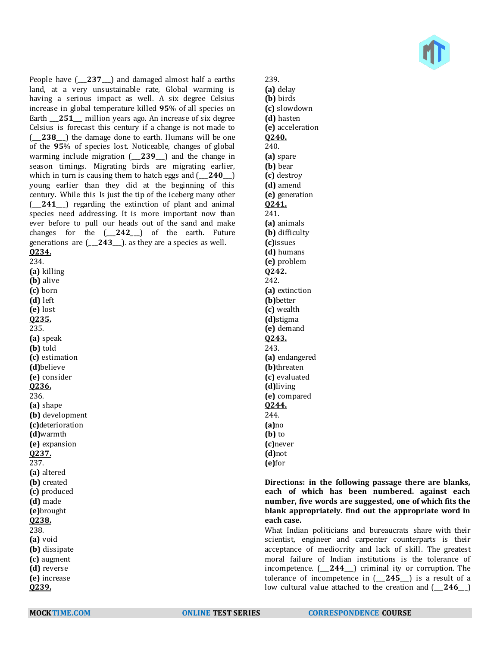

People have (\_\_\_**237**\_\_\_) and damaged almost half a earths land, at a very unsustainable rate, Global warming is having a serious impact as well. A six degree Celsius increase in global temperature killed **95**% of all species on Earth 251 million years ago. An increase of six degree Celsius is forecast this century if a change is not made to (\_\_\_**238**\_\_\_) the damage done to earth. Humans will be one of the **95**% of species lost. Noticeable, changes of global warming include migration (\_\_\_**239**\_\_\_) and the change in season timings. Migrating birds are migrating earlier, which in turn is causing them to hatch eggs and  $(-240)$ young earlier than they did at the beginning of this century. While this Is just the tip of the iceberg many other (\_\_\_**241**\_\_\_) regarding the extinction of plant and animal species need addressing. It is more important now than ever before to pull our heads out of the sand and make changes for the (\_\_\_**242**\_\_\_) of the earth. Future generations are (\_\_\_**243**\_\_\_). as they are a species as well. **Q234.** 234. **(a)** killing **(b)** alive **(c)** born **(d)** left **(e)** lost **Q235.** 235. **(a)** speak **(b)** told **(c)** estimation **(d)**believe **(e)** consider **Q236.** 236. **(a)** shape **(b)** development **(c)**deterioration **(d)**warmth **(e)** expansion **Q237.** 237. **(a)** altered **(b)** created **(c)** produced **(d)** made **(e)**brought **Q238.** 238. **(a)** void **(b)** dissipate **(c)** augment **(d)** reverse **(e)** increase

**Q239.**

239. **(a)** delay **(b)** birds **(c)** slowdown **(d)** hasten **(e)** acceleration **Q240.** 240. **(a)** spare **(b)** bear **(c)** destroy **(d)** amend **(e)** generation **Q241.** 241. **(a)** animals **(b)** difficulty **(c)**issues **(d)** humans **(e)** problem **Q242.** 242. **(a)** extinction **(b)**better **(c)** wealth **(d)**stigma **(e)** demand **Q243.** 243. **(a)** endangered **(b)**threaten **(c)** evaluated **(d)**living **(e)** compared **Q244.** 244. **(a)**no **(b)** to **(c)**never **(d)**not **(e)**for

### **Directions: in the following passage there are blanks, each of which has been numbered. against each number, five words are suggested, one of which fits the blank appropriately. find out the appropriate word in each case.**

What Indian politicians and bureaucrats share with their scientist, engineer and carpenter counterparts is their acceptance of mediocrity and lack of skill. The greatest moral failure of Indian institutions is the tolerance of incompetence. (\_\_\_**244**\_\_\_) criminal ity or corruption. The tolerance of incompetence in (\_\_\_**245**\_\_\_) is a result of a low cultural value attached to the creation and (\_\_\_**246**\_\_\_)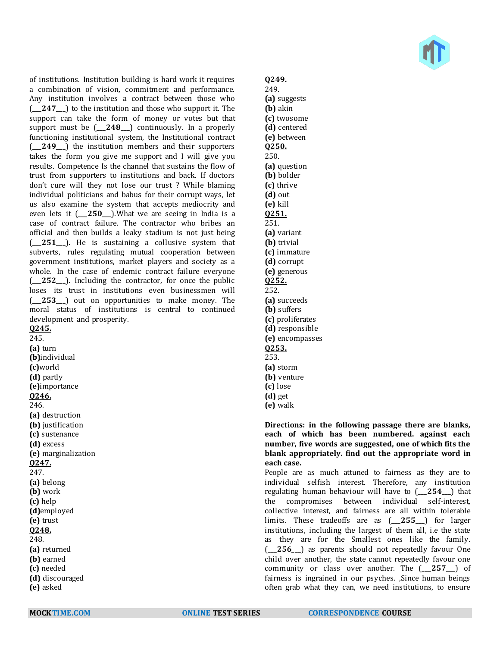of institutions. Institution building is hard work it requires a combination of vision, commitment and performance. Any institution involves a contract between those who (\_\_\_**247**\_\_\_) to the institution and those who support it. The support can take the form of money or votes but that support must be (\_\_\_**248**\_\_\_) continuously. In a properly functioning institutional system, the Institutional contract (\_\_\_**249**\_\_\_) the institution members and their supporters takes the form you give me support and I will give you results. Competence Is the channel that sustains the flow of trust from supporters to institutions and back. If doctors don't cure will they not lose our trust ? While blaming individual politicians and babus for their corrupt ways, let us also examine the system that accepts mediocrity and even lets it (\_\_\_**250**\_\_\_).What we are seeing in India is a case of contract failure. The contractor who bribes an official and then builds a leaky stadium is not just being (\_\_\_**251**\_\_\_). He is sustaining a collusive system that subverts, rules regulating mutual cooperation between government institutions, market players and society as a whole. In the case of endemic contract failure everyone (\_\_\_**252**\_\_\_). Including the contractor, for once the public loses its trust in institutions even businessmen will (\_\_\_**253**\_\_\_) out on opportunities to make money. The moral status of institutions is central to continued development and prosperity. **Q245.**

245. **(a)** turn **(b)**individual **(c)**world **(d)** partly **(e)**importance **Q246.** 246. **(a)** destruction **(b)** justification **(c)** sustenance **(d)** excess **(e)** marginalization **Q247.** 247. **(a)** belong **(b)** work **(c)** help **(d)**employed **(e)** trust **Q248.** 248. **(a)** returned **(b)** earned **(c)** needed **(d)** discouraged

**(e)** asked

## **Q249.**

- 249. **(a)** suggests **(b)** akin **(c)** twosome **(d)** centered **(e)** between **Q250.** 250. **(a)** question **(b)** bolder **(c)** thrive **(d)** out **(e)** kill **Q251.** 251. **(a)** variant **(b)** trivial **(c)** immature **(d)** corrupt **(e)** generous **Q252.** 252. **(a)** succeeds **(b)** suffers **(c)** proliferates **(d)** responsible **(e)** encompasses **Q253.** 253. **(a)** storm **(b)** venture **(c)** lose **(d)** get
- **(e)** walk

### **Directions: in the following passage there are blanks, each of which has been numbered. against each number, five words are suggested, one of which fits the blank appropriately. find out the appropriate word in each case.**

People are as much attuned to fairness as they are to individual selfish interest. Therefore, any institution regulating human behaviour will have to (\_\_\_**254**\_\_\_) that the compromises between individual self-interest, collective interest, and fairness are all within tolerable limits. These tradeoffs are as (\_\_\_**255**\_\_\_) for larger institutions, including the largest of them all, i.e the state as they are for the Smallest ones like the family. (\_\_\_**256**\_\_\_) as parents should not repeatedly favour One child over another, the state cannot repeatedly favour one community or class over another. The (\_\_\_**257**\_\_\_) of fairness is ingrained in our psyches. ,Since human beings often grab what they can, we need institutions, to ensure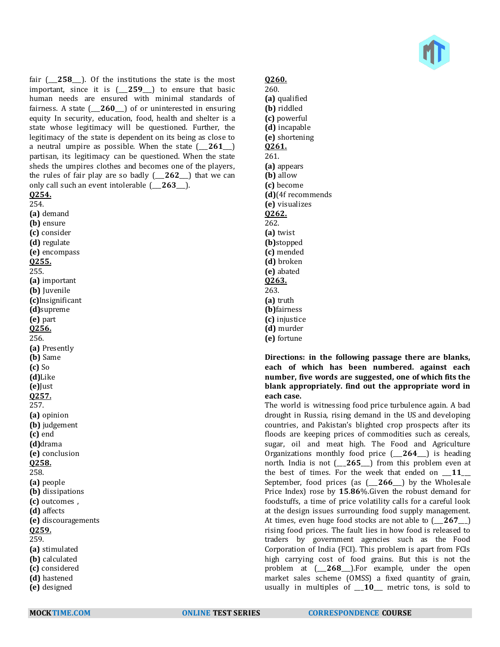fair (\_\_\_**258**\_\_\_). Of the institutions the state is the most important, since it is (\_\_\_**259**\_\_\_) to ensure that basic human needs are ensured with minimal standards of fairness. A state (\_\_\_**260**\_\_\_) of or uninterested in ensuring equity In security, education, food, health and shelter is a state whose legitimacy will be questioned. Further, the legitimacy of the state is dependent on its being as close to a neutral umpire as possible. When the state (\_\_\_**261**\_\_\_) partisan, its legitimacy can be questioned. When the state sheds the umpires clothes and becomes one of the players, the rules of fair play are so badly (\_\_\_**262**\_\_\_) that we can only call such an event intolerable (\_\_\_**263**\_\_\_).

**Q254.** 254. **(a)** demand **(b)** ensure **(c)** consider **(d)** regulate **(e)** encompass **Q255.** 255. **(a)** important **(b)** Juvenile **(c)**Insignificant **(d)**supreme **(e)** part **Q256.** 256. **(a)** Presently **(b)** Same **(c)** So **(d)**Like **(e)**Just **Q257.** 257. **(a)** opinion **(b)** judgement **(c)** end **(d)**drama **(e)** conclusion **Q258.** 258. **(a)** people **(b)** dissipations **(c)** outcomes , **(d)** affects **(e)** discouragements **Q259.** 259. **(a)** stimulated **(b)** calculated **(c)** considered **(d)** hastened **(e)** designed

260. **(a)** qualified **(b)** riddled **(c)** powerful **(d)** incapable **(e)** shortening **Q261.** 261. **(a)** appears **(b)** allow **(c)** become **(d)**(4f recommends **(e)** visualizes **Q262.** 262. **(a)** twist **(b)**stopped **(c)** mended **(d)** broken **(e)** abated **Q263.** 263. **(a)** truth **(b)**fairness **(c)** injustice **(d)** murder **(e)** fortune

### **Directions: in the following passage there are blanks, each of which has been numbered. against each number, five words are suggested, one of which fits the blank appropriately. find out the appropriate word in each case.**

The world is witnessing food price turbulence again. A bad drought in Russia, rising demand in the US and developing countries, and Pakistan's blighted crop prospects after its floods are keeping prices of commodities such as cereals, sugar, oil and meat high. The Food and Agriculture Organizations monthly food price (\_\_\_**264**\_\_\_) is heading north. India is not (\_\_\_**265**\_\_\_) from this problem even at the best of times. For the week that ended on \_\_\_**11**\_\_\_ September, food prices (as (\_\_\_**266**\_\_\_) by the Wholesale Price Index) rose by **15**.**86**%.Given the robust demand for foodstuffs, a time of price volatility calls for a careful look at the design issues surrounding food supply management. At times, even huge food stocks are not able to (\_\_\_**267**\_\_\_) rising food prices. The fault lies in how food is released to traders by government agencies such as the Food Corporation of India (FCI). This problem is apart from FCIs high carrying cost of food grains. But this is not the problem at (\_\_\_**268**\_\_\_).For example, under the open market sales scheme (OMSS) a fixed quantity of grain, usually in multiples of \_\_\_**10**\_\_\_ metric tons, is sold to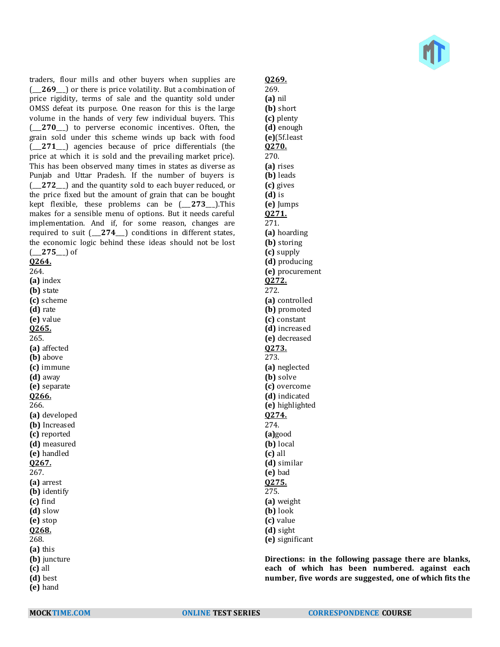traders, flour mills and other buyers when supplies are (\_\_\_**269**\_\_\_) or there is price volatility. But a combination of price rigidity, terms of sale and the quantity sold under OMSS defeat its purpose. One reason for this is the large volume in the hands of very few individual buyers. This (\_\_\_**270**\_\_\_) to perverse economic incentives. Often, the grain sold under this scheme winds up back with food (\_\_\_**271**\_\_\_) agencies because of price differentials (the price at which it is sold and the prevailing market price). This has been observed many times in states as diverse as Punjab and Uttar Pradesh. If the number of buyers is (\_\_\_**272**\_\_\_) and the quantity sold to each buyer reduced, or the price fixed but the amount of grain that can be bought kept flexible, these problems can be (\_\_\_**273**\_\_\_).This makes for a sensible menu of options. But it needs careful implementation. And if, for some reason, changes are required to suit (\_\_\_**274**\_\_\_) conditions in different states, the economic logic behind these ideas should not be lost (\_\_\_**275**\_\_\_) of **Q264.** 264.

**(a)** index **(b)** state **(c)** scheme **(d)** rate **(e)** value **Q265.** 265. **(a)** affected **(b)** above **(c)** immune **(d)** away **(e)** separate **Q266.** 266. **(a)** developed **(b)** Increased **(c)** reported **(d)** measured **(e)** handled **Q267.** 267. **(a)** arrest **(b)** identify **(c)** find **(d)** slow **(e)** stop **Q268.** 268. **(a)** this **(b)** juncture **(c)** all **(d)** best **(e)** hand

**Q269.** 269. **(a)** nil **(b)** short **(c)** plenty **(d)** enough **(e)**(5f.least **Q270.** 270. **(a)** rises **(b)** leads **(c)** gives **(d)** is **(e)** Jumps **Q271.** 271. **(a)** hoarding **(b)** storing **(c)** supply **(d)** producing **(e)** procurement **Q272.** 272. **(a)** controlled **(b)** promoted **(c)** constant **(d)** increased **(e)** decreased **Q273.** 273. **(a)** neglected **(b)** solve **(c)** overcome **(d)** indicated **(e)** highlighted **Q274.** 274. **(a)**good **(b)** local **(c)** all **(d)** similar **(e)** bad **Q275.** 275. **(a)** weight **(b)** look **(c)** value **(d)** sight **(e)** significant

**Directions: in the following passage there are blanks, each of which has been numbered. against each number, five words are suggested, one of which fits the**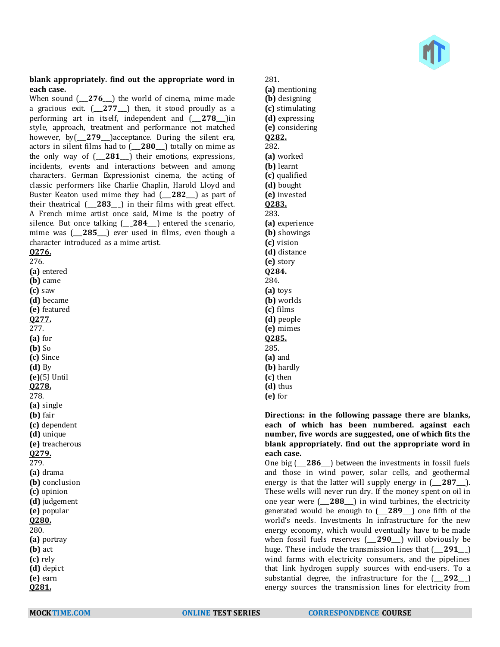

#### **blank appropriately. find out the appropriate word in each case.**

When sound  $(-276)$  the world of cinema, mime made a gracious exit. (\_\_\_**277**\_\_\_) then, it stood proudly as a performing art in itself, independent and (\_\_\_**278**\_\_\_)in style, approach, treatment and performance not matched however, by(\_\_\_**279**\_\_\_)acceptance. During the silent era, actors in silent films had to (\_\_\_**280**\_\_\_) totally on mime as the only way of (\_\_\_**281**\_\_\_) their emotions, expressions, incidents, events and interactions between and among characters. German Expressionist cinema, the acting of classic performers like Charlie Chaplin, Harold Lloyd and Buster Keaton used mime they had (\_\_\_**282**\_\_\_) as part of their theatrical (\_\_\_**283**\_\_\_) in their films with great effect. A French mime artist once said, Mime is the poetry of silence. But once talking (\_\_\_**284**\_\_\_) entered the scenario, mime was (\_\_\_**285**\_\_\_) ever used in films, even though a character introduced as a mime artist. **Q276.**

276. **(a)** entered **(b)** came **(c)** saw **(d)** became **(e)** featured **Q277.** 277. **(a)** for **(b)** So **(c)** Since **(d)** By **(e)**(5J Until **Q278.** 278. **(a)** single **(b)** fair **(c)** dependent **(d)** unique **(e)** treacherous **Q279.** 279. **(a)** drama **(b)** conclusion **(c)** opinion **(d)** judgement **(e)** popular **Q280.** 280. **(a)** portray **(b)** act **(c)** rely **(d)** depict **(e)** earn **Q281.**

281. **(a)** mentioning **(b)** designing **(c)** stimulating **(d)** expressing **(e)** considering **Q282.** 282. **(a)** worked **(b)** learnt **(c)** qualified **(d)** bought **(e)** invested **Q283.** 283. **(a)** experience **(b)** showings **(c)** vision **(d)** distance **(e)** story **Q284.** 284. **(a)** toys **(b)** worlds **(c)** films **(d)** people **(e)** mimes **Q285.** 285. **(a)** and **(b)** hardly **(c)** then **(d)** thus

**(e)** for

**Directions: in the following passage there are blanks, each of which has been numbered. against each number, five words are suggested, one of which fits the blank appropriately. find out the appropriate word in each case.**

One big (\_\_\_**286**\_\_\_) between the investments in fossil fuels and those in wind power, solar cells, and geothermal energy is that the latter will supply energy in  $(-287)$ . These wells will never run dry. If the money spent on oil in one year were (\_\_\_**288**\_\_\_) in wind turbines, the electricity generated would be enough to (\_\_\_**289**\_\_\_) one fifth of the world's needs. Investments In infrastructure for the new energy economy, which would eventually have to be made when fossil fuels reserves (\_\_\_**290**\_\_\_) will obviously be huge. These include the transmission lines that (\_\_\_**291**\_\_\_) wind farms with electricity consumers, and the pipelines that link hydrogen supply sources with end-users. To a substantial degree, the infrastructure for the (\_\_\_**292**\_\_\_) energy sources the transmission lines for electricity from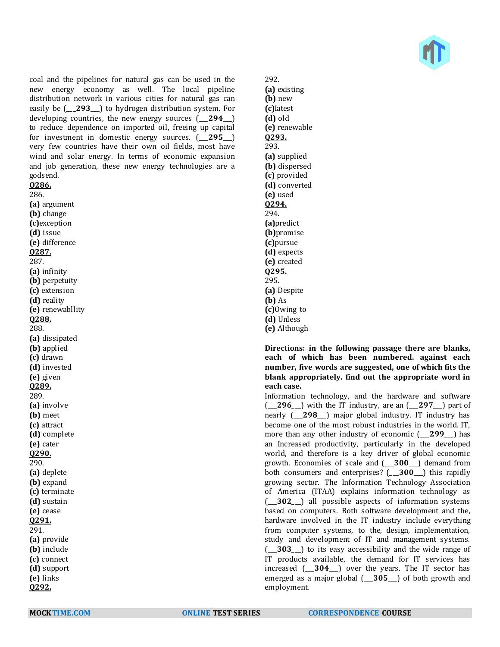

coal and the pipelines for natural gas can be used in the new energy economy as well. The local pipeline distribution network in various cities for natural gas can easily be (\_\_\_**293**\_\_\_) to hydrogen distribution system. For developing countries, the new energy sources (\_\_\_**294**\_\_\_) to reduce dependence on imported oil, freeing up capital for investment in domestic energy sources. (\_\_\_**295**\_\_\_) very few countries have their own oil fields, most have wind and solar energy. In terms of economic expansion and job generation, these new energy technologies are a godsend.

#### **Q286.**

286. **(a)** argument **(b)** change **(c)**exception **(d)** issue **(e)** difference **Q287.** 287. **(a)** infinity **(b)** perpetuity **(c)** extension **(d)** reality **(e)** renewabllity **Q288.** 288. **(a)** dissipated **(b)** applied **(c)** drawn **(d)** invested **(e)** given **Q289.** 289. **(a)** involve **(b)** meet **(c)** attract **(d)** complete **(e)** cater **Q290.** 290. **(a)** deplete **(b)** expand **(c)** terminate **(d)** sustain **(e)** cease **Q291.** 291. **(a)** provide **(b)** include **(c)** connect **(d)** support **(e)** links **Q292.**

292. **(a)** existing **(b)** new **(c)**Iatest **(d)** old **(e)** renewable **Q293.** 293. **(a)** supplied **(b)** dispersed **(c)** provided **(d)** converted **(e)** used **Q294.** 294. **(a)**predict **(b)**promise **(c)**pursue **(d)** expects **(e)** created **Q295.** 295. **(a)** Despite **(b)** As **(c)**Owing to **(d)** Unless **(e)** Although

**Directions: in the following passage there are blanks, each of which has been numbered. against each number, five words are suggested, one of which fits the blank appropriately. find out the appropriate word in each case.**

Information technology, and the hardware and software (\_\_\_**296**\_\_\_) with the IT industry, are an (\_\_\_**297**\_\_\_) part of nearly (\_\_\_**298**\_\_\_) major global industry. IT industry has become one of the most robust industries in the world. IT, more than any other industry of economic (\_\_\_**299**\_\_\_) has an Increased productivity, particularly in the developed world, and therefore is a key driver of global economic growth. Economies of scale and (\_\_\_**300**\_\_\_) demand from both consumers and enterprises? (\_\_\_**300**\_\_\_) this rapidly growing sector. The Information Technology Association of America (ITAA) explains information technology as (\_\_\_**302**\_\_\_) all possible aspects of information systems based on computers. Both software development and the, hardware involved in the IT industry include everything from computer systems, to the, design, implementation, study and development of IT and management systems. (\_\_\_**303**\_\_\_) to its easy accessibility and the wide range of IT products available, the demand for IT services has increased (\_\_\_**304**\_\_\_) over the years. The IT sector has emerged as a major global (\_\_\_**305**\_\_\_) of both growth and employment.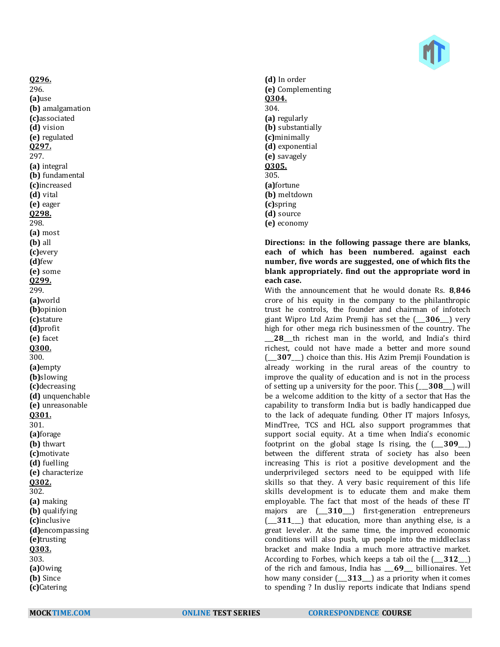

**Q296.** 296. **(a)**use **(b)** amalgamation **(c)**associated **(d)** vision **(e)** regulated **Q297.** 297. **(a)** integral **(b)** fundamental **(c)**increased **(d)** vital **(e)** eager **Q298.** 298. **(a)** most **(b)** all **(c)**every **(d)**few **(e)** some **Q299.** 299. **(a)**world **(b)**opinion **(c)**stature **(d)**profit **(e)** facet **Q300.** 300. **(a)**empty **(b)**slowing **(c)**decreasing **(d)** unquenchable **(e)** unreasonable **Q301.** 301. **(a)**forage **(b)** thwart **(c)**motivate **(d)** fuelling **(e)** characterize **Q302.** 302. **(a)** making **(b)** qualifying **(c)**inclusive **(d)**encompassing **(e)**trusting **Q303.** 303. **(a)**Owing **(b)** Since **(c)**Catering

**(d)** In order **(e)** Complementing **Q304.** 304. **(a)** regularly **(b)** substantially **(c)**minimally **(d)** exponential **(e)** savagely **Q305.** 305. **(a)**fortune **(b)** meltdown **(c)**spring **(d)** source **(e)** economy

### **Directions: in the following passage there are blanks, each of which has been numbered. against each number, five words are suggested, one of which fits the blank appropriately. find out the appropriate word in each case.**

With the announcement that he would donate Rs. **8**,**846** crore of his equity in the company to the philanthropic trust he controls, the founder and chairman of infotech giant Wipro Ltd Azim Premji has set the (\_\_\_**306**\_\_\_) very high for other mega rich businessmen of the country. The 28 th richest man in the world, and India's third richest, could not have made a better and more sound (\_\_\_**307**\_\_\_) choice than this. His Azim Premji Foundation is already working in the rural areas of the country to improve the quality of education and is not in the process of setting up a university for the poor. This (\_\_\_**308**\_\_\_) will be a welcome addition to the kitty of a sector that Has the capability to transform India but is badly handicapped due to the lack of adequate funding. Other IT majors Infosys, MindTree, TCS and HCL also support programmes that support social equity. At a time when India's economic footprint on the global stage Is rising, the (\_\_\_**309**\_\_\_) between the different strata of society has also been increasing This is riot a positive development and the underprivileged sectors need to be equipped with life skills so that they. A very basic requirement of this life skills development is to educate them and make them employable. The fact that most of the heads of these IT majors are (\_\_\_**310**\_\_\_) first-generation entrepreneurs (\_\_\_**311**\_\_\_) that education, more than anything else, is a great leveler. At the same time, the improved economic conditions will also push, up people into the middleclass bracket and make India a much more attractive market. According to Forbes, which keeps a tab oil the (\_\_\_**312**\_\_\_) of the rich and famous, India has \_\_\_**69**\_\_\_ billionaires. Yet how many consider (\_\_\_**313**\_\_\_) as a priority when it comes to spending ? In dusliy reports indicate that Indians spend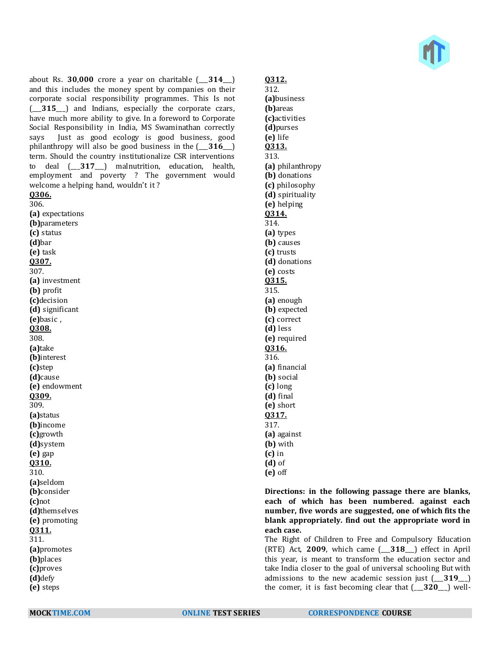about Rs. **30**,**000** crore a year on charitable (\_\_\_**314**\_\_\_) and this includes the money spent by companies on their corporate social responsibility programmes. This Is not (\_\_\_**315**\_\_\_) and Indians, especially the corporate czars, have much more ability to give. In a foreword to Corporate Social Responsibility in India, MS Swaminathan correctly says Just as good ecology is good business, good philanthropy will also be good business in the (\_\_\_**316**\_\_\_) term. Should the country institutionalize CSR interventions to deal (\_\_\_**317**\_\_\_) malnutrition, education, health, employment and poverty ? The government would welcome a helping hand, wouldn't it ?

**Q306.**

306. **(a)** expectations **(b)**parameters **(c)** status **(d)**bar **(e)** task **Q307.** 307. **(a)** investment **(b)** profit **(c)**decision **(d)** significant **(e)**basic , **Q308.** 308. **(a)**take **(b)**interest **(c)**step **(d)**cause **(e)** endowment **Q309.** 309. **(a)**status **(b)**income **(c)**growth **(d)**system **(e)** gap **Q310.** 310. **(a)**seldom **(b)**consider **(c)**not **(d)**themselves **(e)** promoting **Q311.** 311. **(a)**promotes **(b)**places **(c)**proves **(d)**defy **(e)** steps

# **Q312.**

312. **(a)**business **(b)**areas **(c)**activities **(d)**purses **(e)** life **Q313.** 313. **(a)** philanthropy **(b)** donations **(c)** philosophy **(d)** spirituality **(e)** helping **Q314.** 314. **(a)** types **(b)** causes **(c)** trusts **(d)** donations **(e)** costs **Q315.** 315. **(a)** enough **(b)** expected **(c)** correct **(d)** less **(e)** required **Q316.** 316. **(a)** financial **(b)** social **(c)** long **(d)** final **(e)** short **Q317.** 317. **(a)** against **(b)** with **(c)** in **(d)** of **(e)** off

**Directions: in the following passage there are blanks, each of which has been numbered. against each number, five words are suggested, one of which fits the blank appropriately. find out the appropriate word in each case.**

The Right of Children to Free and Compulsory Education (RTE) Act, **2009**, which came (\_\_\_**318**\_\_\_) effect in April this year, is meant to transform the education sector and take India closer to the goal of universal schooling But with admissions to the new academic session just (\_\_\_**319**\_\_\_) the comer, it is fast becoming clear that (\_\_\_**320**\_\_\_) well-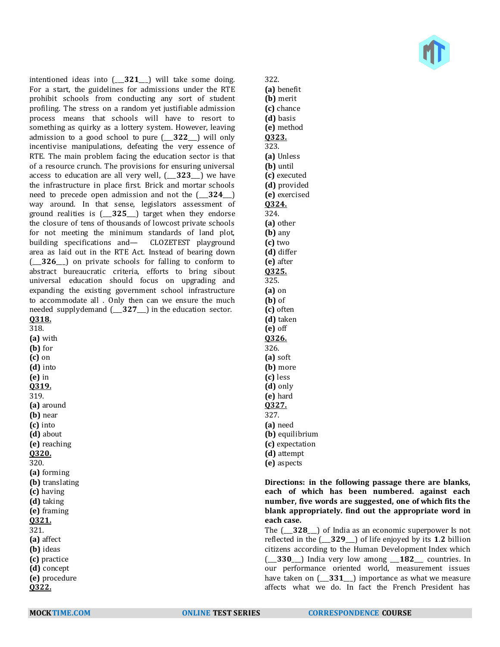intentioned ideas into (\_\_\_**321**\_\_\_) will take some doing. For a start, the guidelines for admissions under the RTE prohibit schools from conducting any sort of student profiling. The stress on a random yet justifiable admission process means that schools will have to resort to something as quirky as a lottery system. However, leaving admission to a good school to pure (\_\_\_**322**\_\_\_) will only incentivise manipulations, defeating the very essence of RTE. The main problem facing the education sector is that of a resource crunch. The provisions for ensuring universal access to education are all very well, (\_\_\_**323**\_\_\_) we have the infrastructure in place first. Brick and mortar schools need to precede open admission and not the (\_\_\_**324**\_\_\_) way around. In that sense, legislators assessment of ground realities is (\_\_\_**325**\_\_\_) target when they endorse the closure of tens of thousands of lowcost private schools for not meeting the minimum standards of land plot, building specifications and— CLOZETEST playground area as laid out in the RTE Act. Instead of bearing down (\_\_\_**326**\_\_\_) on private schools for falling to conform to abstract bureaucratic criteria, efforts to bring sibout universal education should focus on upgrading and expanding the existing government school infrastructure to accommodate all . Only then can we ensure the much needed supplydemand (\_\_\_**327**\_\_\_) in the education sector. **Q318.** 318. **(a)** with **(b)** for

**(c)** on **(d)** into **(e)** in **Q319.** 319. **(a)** around **(b)** near **(c)** into **(d)** about **(e)** reaching **Q320.** 320. **(a)** forming **(b)** translating **(c)** having **(d)** taking **(e)** framing **Q321.** 321. **(a)** affect **(b)** ideas **(c)** practice **(d)** concept **(e)** procedure

**(a)** benefit **(c)** chance **(e)** method **(a)** Unless **(c)** executed **(d)** provided **(e)** exercised

322.

**(b)** merit

**(d)** basis

**Q323.** 323.

**(b)** until

**Q324.** 324. **(a)** other **(b)** any

- **(c)** two **(d)** differ **(e)** after **Q325.** 325. **(a)** on **(b)** of **(c)** often **(d)** taken **(e)** off **Q326.** 326. **(a)** soft **(b)** more **(c)** less **(d)** only **(e)** hard **Q327.** 327.
- **(a)** need **(b)** equilibrium **(c)** expectation
- **(d)** attempt
- **(e)** aspects

**Directions: in the following passage there are blanks, each of which has been numbered. against each number, five words are suggested, one of which fits the blank appropriately. find out the appropriate word in each case.**

The (\_\_\_**328**\_\_\_) of India as an economic superpower Is not reflected in the (\_\_\_**329**\_\_\_) of life enjoyed by its **1**.**2** billion citizens according to the Human Development Index which (\_\_\_**330**\_\_\_) India very low among \_\_\_**182**\_\_\_ countries. In our performance oriented world, measurement issues have taken on (\_\_\_**331**\_\_\_) importance as what we measure affects what we do. In fact the French President has

**Q322.**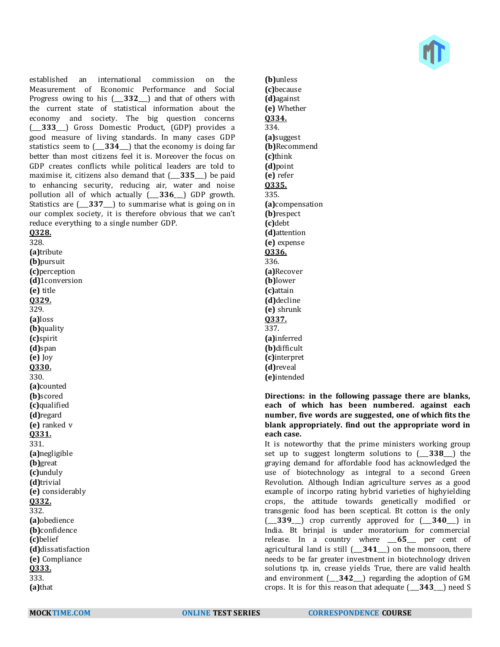

established an international commission on the Measurement of Economic Performance and Social Progress owing to his (\_\_\_**332**\_\_\_) and that of others with the current state of statistical information about the economy and society. The big question concerns (\_\_\_**333**\_\_\_) Gross Domestic Product, (GDP) provides a good measure of living standards. In many cases GDP statistics seem to (\_\_\_**334**\_\_\_) that the economy is doing far better than most citizens feel it is. Moreover the focus on GDP creates conflicts while political leaders are told to maximise it, citizens also demand that (\_\_\_**335**\_\_\_) be paid to enhancing security, reducing air, water and noise pollution all of which actually (\_\_\_**336**\_\_\_) GDP growth. Statistics are (\_\_\_**337**\_\_\_) to summarise what is going on in our complex society, it is therefore obvious that we can't reduce everything to a single number GDP.

### **Q328.** 328. **(a)**tribute **(b)**pursuit **(c)**perception **(d)**1conversion **(e)** title **Q329.** 329. **(a)**loss **(b)**quality **(c)**spirit **(d)**span **(e)** Joy **Q330.** 330. **(a)**counted **(b)**scored **(c)**qualified **(d)**regard **(e)** ranked v **Q331.** 331. **(a)**negligible **(b)**great **(c)**unduly **(d)**trivial **(e)** considerably **Q332.** 332. **(a)**obedience **(b)**confidence **(c)**belief **(d)**dissatisfaction **(e)** Compliance **Q333.** 333. **(a)**that

**(b)**unless **(c)**because **(d)**against **(e)** Whether **Q334.** 334. **(a)**suggest **(b)**Recommend **(c)**think **(d)**point **(e)** refer **Q335.** 335. **(a)**compensation **(b)**respect **(c)**debt **(d)**attention **(e)** expense **Q336.** 336. **(a)**Recover **(b)**lower **(c)**attain **(d)**decline **(e)** shrunk **Q337.** 337. **(a)**inferred **(b)**difficult **(c)**interpret **(d)**reveal **(e)**intended

#### **Directions: in the following passage there are blanks, each of which has been numbered. against each number, five words are suggested, one of which fits the blank appropriately. find out the appropriate word in each case.**

It is noteworthy that the prime ministers working group set up to suggest longterm solutions to (\_\_\_**338**\_\_\_) the graying demand for affordable food has acknowledged the use of biotechnology as integral to a second Green Revolution. Although Indian agriculture serves as a good example of incorpo rating hybrid varieties of highyielding crops, the attitude towards genetically modified or transgenic food has been sceptical. Bt cotton is the only (\_\_\_**339**\_\_\_) crop currently approved for (\_\_\_**340**\_\_\_) in India. Bt brinjal is under moratorium for commercial release. In a country where \_\_\_**65**\_\_\_ per cent of agricultural land is still (\_\_\_**341**\_\_\_) on the monsoon, there needs to be far greater investment in biotechnology driven solutions tp. in, crease yields True, there are valid health and environment (\_\_\_**342**\_\_\_) regarding the adoption of GM crops. It is for this reason that adequate (\_\_\_**343**\_\_\_) need S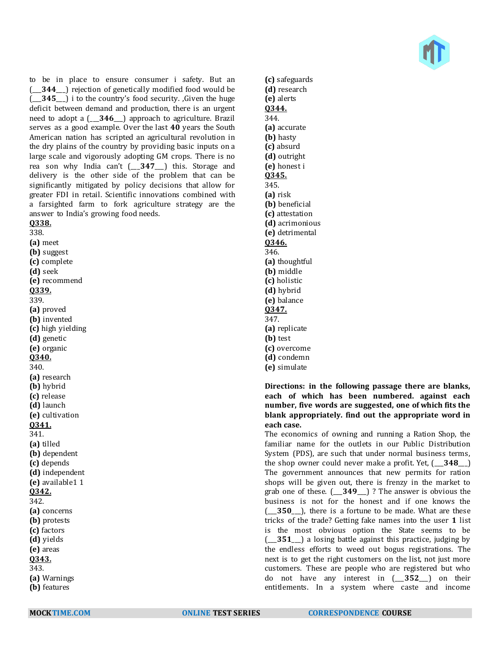

to be in place to ensure consumer i safety. But an (\_\_\_**344**\_\_\_) rejection of genetically modified food would be (\_\_\_**345**\_\_\_) i to the country's food security. ,Given the huge deficit between demand and production, there is an urgent need to adopt a (\_\_\_**346**\_\_\_) approach to agriculture. Brazil serves as a good example. Over the last **40** years the South American nation has scripted an agricultural revolution in the dry plains of the country by providing basic inputs on a large scale and vigorously adopting GM crops. There is no rea son why India can't (\_\_\_**347**\_\_\_) this. Storage and delivery is the other side of the problem that can be significantly mitigated by policy decisions that allow for greater FDI in retail. Scientific innovations combined with a farsighted farm to fork agriculture strategy are the answer to India's growing food needs. **Q338.**

338. **(a)** meet **(b)** suggest **(c)** complete **(d)** seek **(e)** recommend **Q339.** 339. **(a)** proved **(b)** invented **(c)** high yielding **(d)** genetic **(e)** organic **Q340.** 340. **(a)** research **(b)** hybrid **(c)** release **(d)** launch **(e)** cultivation **Q341.** 341. **(a)** tilled **(b)** dependent **(c)** depends **(d)** independent **(e)** available1 1 **Q342.** 342. **(a)** concerns **(b)** protests **(c)** factors **(d)** yields **(e)** areas **Q343.** 343. **(a)** Warnings **(b)** features

**(d)** research **(e)** alerts **Q344.** 344. **(a)** accurate **(b)** hasty **(c)** absurd **(d)** outright **(e)** honest i **Q345.** 345. **(a)** risk **(b)** beneficial **(c)** attestation **(d)** acrimonious **(e)** detrimental **Q346.** 346. **(a)** thoughtful **(b)** middle **(c)** holistic **(d)** hybrid **(e)** balance **Q347.** 347. **(a)** replicate **(b)** test **(c)** overcome **(d)** condemn

**(c)** safeguards

## **(e)** simulate **Directions: in the following passage there are blanks, each of which has been numbered. against each number, five words are suggested, one of which fits the blank appropriately. find out the appropriate word in**

**each case.** The economics of owning and running a Ration Shop, the familiar name for the outlets in our Public Distribution System (PDS), are such that under normal business terms, the shop owner could never make a profit. Yet, (\_\_\_**348**\_\_\_) The government announces that new permits for ration shops will be given out, there is frenzy in the market to grab one of these. (\_\_\_**349**\_\_\_) ? The answer is obvious the business is not for the honest and if one knows the (\_\_\_**350**\_\_\_), there is a fortune to be made. What are these tricks of the trade? Getting fake names into the user **1** list is the most obvious option the State seems to be (\_\_\_**351**\_\_\_) a losing battle against this practice, judging by the endless efforts to weed out bogus registrations. The next is to get the right customers on the list, not just more customers. These are people who are registered but who do not have any interest in (\_\_\_**352**\_\_\_) on their entitlements. In a system where caste and income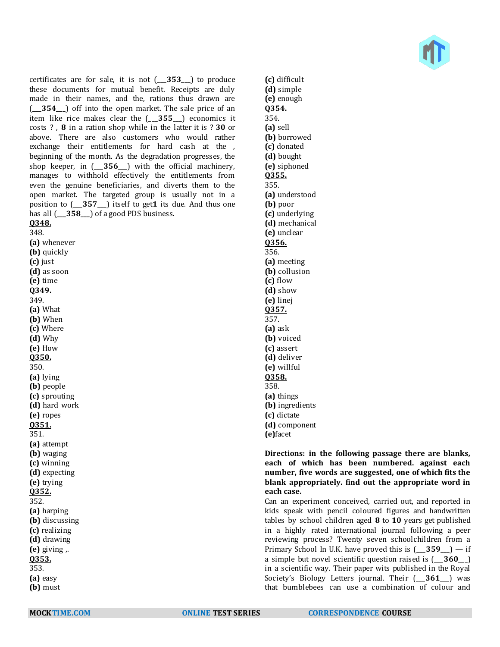certificates are for sale, it is not (\_\_\_**353**\_\_\_) to produce these documents for mutual benefit. Receipts are duly made in their names, and the, rations thus drawn are (\_\_\_**354**\_\_\_) off into the open market. The sale price of an item like rice makes clear the (\_\_\_**355**\_\_\_) economics it costs ? , **8** in a ration shop while in the latter it is ? **30** or above. There are also customers who would rather exchange their entitlements for hard cash at the , beginning of the month. As the degradation progresses, the shop keeper, in (\_\_\_**356**\_\_\_) with the official machinery, manages to withhold effectively the entitlements from even the genuine beneficiaries, and diverts them to the open market. The targeted group is usually not in a position to (\_\_\_**357**\_\_\_) itself to get**1** its due. And thus one has all  $($  358  $)$  of a good PDS business.

**Q348.** 348. **(a)** whenever **(b)** quickly **(c)** just **(d)** as soon **(e)** time **Q349.** 349. **(a)** What **(b)** When **(c)** Where **(d)** Why **(e)** How **Q350.** 350. **(a)** lying **(b)** people **(c)** sprouting **(d)** hard work **(e)** ropes **Q351.** 351. **(a)** attempt **(b)** waging **(c)** winning **(d)** expecting **(e)** trying **Q352.** 352. **(a)** harping **(b)** discussing **(c)** realizing **(d)** drawing **(e)** giving ,. **Q353.** 353. **(a)** easy **(b)** must

**(c)** difficult **(d)** simple **(e)** enough **Q354.** 354. **(a)** sell **(b)** borrowed **(c)** donated **(d)** bought **(e)** siphoned **Q355.** 355. **(a)** understood **(b)** poor **(c)** underlying **(d)** mechanical **(e)** unclear **Q356.** 356. **(a)** meeting **(b)** collusion **(c)** flow **(d)** show **(e)** linej **Q357.** 357. **(a)** ask **(b)** voiced **(c)** assert **(d)** deliver **(e)** willful **Q358.** 358. **(a)** things **(b)** ingredients **(c)** dictate **(d)** component **(e)**facet

#### **Directions: in the following passage there are blanks, each of which has been numbered. against each number, five words are suggested, one of which fits the blank appropriately. find out the appropriate word in each case.**

Can an experiment conceived, carried out, and reported in kids speak with pencil coloured figures and handwritten tables by school children aged **8** to **10** years get published in a highly rated international journal following a peer reviewing process? Twenty seven schoolchildren from a Primary School In U.K. have proved this is  $(-359) -$  if a simple but novel scientific question raised is (\_\_\_**360**\_\_\_) in a scientific way. Their paper wits published in the Royal Society's Biology Letters journal. Their (\_\_\_**361**\_\_\_) was that bumblebees can use a combination of colour and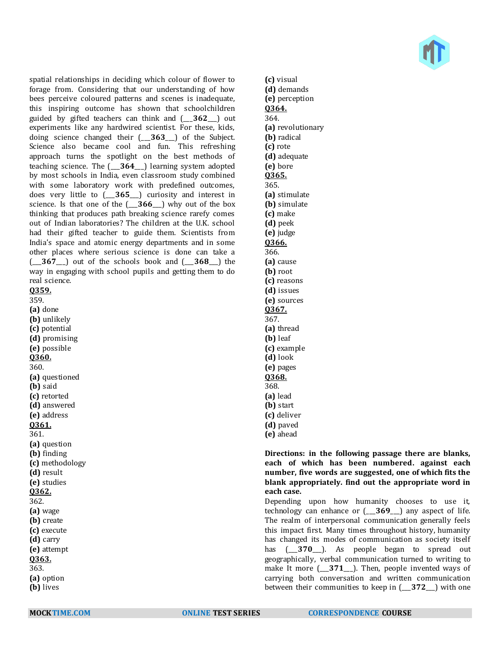

spatial relationships in deciding which colour of flower to forage from. Considering that our understanding of how bees perceive coloured patterns and scenes is inadequate, this inspiring outcome has shown that schoolchildren guided by gifted teachers can think and (\_\_\_**362**\_\_\_) out experiments like any hardwired scientist. For these, kids, doing science changed their (\_\_\_**363**\_\_\_) of the Subject. Science also became cool and fun. This refreshing approach turns the spotlight on the best methods of teaching science. The (\_\_\_**364**\_\_\_) learning system adopted by most schools in India, even classroom study combined with some laboratory work with predefined outcomes, does very little to (\_\_\_**365**\_\_\_) curiosity and interest in science. Is that one of the (\_\_\_**366**\_\_\_) why out of the box thinking that produces path breaking science rarefy comes out of Indian laboratories? The children at the U.K. school had their gifted teacher to guide them. Scientists from India's space and atomic energy departments and in some other places where serious science is done can take a (\_\_\_**367**\_\_\_) out of the schools book and (\_\_\_**368**\_\_\_) the way in engaging with school pupils and getting them to do real science. **Q359.**

359.

**(a)** done **(b)** unlikely **(c)** potential **(d)** promising **(e)** possible **Q360.** 360. **(a)** questioned **(b)** said **(c)** retorted **(d)** answered **(e)** address **Q361.** 361. **(a)** question **(b)** finding **(c)** methodology **(d)** result **(e)** studies **Q362.** 362. **(a)** wage **(b)** create **(c)** execute **(d)** carry **(e)** attempt **Q363.** 363. **(a)** option **(b)** lives

**(c)** visual **(d)** demands **(e)** perception **Q364.** 364. **(a)** revolutionary **(b)** radical **(c)** rote **(d)** adequate **(e)** bore **Q365.** 365. **(a)** stimulate **(b)** simulate **(c)** make **(d)** peek **(e)** judge **Q366.** 366. **(a)** cause **(b)** root **(c)** reasons **(d)** issues **(e)** sources **Q367.** 367. **(a)** thread **(b)** leaf **(c)** example **(d)** look **(e)** pages **Q368.** 368. **(a)** lead **(b)** start **(c)** deliver **(d)** paved **(e)** ahead

#### **Directions: in the following passage there are blanks, each of which has been numbered. against each number, five words are suggested, one of which fits the blank appropriately. find out the appropriate word in each case.**

Depending upon how humanity chooses to use it, technology can enhance or (\_\_\_**369**\_\_\_) any aspect of life. The realm of interpersonal communication generally feels this impact first. Many times throughout history, humanity has changed its modes of communication as society itself has  $(-370)$ . As people began to spread out geographically, verbal communication turned to writing to make It more (\_\_\_**371**\_\_\_). Then, people invented ways of carrying both conversation and written communication between their communities to keep in (\_\_\_**372**\_\_\_) with one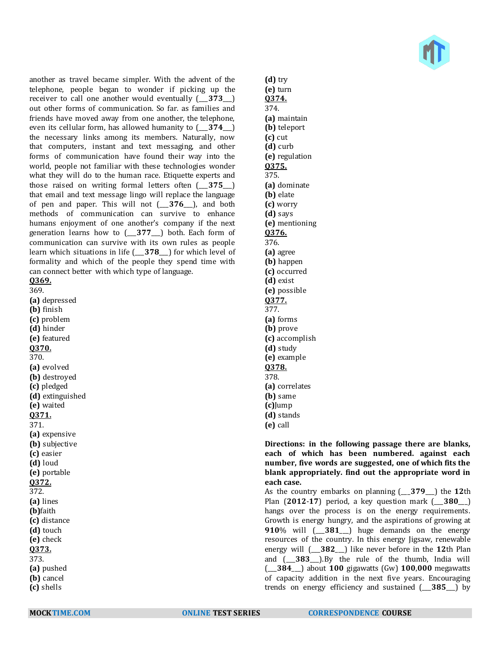

another as travel became simpler. With the advent of the telephone, people began to wonder if picking up the receiver to call one another would eventually (\_\_\_**373**\_\_\_) out other forms of communication. So far. as families and friends have moved away from one another, the telephone, even its cellular form, has allowed humanity to (\_\_\_**374**\_\_\_) the necessary links among its members. Naturally, now that computers, instant and text messaging, and other forms of communication have found their way into the world, people not familiar with these technologies wonder what they will do to the human race. Etiquette experts and those raised on writing formal letters often (\_\_\_**375**\_\_\_) that email and text message lingo will replace the language of pen and paper. This will not (\_\_\_**376**\_\_\_), and both methods of communication can survive to enhance humans enjoyment of one another's company if the next generation learns how to (\_\_\_**377**\_\_\_) both. Each form of communication can survive with its own rules as people learn which situations in life (\_\_\_**378**\_\_\_) for which level of formality and which of the people they spend time with can connect better with which type of language. **Q369.**

369.

**(a)** depressed **(b)** finish **(c)** problem **(d)** hinder **(e)** featured **Q370.** 370. **(a)** evolved **(b)** destroyed **(c)** pledged **(d)** extinguished **(e)** waited **Q371.** 371. **(a)** expensive **(b)** subjective **(c)** easier **(d)** loud **(e)** portable **Q372.** 372. **(a)** lines **(b)**faith **(c)** distance **(d)** touch **(e)** check **Q373.** 373. **(a)** pushed **(b)** cancel **(c)** shells

**(e)** turn **Q374.** 374. **(a)** maintain **(b)** teleport **(c)** cut **(d)** curb **(e)** regulation **Q375.** 375. **(a)** dominate **(b)** elate **(c)** worry **(d)** says **(e)** mentioning **Q376.** 376. **(a)** agree **(b)** happen **(c)** occurred **(d)** exist **(e)** possible **Q377.** 377. **(a)** forms **(b)** prove **(c)** accomplish **(d)** study **(e)** example **Q378.** 378. **(a)** correlates **(b)** same **(c)**Jump **(d)** stands **(e)** call

**(d)** try

**Directions: in the following passage there are blanks, each of which has been numbered. against each number, five words are suggested, one of which fits the blank appropriately. find out the appropriate word in each case.**

As the country embarks on planning (\_\_\_**379**\_\_\_) the **12**th Plan (**2012**-**17**) period, a key question mark (\_\_\_**380**\_\_\_) hangs over the process is on the energy requirements. Growth is energy hungry, and the aspirations of growing at **910**% will (\_\_\_**381**\_\_\_) huge demands on the energy resources of the country. In this energy Jigsaw, renewable energy will (\_\_\_**382**\_\_\_) like never before in the **12**th Plan and (\_\_\_**383**\_\_\_).By the rule of the thumb, India will (\_\_\_**384**\_\_\_) about **100** gigawatts (Gw) **100**,**000** megawatts of capacity addition in the next five years. Encouraging trends on energy efficiency and sustained (\_\_\_**385**\_\_\_) by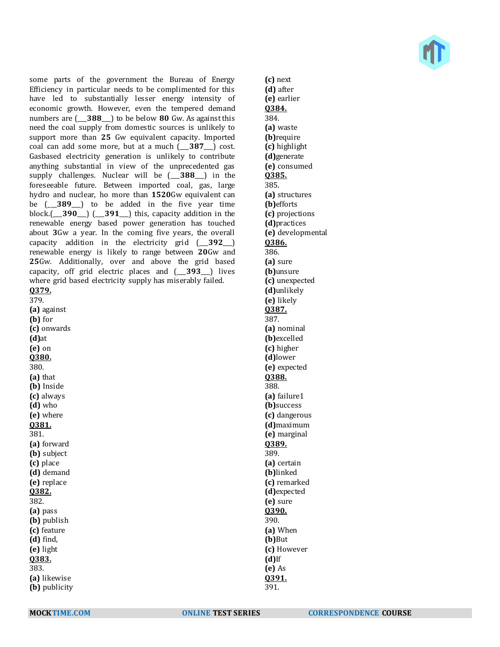

some parts of the government the Bureau of Energy Efficiency in particular needs to be complimented for this have led to substantially lesser energy intensity of economic growth. However, even the tempered demand numbers are (\_\_\_**388**\_\_\_) to be below **80** Gw. As against this need the coal supply from domestic sources is unlikely to support more than **25** Gw equivalent capacity. Imported coal can add some more, but at a much (\_\_\_**387**\_\_\_) cost. Gasbased electricity generation is unlikely to contribute anything substantial in view of the unprecedented gas supply challenges. Nuclear will be (\_\_\_**388**\_\_\_) in the foreseeable future. Between imported coal, gas, large hydro and nuclear, ho more than **1520**Gw equivalent can be (\_\_\_**389**\_\_\_) to be added in the five year time block.(\_\_\_**390**\_\_\_) (\_\_\_**391**\_\_\_) this, capacity addition in the renewable energy based power generation has touched about **3**Gw a year. In the coming five years, the overall capacity addition in the electricity grid (\_\_\_**392**\_\_\_) renewable energy is likely to range between **20**Gw and **25**Gw. Additionally, over and above the grid based capacity, off grid electric places and (\_\_\_**393**\_\_\_) lives where grid based electricity supply has miserably failed. **Q379.** 379. **(a)** against **(b)** for **(c)** onwards **(d)**at **(e)** on **Q380.** 380. **(a)** that **(b)** Inside **(c)** always **(d)** who **(e)** where **Q381.** 381. **(a)** forward **(b)** subject **(c)** place **(d)** demand **(e)** replace **Q382.** 382. **(a)** pass **(b)** publish **(c)** feature

**(d)** find, **(e)** light **Q383.** 383. **(a)** likewise **(b)** publicity **(c)** next **(d)** after **(e)** earlier **Q384.** 384. **(a)** waste **(b)**require **(c)** highlight **(d)**generate **(e)** consumed **Q385.** 385. **(a)** structures **(b)**efforts **(c)** projections **(d)**practices **(e)** developmental **Q386.** 386. **(a)** sure **(b)**unsure **(c)** unexpected **(d)**unlikely **(e)** likely **Q387.** 387. **(a)** nominal **(b)**excelled **(c)** higher **(d)**lower **(e)** expected **Q388.** 388. **(a)** failure1 **(b)**success **(c)** dangerous **(d)**maximum **(e)** marginal **Q389.** 389. **(a)** certain **(b)**linked **(c)** remarked **(d)**expected **(e)** sure **Q390.** 390. **(a)** When **(b)**But **(c)** However **(d)**If **(e)** As **Q391.**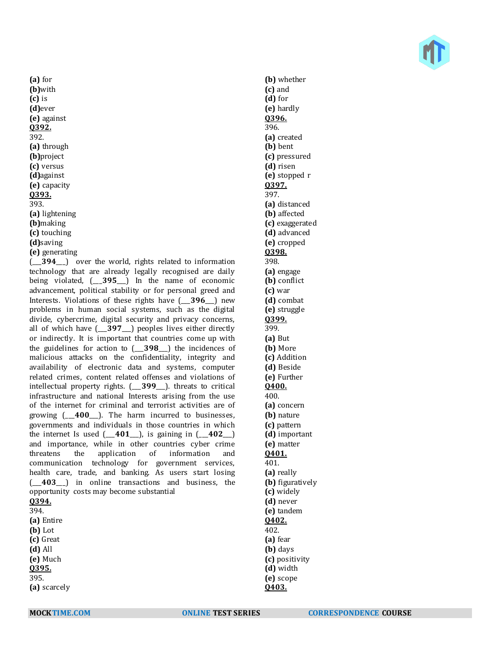**(a)** for **(b)**with **(c)** is **(d)**ever **(e)** against **Q392.** 392. **(a)** through **(b)**project **(c)** versus **(d)**against **(e)** capacity **Q393.** 393. **(a)** lightening **(b)**making **(c)** touching **(d)**saving **(e)** generating

(\_\_\_**394**\_\_\_) over the world, rights related to information technology that are already legally recognised are daily being violated, (\_\_\_**395**\_\_\_) In the name of economic advancement, political stability or for personal greed and Interests. Violations of these rights have (\_\_\_**396**\_\_\_) new problems in human social systems, such as the digital divide, cybercrime, digital security and privacy concerns, all of which have (\_\_\_**397**\_\_\_) peoples lives either directly or indirectly. It is important that countries come up with the guidelines for action to (\_\_\_**398**\_\_\_) the incidences of malicious attacks on the confidentiality, integrity and availability of electronic data and systems, computer related crimes, content related offenses and violations of intellectual property rights. (\_\_\_**399**\_\_\_). threats to critical infrastructure and national Interests arising from the use of the internet for criminal and terrorist activities are of growing (\_\_\_**400**\_\_\_). The harm incurred to businesses, governments and individuals in those countries in which the internet Is used (\_\_\_**401**\_\_\_), is gaining in (\_\_\_**402**\_\_\_) and importance, while in other countries cyber crime threatens the application of information and communication technology for government services, health care, trade, and banking. As users start losing (\_\_\_**403**\_\_\_) in online transactions and business, the opportunity costs may become substantial **Q394.** 394. **(a)** Entire **(b)** Lot

**(c)** Great **(d)** All **(e)** Much **Q395.** 395.

**(a)** scarcely

**(b)** whether **(c)** and **(d)** for **(e)** hardly **Q396.** 396. **(a)** created **(b)** bent **(c)** pressured **(d)** risen **(e)** stopped r **Q397.** 397. **(a)** distanced **(b)** affected **(c)** exaggerated **(d)** advanced **(e)** cropped **Q398.** 398. **(a)** engage **(b)** conflict **(c)** war **(d)** combat **(e)** struggle **Q399.** 399. **(a)** But **(b)** More **(c)** Addition **(d)** Beside **(e)** Further **Q400.** 400. **(a)** concern **(b)** nature **(c)** pattern **(d)** important **(e)** matter **Q401.** 401. **(a)** really **(b)** figuratively **(c)** widely **(d)** never **(e)** tandem **Q402.** 402. **(a)** fear **(b)** days **(c)** positivity **(d)** width **(e)** scope **Q403.**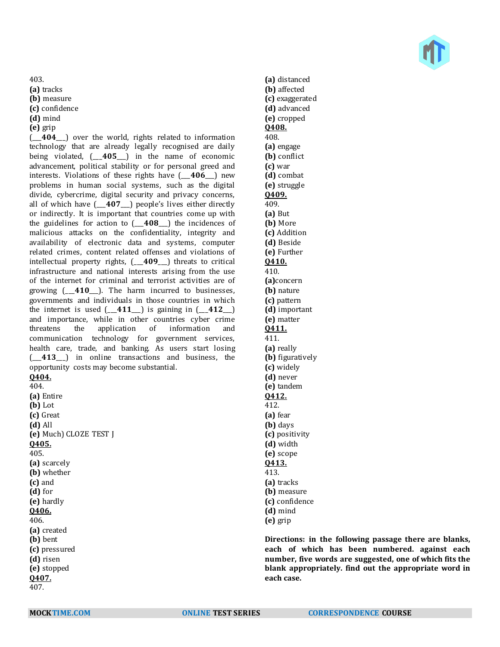403.

**(a)** tracks

**(b)** measure

**(c)** confidence

**(d)** mind

**(e)** grip

(\_\_\_**404**\_\_\_) over the world, rights related to information technology that are already legally recognised are daily being violated, (\_\_\_**405**\_\_\_) in the name of economic advancement, political stability or for personal greed and interests. Violations of these rights have (\_\_\_**406**\_\_\_) new problems in human social systems, such as the digital divide, cybercrime, digital security and privacy concerns, all of which have (\_\_\_**407**\_\_\_) people's lives either directly or indirectly. It is important that countries come up with the guidelines for action to (\_\_\_**408**\_\_\_) the incidences of malicious attacks on the confidentiality, integrity and availability of electronic data and systems, computer related crimes, content related offenses and violations of intellectual property rights, (\_\_\_**409**\_\_\_) threats to critical infrastructure and national interests arising from the use of the internet for criminal and terrorist activities are of growing (\_\_\_**410**\_\_\_). The harm incurred to businesses, governments and individuals in those countries in which the internet is used  $(-411)$  is gaining in  $(-412)$ and importance, while in other countries cyber crime threatens the application of information and communication technology for government services, health care, trade, and banking. As users start losing (\_\_\_**413**\_\_\_) in online transactions and business, the opportunity costs may become substantial. **Q404.** 404.

**(a)** Entire **(b)** Lot **(c)** Great **(d)** All **(e)** Much) CLOZE TEST J **Q405.** 405. **(a)** scarcely **(b)** whether **(c)** and **(d)** for **(e)** hardly **Q406.** 406. **(a)** created **(b)** bent **(c)** pressured **(d)** risen **(e)** stopped **Q407.** 407.



**(a)** distanced **(b)** affected **(c)** exaggerated **(d)** advanced **(e)** cropped **Q408.** 408. **(a)** engage **(b)** conflict **(c)** war **(d)** combat **(e)** struggle **Q409.** 409. **(a)** But **(b)** More **(c)** Addition **(d)** Beside **(e)** Further **Q410.** 410. **(a)**concern **(b)** nature **(c)** pattern **(d)** important **(e)** matter **Q411.** 411. **(a)** really **(b)** figuratively **(c)** widely **(d)** never **(e)** tandem **Q412.** 412. **(a)** fear **(b)** days **(c)** positivity **(d)** width **(e)** scope **Q413.** 413. **(a)** tracks **(b)** measure **(c)** confidence **(d)** mind **(e)** grip

**Directions: in the following passage there are blanks, each of which has been numbered. against each number, five words are suggested, one of which fits the blank appropriately. find out the appropriate word in each case.**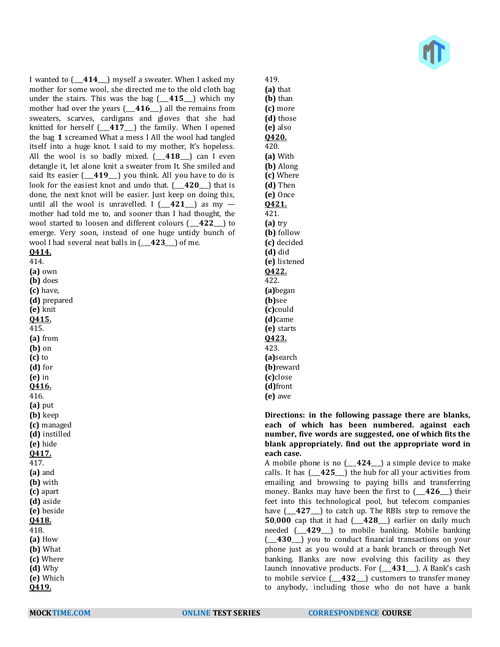

I wanted to (\_\_\_**414**\_\_\_) myself a sweater. When I asked my mother for some wool, she directed me to the old cloth bag under the stairs. This was the bag (\_\_\_**415**\_\_\_) which my mother had over the years (\_\_\_**416**\_\_\_) all the remains from sweaters, scarves, cardigans and gloves that she had knitted for herself (\_\_\_**417**\_\_\_) the family. When I opened the bag **1** screamed What a mess I All the wool had tangled itself into a huge knot. I said to my mother, It's hopeless. All the wool is so badly mixed. (\_\_\_**418**\_\_\_) can I even detangle it, let alone knit a sweater from It. She smiled and said Its easier (\_\_\_**419**\_\_\_) you think. All you have to do is look for the easiest knot and undo that. (\_\_\_**420**\_\_\_) that is done, the next knot will be easier. Just keep on doing this, until all the wool is unravelled. I  $(-421)$  as my mother had told me to, and sooner than I had thought, the wool started to loosen and different colours (\_\_\_**422**\_\_\_) to emerge. Very soon, instead of one huge untidy bunch of wool I had several neat balls in (\_\_\_**423**\_\_\_) of me. **Q414.**

414. **(a)** own **(b)** does **(c)** have, **(d)** prepared **(e)** knit **Q415.** 415. **(a)** from **(b)** on **(c)** to **(d)** for **(e)** in **Q416.** 416. **(a)** put **(b)** keep **(c)** managed **(d)** instilled **(e)** hide **Q417.** 417. **(a)** and **(b)** with **(c)** apart **(d)** aside **(e)** beside **Q418.** 418. **(a)** How **(b)** What **(c)** Where **(d)** Why **(e)** Which **Q419.**

**(b)** than **(c)** more **(d)** those **(e)** also **Q420.** 420. **(a)** With **(b)** Along **(c)** Where **(d)** Then **(e)** Once **Q421.** 421. **(a)** try **(b)** follow **(c)** decided **(d)** did **(e)** listened **Q422.** 422. **(a)**began **(b)**see **(c)**could **(d)**came **(e)** starts **Q423.** 423. **(a)**search **(b)**reward **(c)**close **(d)**front **(e)** awe

419. **(a)** that

**Directions: in the following passage there are blanks, each of which has been numbered. against each number, five words are suggested, one of which fits the blank appropriately. find out the appropriate word in each case.**

A mobile phone is no (\_\_\_**424**\_\_\_) a simple device to make calls. It has (\_\_\_**425**\_\_\_) the hub for all your activities from emailing and browsing to paying bills and transferring money. Banks may have been the first to (\_\_\_**426**\_\_\_) their feet into this technological pool, but telecom companies have (\_\_\_**427**\_\_\_) to catch up. The RBIs step to remove the **50**,**000** cap that it had (\_\_\_**428**\_\_\_) earlier on daily much needed (\_\_\_**429**\_\_\_) to mobile banking. Mobile banking (\_\_\_**430**\_\_\_) you to conduct financial transactions on your phone just as you would at a bank branch or through Net banking. Banks are now evolving this facility as they launch innovative products. For (\_\_\_**431**\_\_\_). A Bank's cash to mobile service (\_\_\_**432**\_\_\_) customers to transfer money to anybody, including those who do not have a bank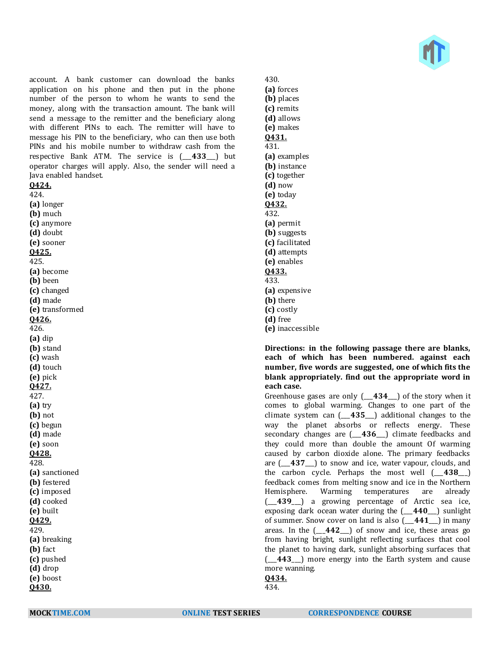

account. A bank customer can download the banks application on his phone and then put in the phone number of the person to whom he wants to send the money, along with the transaction amount. The bank will send a message to the remitter and the beneficiary along with different PINs to each. The remitter will have to message his PIN to the beneficiary, who can then use both PINs and his mobile number to withdraw cash from the respective Bank ATM. The service is (\_\_\_**433**\_\_\_) but operator charges will apply. Also, the sender will need a Java enabled handset.

#### **Q424.**

424. **(a)** longer **(b)** much **(c)** anymore **(d)** doubt **(e)** sooner **Q425.** 425. **(a)** become **(b)** been **(c)** changed **(d)** made **(e)** transformed **Q426.** 426. **(a)** dip **(b)** stand **(c)** wash **(d)** touch **(e)** pick **Q427.** 427. **(a)** try **(b)** not **(c)** begun **(d)** made **(e)** soon **Q428.** 428. **(a)** sanctioned **(b)** festered **(c)** imposed **(d)** cooked **(e)** built **Q429.** 429. **(a)** breaking **(b)** fact **(c)** pushed **(d)** drop **(e)** boost **Q430.**

430. **(a)** forces **(b)** places **(c)** remits **(d)** allows **(e)** makes **Q431.** 431. **(a)** examples **(b)** instance **(c)** together **(d)** now **(e)** today **Q432.** 432. **(a)** permit **(b)** suggests **(c)** facilitated **(d)** attempts **(e)** enables **Q433.** 433. **(a)** expensive **(b)** there **(c)** costly **(d)** free **(e)** inaccessible

**Directions: in the following passage there are blanks, each of which has been numbered. against each number, five words are suggested, one of which fits the blank appropriately. find out the appropriate word in each case.**

Greenhouse gases are only (\_\_\_**434**\_\_\_) of the story when it comes to global warming. Changes to one part of the climate system can (\_\_\_**435**\_\_\_) additional changes to the way the planet absorbs or reflects energy. These secondary changes are (\_\_\_**436**\_\_\_) climate feedbacks and they could more than double the amount Of warming caused by carbon dioxide alone. The primary feedbacks are (\_\_\_**437**\_\_\_) to snow and ice, water vapour, clouds, and the carbon cycle. Perhaps the most well (\_\_\_**438**\_\_\_) feedback comes from melting snow and ice in the Northern Hemisphere. Warming temperatures are already (\_\_\_**439**\_\_\_) a growing percentage of Arctic sea ice, exposing dark ocean water during the (\_\_\_**440**\_\_\_) sunlight of summer. Snow cover on land is also (\_\_\_**441**\_\_\_) in many areas. In the (\_\_\_**442**\_\_\_) of snow and ice, these areas go from having bright, sunlight reflecting surfaces that cool the planet to having dark, sunlight absorbing surfaces that (\_\_\_**443**\_\_\_) more energy into the Earth system and cause more wanning.

**Q434.**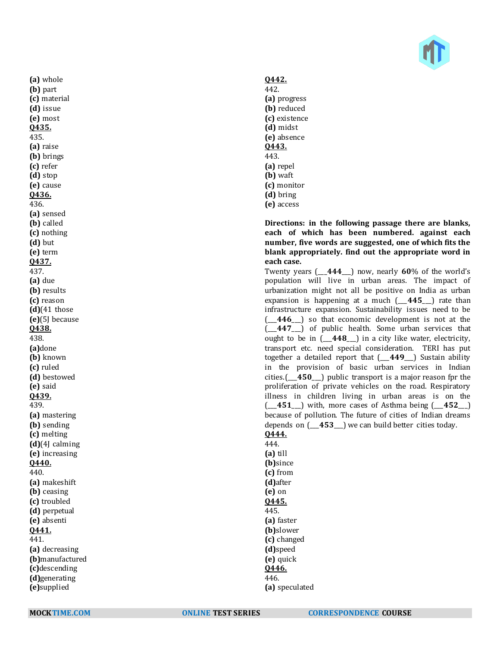

**(a)** whole **(b)** part **(c)** material **(d)** issue **(e)** most **Q435.** 435. **(a)** raise **(b)** brings **(c)** refer **(d)** stop **(e)** cause **Q436.** 436. **(a)** sensed **(b)** called **(c)** nothing **(d)** but **(e)** term **Q437.** 437. **(a)** due **(b)** results **(c)** reason **(d)**(41 those **(e)**(5J because **Q438.** 438. **(a)**done **(b)** known **(c)** ruled **(d)** bestowed **(e)** said **Q439.** 439. **(a)** mastering **(b)** sending **(c)** melting **(d)**(4J calming **(e)** increasing **Q440.** 440. **(a)** makeshift **(b)** ceasing **(c)** troubled **(d)** perpetual **(e)** absenti **Q441.** 441. **(a)** decreasing **(b)**manufactured **(c)**descending **(d)**generating **(e)**supplied

# **Q442.**

442. **(a)** progress **(b)** reduced **(c)** existence **(d)** midst **(e)** absence **Q443.** 443. **(a)** repel **(b)** waft **(c)** monitor **(d)** bring **(e)** access

**Directions: in the following passage there are blanks, each of which has been numbered. against each number, five words are suggested, one of which fits the blank appropriately. find out the appropriate word in each case.**

Twenty years (\_\_\_**444**\_\_\_) now, nearly **60**% of the world's population will live in urban areas. The impact of urbanization might not all be positive on India as urban expansion is happening at a much ( $\overline{445}$ ) rate than infrastructure expansion. Sustainability issues need to be (\_\_\_**446**\_\_\_) so that economic development is not at the (\_\_\_**447**\_\_\_) of public health. Some urban services that ought to be in (\_\_\_**448**\_\_\_) in a city like water, electricity, transport etc. need special consideration. TERI has put together a detailed report that (\_\_\_**449**\_\_\_) Sustain ability in the provision of basic urban services in Indian cities.(\_\_\_**450**\_\_\_) public transport is a major reason fpr the proliferation of private vehicles on the road. Respiratory illness in children living in urban areas is on the (\_\_\_**451**\_\_\_) with, more cases of Asthma being (\_\_\_**452**\_\_\_) because of pollution. The future of cities of Indian dreams depends on (\_\_\_**453**\_\_\_) we can build better cities today. **Q444.**

# 444.

**(a)** till **(b)**since **(c)** from **(d)**after **(e)** on **Q445.** 445. **(a)** faster **(b)**slower **(c)** changed **(d)**speed **(e)** quick **Q446.** 446.

**(a)** speculated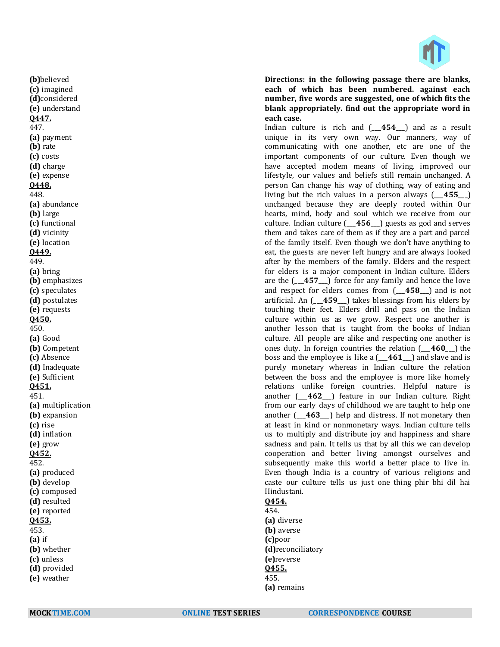

**Directions: in the following passage there are blanks, each of which has been numbered. against each number, five words are suggested, one of which fits the blank appropriately. find out the appropriate word in each case.**

Indian culture is rich and (\_\_\_**454**\_\_\_) and as a result unique in its very own way. Our manners, way of communicating with one another, etc are one of the important components of our culture. Even though we have accepted modem means of living, improved our lifestyle, our values and beliefs still remain unchanged. A person Can change his way of clothing, way of eating and living but the rich values in a person always (\_\_\_**455**\_\_\_) unchanged because they are deeply rooted within Our hearts, mind, body and soul which we receive from our culture. Indian culture (\_\_\_**456**\_\_\_) guests as god and serves them and takes care of them as if they are a part and parcel of the family itself. Even though we don't have anything to eat, the guests are never left hungry and are always looked after by the members of the family. Elders and the respect for elders is a major component in Indian culture. Elders are the (\_\_\_**457**\_\_\_) force for any family and hence the love and respect for elders comes from (\_\_\_**458**\_\_\_) and is not artificial. An (\_\_\_**459**\_\_\_) takes blessings from his elders by touching their feet. Elders drill and pass on the Indian culture within us as we grow. Respect one another is another lesson that is taught from the books of Indian culture. All people are alike and respecting one another is ones duty. In foreign countries the relation (\_\_\_**460**\_\_\_) the boss and the employee is like a (\_\_\_**461**\_\_\_) and slave and is purely monetary whereas in Indian culture the relation between the boss and the employee is more like homely relations unlike foreign countries. Helpful nature is another (\_\_\_**462**\_\_\_) feature in our Indian culture. Right from our early days of childhood we are taught to help one another (\_\_\_**463**\_\_\_) help and distress. If not monetary then at least in kind or nonmonetary ways. Indian culture tells us to multiply and distribute joy and happiness and share sadness and pain. It tells us that by all this we can develop cooperation and better living amongst ourselves and subsequently make this world a better place to live in. Even though India is a country of various religions and caste our culture tells us just one thing phir bhi dil hai Hindustani.

# **Q454.**

454. **(a)** diverse **(b)** averse **(c)**poor **(d)**reconciliatory **(e)**reverse **Q455.** 455. **(a)** remains

**(b)**believed **(c)** imagined **(d)**considered **(e)** understand **Q447.** 447. **(a)** payment **(b)** rate **(c)** costs **(d)** charge **(e)** expense **Q448.** 448. **(a)** abundance **(b)** large **(c)** functional **(d)** vicinity **(e)** location **Q449.** 449. **(a)** bring **(b)** emphasizes **(c)** speculates **(d)** postulates **(e)** requests **Q450.** 450. **(a)** Good **(b)** Competent **(c)** Absence **(d)** Inadequate **(e)** Sufficient **Q451.** 451. **(a)** multiplication **(b)** expansion **(c)** rise **(d)** inflation **(e)** grow **Q452.** 452. **(a)** produced **(b)** develop **(c)** composed **(d)** resulted **(e)** reported **Q453.** 453. **(a)** if **(b)** whether **(c)** unless **(d)** provided **(e)** weather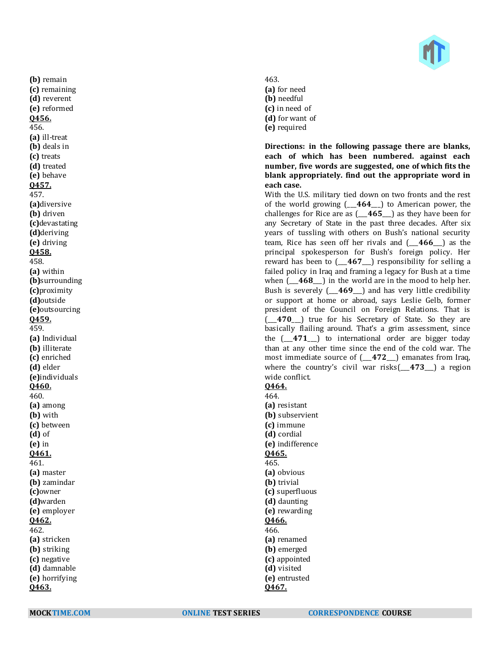

**(b)** remain **(c)** remaining **(d)** reverent **(e)** reformed **Q456.** 456. **(a)** ill-treat **(b)** deals in **(c)** treats **(d)** treated **(e)** behave **Q457.** 457. **(a)**diversive **(b)** driven **(c)**devastating **(d)**deriving **(e)** driving **Q458.** 458. **(a)** within **(b)**surrounding **(c)**proximity **(d)**outside **(e)**outsourcing **Q459.** 459. **(a)** Individual **(b)** illiterate **(c)** enriched **(d)** elder **(e)**individuals **Q460.** 460. **(a)** among **(b)** with **(c)** between **(d)** of **(e)** in **Q461.** 461. **(a)** master **(b)** zamindar **(c)**owner **(d)**warden **(e)** employer **Q462.** 462. **(a)** stricken **(b)** striking **(c)** negative **(d)** damnable **(e)** horrifying **Q463.**

463. **(a)** for need **(b)** needful **(c)** in need of **(d)** for want of

**(e)** required

**Directions: in the following passage there are blanks, each of which has been numbered. against each number, five words are suggested, one of which fits the blank appropriately. find out the appropriate word in each case.**

With the U.S. military tied down on two fronts and the rest of the world growing (\_\_\_**464**\_\_\_) to American power, the challenges for Rice are as (\_\_\_**465**\_\_\_) as they have been for any Secretary of State in the past three decades. After six years of tussling with others on Bush's national security team, Rice has seen off her rivals and (\_\_\_**466**\_\_\_) as the principal spokesperson for Bush's foreign policy. Her reward has been to  $(467)$  responsibility for selling a failed policy in Iraq and framing a legacy for Bush at a time when  $(-468)$  in the world are in the mood to help her. Bush is severely (\_\_\_**469**\_\_\_) and has very little credibility or support at home or abroad, says Leslie Gelb, former president of the Council on Foreign Relations. That is (\_\_\_**470**\_\_\_) true for his Secretary of State. So they are basically flailing around. That's a grim assessment, since the (\_\_\_**471**\_\_\_) to international order are bigger today than at any other time since the end of the cold war. The most immediate source of (\_\_\_**472**\_\_\_) emanates from Iraq, where the country's civil war risks(\_\_\_**473**\_\_\_) a region wide conflict.

**Q464.** 464.

**(a)** resistant **(b)** subservient **(c)** immune **(d)** cordial **(e)** indifference **Q465.** 465. **(a)** obvious **(b)** trivial **(c)** superfluous **(d)** daunting **(e)** rewarding **Q466.** 466. **(a)** renamed **(b)** emerged **(c)** appointed **(d)** visited **(e)** entrusted **Q467.**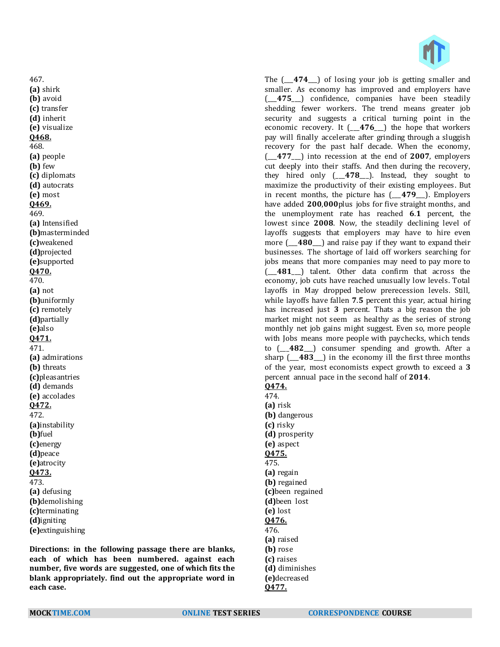467. **(a)** shirk **(b)** avoid **(c)** transfer **(d)** inherit **(e)** visualize **Q468.** 468. **(a)** people **(b)** few **(c)** diplomats **(d)** autocrats **(e)** most **Q469.** 469. **(a)** Intensified **(b)**masterminded **(c)**weakened **(d)**projected **(e)**supported **Q470.** 470. **(a)** not **(b)**uniformly **(c)** remotely **(d)**partially **(e)**also **Q471.** 471. **(a)** admirations **(b)** threats **(c)**pleasantries **(d)** demands **(e)** accolades **Q472.** 472. **(a)**instability **(b)**fuel **(c)**energy **(d)**peace **(e)**atrocity **Q473.** 473. **(a)** defusing **(b)**demolishing **(c)**terminating **(d)**igniting **(e)**extinguishing

**Directions: in the following passage there are blanks, each of which has been numbered. against each number, five words are suggested, one of which fits the blank appropriately. find out the appropriate word in each case.**

The (\_\_\_**474**\_\_\_) of losing your job is getting smaller and smaller. As economy has improved and employers have (\_\_\_**475**\_\_\_) confidence, companies have been steadily shedding fewer workers. The trend means greater job security and suggests a critical turning point in the economic recovery. It (\_\_\_**476**\_\_\_) the hope that workers pay will finally accelerate after grinding through a sluggish recovery for the past half decade. When the economy, (\_\_\_**477**\_\_\_) into recession at the end of **2007**, employers cut deeply into their staffs. And then during the recovery, they hired only (\_\_\_**478**\_\_\_). Instead, they sought to maximize the productivity of their existing employees. But in recent months, the picture has (\_\_\_**479**\_\_\_). Employers have added **200**,**000**plus jobs for five straight months, and the unemployment rate has reached **6**.**1** percent, the lowest since **2008**. Now, the steadily declining level of layoffs suggests that employers may have to hire even more (\_\_\_**480**\_\_\_) and raise pay if they want to expand their businesses. The shortage of laid off workers searching for jobs means that more companies may need to pay more to (\_\_\_**481**\_\_\_) talent. Other data confirm that across the economy, job cuts have reached unusually low levels. Total layoffs in May dropped below prerecession levels. Still, while layoffs have fallen **7**.**5** percent this year, actual hiring has increased just **3** percent. Thats a big reason the job market might not seem as healthy as the series of strong monthly net job gains might suggest. Even so, more people with Jobs means more people with paychecks, which tends to (\_\_\_**482**\_\_\_) consumer spending and growth. After a sharp (\_\_\_**483**\_\_\_) in the economy ill the first three months of the year, most economists expect growth to exceed a **3** percent annual pace in the second half of **2014**. **Q474.**

474. **(a)** risk **(b)** dangerous **(c)** risky **(d)** prosperity **(e)** aspect **Q475.** 475. **(a)** regain **(b)** regained **(c)**been regained **(d)**been lost **(e)** lost **Q476.** 476. **(a)** raised **(b)** rose **(c)** raises **(d)** diminishes **(e)**decreased **Q477.**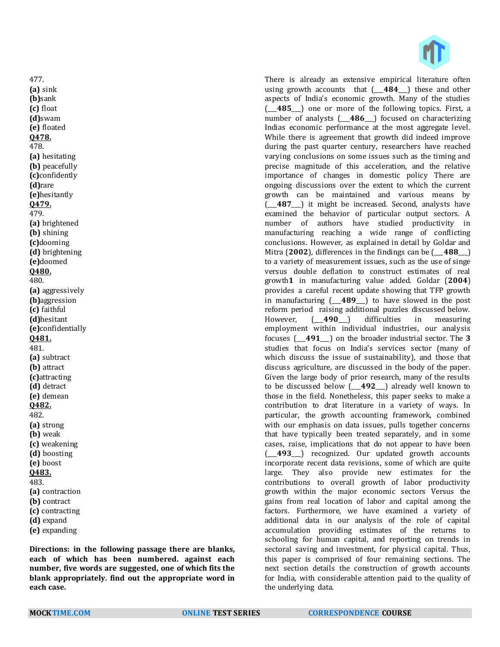There is already an extensive empirical literature often using growth accounts that (\_\_\_**484**\_\_\_) these and other aspects of India's economic growth. Many of the studies (\_\_\_**485**\_\_\_) one or more of the following topics. First, a number of analysts (\_\_\_**486**\_\_\_) focused on characterizing Indias economic performance at the most aggregate level. While there is agreement that growth did indeed improve during the past quarter century, researchers have reached varying conclusions on some issues such as the timing and precise magnitude of this acceleration, and the relative importance of changes in domestic policy There are ongoing discussions over the extent to which the current growth can be maintained and various means by (\_\_\_**487**\_\_\_) it might be increased. Second, analysts have examined the behavior of particular output sectors. A number of authors have studied productivity in manufacturing reaching a wide range of conflicting conclusions. However, as explained in detail by Goldar and Mitra (**2002**), differences in the findings can be (\_\_\_**488**\_\_\_) to a variety of measurement issues, such as the use of singe versus double deflation to construct estimates of real growth**1** in manufacturing value added. Goldar (**2004**) provides a careful recent update showing that TFP growth in manufacturing (\_\_\_**489**\_\_\_) to have slowed in the post reform period raising additional puzzles discussed below. However, (\_\_\_**490**\_\_\_) difficulties in measuring employment within individual industries, our analysis focuses (\_\_\_**491**\_\_\_) on the broader industrial sector. The **3** studies that focus on India's services sector (many of which discuss the issue of sustainability), and those that discuss agriculture, are discussed in the body of the paper. Given the large body of prior research, many of the results to be discussed below (\_\_\_**492**\_\_\_) already well known to those in the field. Nonetheless, this paper seeks to make a contribution to drat literature in a variety of ways. In particular, the growth accounting framework, combined with our emphasis on data issues, pulls together concerns that have typically been treated separately, and in some cases, raise, implications that do not appear to have been (\_\_\_**493**\_\_\_) recognized. Our updated growth accounts incorporate recent data revisions, some of which are quite large. They also provide new estimates for the contributions to overall growth of labor productivity growth within the major economic sectors Versus the gains from real location of labor and capital among the factors. Furthermore, we have examined a variety of additional data in our analysis of the role of capital accumulation providing estimates of the returns to schooling for human capital, and reporting on trends in sectoral saving and investment, for physical capital. Thus, this paper is comprised of four remaining sections. The next section details the construction of growth accounts for India, with considerable attention paid to the quality of the underlying data.

477. **(a)** sink **(b)**sank **(c)** float **(d)**swam **(e)** floated **Q478.** 478. **(a)** hesitating **(b)** peacefully **(c)**confidently **(d)**rare **(e)**hesitantly **Q479.** 479. **(a)** brightened **(b)** shining **(c)**dooming **(d)** brightening **(e)**doomed **Q480.** 480. **(a)** aggressively **(b)**aggression **(c)** faithful **(d)**hesitant **(e)**confidentially **Q481.** 481. **(a)** subtract **(b)** attract **(c)**attracting **(d)** detract **(e)** demean **Q482.** 482. **(a)** strong **(b)** weak **(c)** weakening **(d)** boosting **(e)** boost **Q483.** 483. **(a)** contraction **(b)** contract **(c)** contracting **(d)** expand **(e)** expanding

**Directions: in the following passage there are blanks, each of which has been numbered. against each number, five words are suggested, one of which fits the blank appropriately. find out the appropriate word in each case.**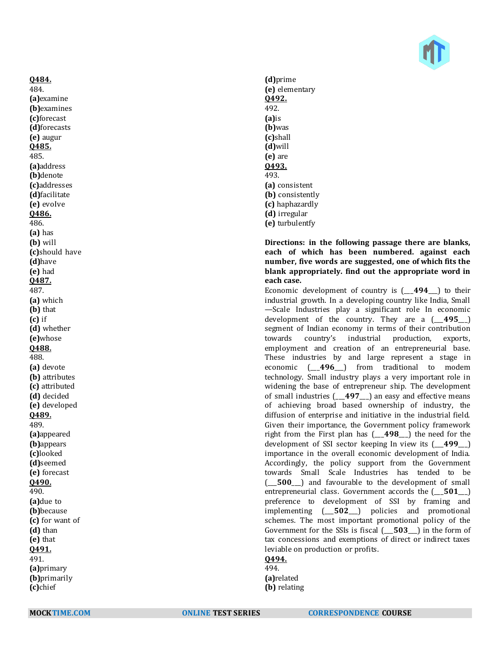

**Q484.** 484. **(a)**examine **(b)**examines **(c)**forecast **(d)**forecasts **(e)** augur **Q485.** 485. **(a)**address **(b)**denote **(c)**addresses **(d)**facilitate **(e)** evoIve **Q486.** 486. **(a)** has **(b)** will **(c)**should have **(d)**have **(e)** had **Q487.** 487. **(a)** which **(b)** that **(c)** if **(d)** whether **(e)**whose **Q488.** 488. **(a)** devote **(b)** attributes **(c)** attributed **(d)** decided **(e)** developed **Q489.** 489. **(a)**appeared **(b)**appears **(c)**looked **(d)**seemed **(e)** forecast **Q490.** 490. **(a)**due to **(b)**because **(c)** for want of **(d)** than **(e)** that **Q491.** 491. **(a)**primary **(b)**primarily **(c)**chief

**(d)**prime **(e)** elementary **Q492.** 492. **(a)**is **(b)**was **(c)**shall **(d)**will **(e)** are **Q493.** 493. **(a)** consistent **(b)** consistently **(c)** haphazardly **(d)** irregular **(e)** turbulentfy

**Directions: in the following passage there are blanks, each of which has been numbered. against each number, five words are suggested, one of which fits the blank appropriately. find out the appropriate word in each case.**

Economic development of country is (\_\_\_**494**\_\_\_) to their industrial growth. In a developing country like India, Small —Scale Industries play a significant role In economic development of the country. They are a (\_\_\_**495**\_\_\_) segment of Indian economy in terms of their contribution towards country's industrial production, exports, employment and creation of an entrepreneurial base. These industries by and large represent a stage in economic (\_\_\_**496**\_\_\_) from traditional to modem technology. Small industry plays a very important role in widening the base of entrepreneur ship. The development of small industries (\_\_\_**497**\_\_\_) an easy and effective means of achieving broad based ownership of industry, the diffusion of enterprise and initiative in the industrial field. Given their importance, the Government policy framework right from the First plan has (\_\_\_**498**\_\_\_) the need for the development of SSI sector keeping In view its (\_\_\_**499**\_\_\_) importance in the overall economic development of India. Accordingly, the policy support from the Government towards Small Scale Industries has tended to be (\_\_\_**500**\_\_\_) and favourable to the development of small entrepreneurial class. Government accords the (\_\_\_**501**\_\_\_) preference to development of SSI by framing and implementing (\_\_\_**502**\_\_\_) policies and promotional schemes. The most important promotional policy of the Government for the SSIs is fiscal (\_\_\_**503**\_\_\_) in the form of tax concessions and exemptions of direct or indirect taxes leviable on production or profits.

# **Q494.**

494. **(a)**related **(b)** relating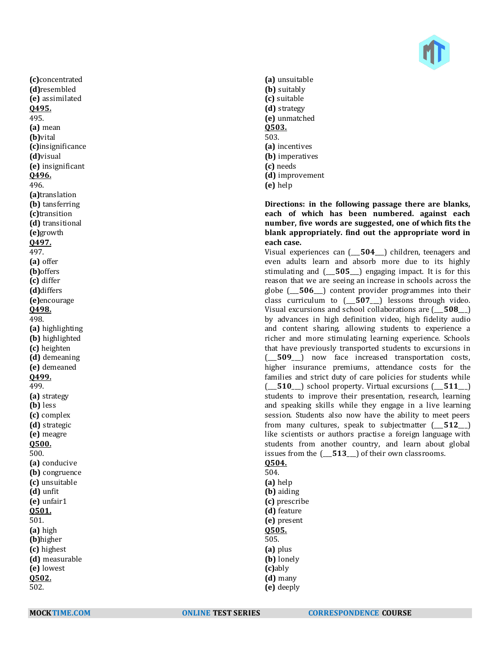

**(c)**concentrated **(d)**resembled **(e)** assimilated **Q495.** 495. **(a)** mean **(b)**vital **(c)**insignificance **(d)**visual **(e)** insignificant **Q496.** 496. **(a)**translation **(b)** tansferring **(c)**transition **(d)** transitional **(e)**growth **Q497.** 497. **(a)** offer **(b)**offers **(c)** differ **(d)**differs **(e)**encourage **Q498.** 498. **(a)** highlighting **(b)** highlighted **(c)** heighten **(d)** demeaning **(e)** demeaned **Q499.** 499. **(a)** strategy **(b)** less **(c)** complex **(d)** strategic **(e)** meagre **Q500.** 500. **(a)** conducive **(b)** congruence **(c)** unsuitable **(d)** unfit **(e)** unfair1 **Q501.** 501. **(a)** high **(b)**higher **(c)** highest **(d)** measurable **(e)** lowest **Q502.** 502.

**(a)** unsuitable **(b)** suitably **(c)** suitable **(d)** strategy **(e)** unmatched **Q503.** 503. **(a)** incentives **(b)** imperatives **(c)** needs **(d)** improvement **(e)** help

**Directions: in the following passage there are blanks, each of which has been numbered. against each number, five words are suggested, one of which fits the blank appropriately. find out the appropriate word in each case.**

Visual experiences can (\_\_\_**504**\_\_\_) children, teenagers and even adults learn and absorb more due to its highly stimulating and (\_\_\_**505**\_\_\_) engaging impact. It is for this reason that we are seeing an increase in schools across the globe (\_\_\_**506**\_\_\_) content provider programmes into their class curriculum to (\_\_\_**507**\_\_\_) lessons through video. Visual excursions and school collaborations are (\_\_\_**508**\_\_\_) by advances in high definition video, high fidelity audio and content sharing, allowing students to experience a richer and more stimulating learning experience. Schools that have previously transported students to excursions in (\_\_\_**509**\_\_\_) now face increased transportation costs, higher insurance premiums, attendance costs for the families and strict duty of care policies for students while (\_\_\_**510**\_\_\_) school property. Virtual excursions (\_\_\_**511**\_\_\_) students to improve their presentation, research, learning and speaking skills while they engage in a live learning session. Students also now have the ability to meet peers from many cultures, speak to subjectmatter (\_\_\_**512**\_\_\_) like scientists or authors practise a foreign language with students from another country, and learn about global issues from the (\_\_\_**513**\_\_\_) of their own classrooms.

# **Q504.**

504. **(a)** help **(b)** aiding **(c)** prescribe **(d)** feature **(e)** present **Q505.** 505. **(a)** plus **(b)** lonely **(c)**ably **(d)** many **(e)** deeply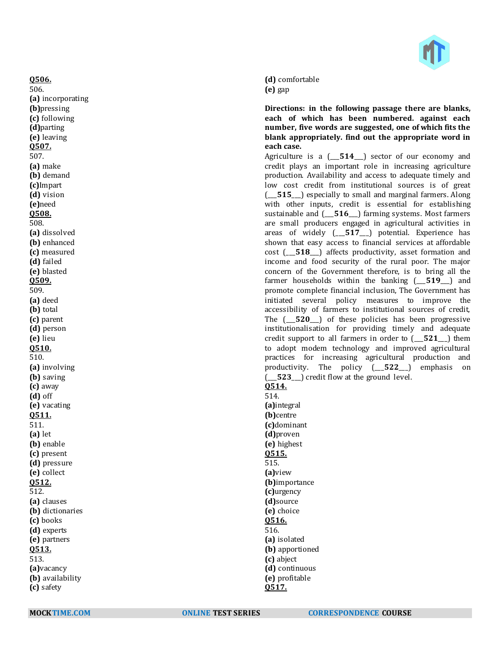

**(d)** comfortable **(e)** gap

**Directions: in the following passage there are blanks, each of which has been numbered. against each number, five words are suggested, one of which fits the blank appropriately. find out the appropriate word in each case.**

Agriculture is a (\_\_\_**514**\_\_\_) sector of our economy and credit plays an important role in increasing agriculture production. Availability and access to adequate timely and low cost credit from institutional sources is of great (\_\_\_**515**\_\_\_) especially to small and marginal farmers. Along with other inputs, credit is essential for establishing sustainable and  $($  516 ) farming systems. Most farmers are small producers engaged in agricultural activities in areas of widely (\_\_\_**517**\_\_\_) potential. Experience has shown that easy access to financial services at affordable cost (\_\_\_**518**\_\_\_) affects productivity, asset formation and income and food security of the rural poor. The major concern of the Government therefore, is to bring all the farmer households within the banking (\_\_\_**519**\_\_\_) and promote complete financial inclusion, The Government has initiated several policy measures to improve the accessibility of farmers to institutional sources of credit, The ( $\overline{520}$ ) of these policies has been progressive institutionalisation for providing timely and adequate credit support to all farmers in order to (\_\_\_**521**\_\_\_) them to adopt modem technology and improved agricultural practices for increasing agricultural production and productivity. The policy (\_\_\_**522**\_\_\_) emphasis on (\_\_\_**523**\_\_\_) credit flow at the ground level.

**Q514.**

514. **(a)**integral **(b)**centre **(c)**dominant **(d)**proven **(e)** highest **Q515.** 515. **(a)**view **(b)**importance **(c)**urgency **(d)**source **(e)** choice **Q516.** 516. **(a)** isolated **(b)** apportioned **(c)** abject **(d)** continuous **(e)** profitable **Q517.**

**Q506.** 506. **(a)** incorporating **(b)**pressing **(c)** following **(d)**parting **(e)** leaving **Q507.** 507. **(a)** make **(b)** demand **(c)**Impart **(d)** vision **(e)**need **Q508.** 508. **(a)** dissolved **(b)** enhanced **(c)** measured **(d)** failed **(e)** blasted **Q509.** 509. **(a)** deed **(b)** total **(c)** parent **(d)** person **(e)** lieu **Q510.** 510. **(a)** involving **(b)** saving **(c)** away **(d)** off **(e)** vacating **Q511.** 511. **(a)** let **(b)** enable **(c)** present **(d)** pressure **(e)** collect **Q512.** 512. **(a)** clauses **(b)** dictionaries **(c)** books **(d)** experts **(e)** partners **Q513.** 513. **(a)**vacancy **(b)** availability **(c)** safety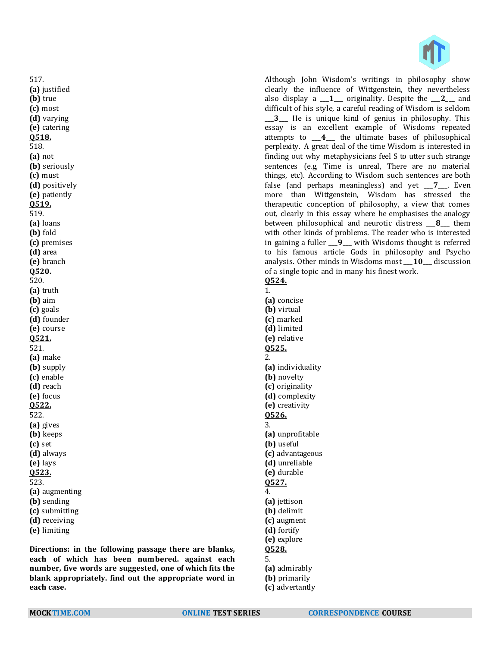Although John Wisdom's writings in philosophy show clearly the influence of Wittgenstein, they nevertheless also display a \_\_\_**1**\_\_\_ originality. Despite the \_\_\_**2**\_\_\_ and difficult of his style, a careful reading of Wisdom is seldom \_\_\_**3**\_\_\_ He is unique kind of genius in philosophy. This essay is an excellent example of Wisdoms repeated attempts to \_\_\_**4**\_\_\_ the ultimate bases of philosophical perplexity. A great deal of the time Wisdom is interested in finding out why metaphysicians feel S to utter such strange sentences (e.g, Time is unreal, There are no material things, etc). According to Wisdom such sentences are both false (and perhaps meaningless) and yet \_\_\_**7**\_\_\_. Even more than Wittgenstein, Wisdom has stressed the therapeutic conception of philosophy, a view that comes out, clearly in this essay where he emphasises the analogy between philosophical and neurotic distress \_\_\_**8**\_\_\_ them with other kinds of problems. The reader who is interested in gaining a fuller \_\_\_**9**\_\_\_ with Wisdoms thought is referred to his famous article Gods in philosophy and Psycho analysis. Other minds in Wisdoms most **10** discussion of a single topic and in many his finest work. **Q524.**

1. **(a)** concise **(b)** virtual **(c)** marked **(d)** limited **(e)** relative **Q525.** 2. **(a)** individuality **(b)** novelty **(c)** originality **(d)** complexity **(e)** creativity **Q526.** 3. **(a)** unprofitable **(b)** useful **(c)** advantageous **(d)** unreliable **(e)** durable **Q527.** 4. **(a)** jettison **(b)** delimit **(c)** augment **(d)** fortify **(e)** explore **Q528.** 5. **(a)** admirably **(b)** primarily **(c)** advertantly

**(a)** justified **(b)** true **(c)** most **(d)** varying **(e)** catering **Q518.** 518. **(a)** not **(b)** seriously **(c)** must **(d)** positively **(e)** patiently **Q519.** 519. **(a)** loans **(b)** fold **(c)** premises **(d)** area **(e)** branch **Q520.** 520. **(a)** truth **(b)** aim **(c)** goals **(d)** founder **(e)** course **Q521.** 521. **(a)** make **(b)** supply **(c)** enable **(d)** reach **(e)** focus **Q522.** 522. **(a)** gives **(b)** keeps **(c)** set **(d)** always **(e)** lays **Q523.** 523. **(a)** augmenting **(b)** sending **(c)** submitting **(d)** receiving **(e)** limiting

517.

**Directions: in the following passage there are blanks, each of which has been numbered. against each number, five words are suggested, one of which fits the blank appropriately. find out the appropriate word in each case.**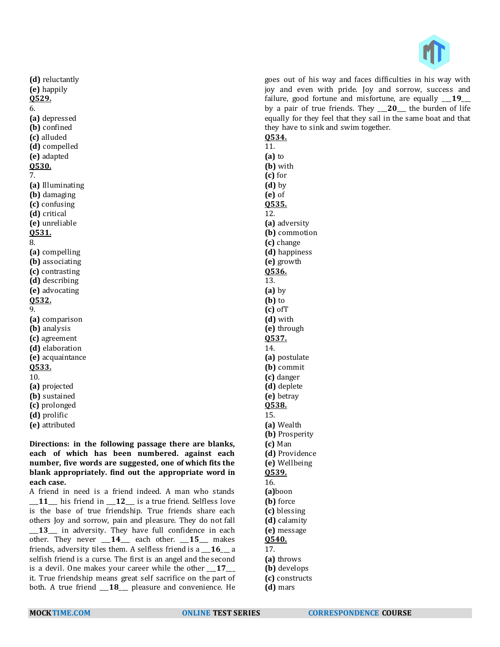

**(d)** reluctantly **(e)** happily **Q529.** 6. **(a)** depressed **(b)** confined **(c)** alluded **(d)** compelled **(e)** adapted **Q530.** 7. **(a)** Illuminating **(b)** damaging **(c)** confusing **(d)** critical **(e)** unreliable **Q531.** 8. **(a)** compelling **(b)** associating **(c)** contrasting **(d)** describing **(e)** advocating **Q532.** 9. **(a)** comparison **(b)** analysis **(c)** agreement **(d)** elaboration **(e)** acquaintance **Q533.** 10. **(a)** projected **(b)** sustained **(c)** prolonged **(d)** prolific **(e)** attributed

**Directions: in the following passage there are blanks, each of which has been numbered. against each number, five words are suggested, one of which fits the blank appropriately. find out the appropriate word in each case.**

A friend in need is a friend indeed. A man who stands 11 his friend in 12 is a true friend. Selfless love is the base of true friendship. True friends share each others Joy and sorrow, pain and pleasure. They do not fall 13\_ in adversity. They have full confidence in each other. They never \_\_\_**14**\_\_\_ each other. \_\_\_**15**\_\_\_ makes friends, adversity tiles them. A selfless friend is a \_\_\_**16**\_\_\_ a selfish friend is a curse. The first is an angel and the second is a devil. One makes your career while the other \_\_\_**17**\_\_\_ it. True friendship means great self sacrifice on the part of both. A true friend \_\_\_**18**\_\_\_ pleasure and convenience. He

l goes out of his way and faces difficulties in his way with joy and even with pride. Joy and sorrow, success and failure, good fortune and misfortune, are equally \_\_\_**19**\_\_\_ by a pair of true friends. They \_\_\_**20**\_\_\_ the burden of life equally for they feel that they sail in the same boat and that they have to sink and swim together. **Q534.** 11. **(a)** to **(b)** with **(c)** for **(d)** by **(e)** of **Q535.** 12. **(a)** adversity **(b)** commotion **(c)** change **(d)** happiness **(e)** growth **Q536.** 13. **(a)** by **(b)** to **(c)** ofT **(d)** with **(e)** through **Q537.** 14. **(a)** postulate **(b)** commit **(c)** danger **(d)** deplete **(e)** betray **Q538.** 15. **(a)** Wealth **(b)** Prosperity **(c)** Man **(d)** Providence **(e)** Wellbeing **Q539.** 16. **(a)**boon **(b)** force **(c)** blessing **(d)** calamity **(e)** message **Q540.** 17. **(a)** throws **(b)** develops **(c)** constructs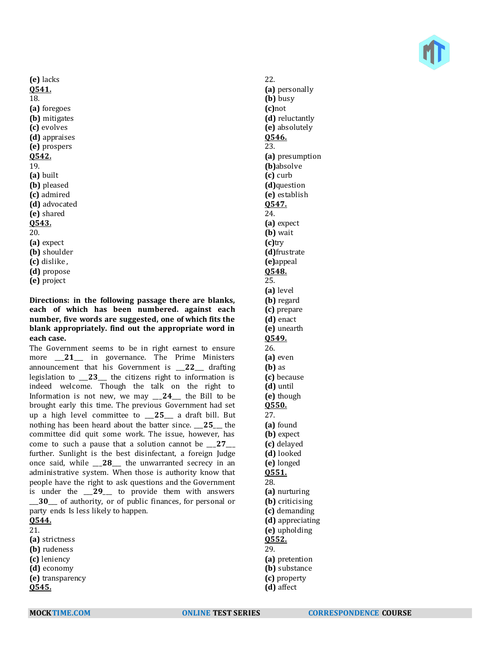

**(e)** lacks **Q541.** 18. **(a)** foregoes **(b)** mitigates **(c)** evolves **(d)** appraises **(e)** prospers **Q542.** 19. **(a)** built **(b)** pleased **(c)** admired **(d)** advocated **(e)** shared **Q543.** 20. **(a)** expect **(b)** shoulder **(c)** dislike , **(d)** propose

**(e)** project

**Directions: in the following passage there are blanks, each of which has been numbered. against each number, five words are suggested, one of which fits the blank appropriately. find out the appropriate word in each case.**

The Government seems to be in right earnest to ensure more \_\_\_**21**\_\_\_ in governance. The Prime Ministers announcement that his Government is \_\_\_**22**\_\_\_ drafting legislation to \_\_\_**23**\_\_\_ the citizens right to information is indeed welcome. Though the talk on the right to Information is not new, we may \_\_\_**24**\_\_\_ the Bill to be brought early this time. The previous Government had set up a high level committee to \_\_\_**25**\_\_\_ a draft bill. But nothing has been heard about the batter since. \_\_\_**25**\_\_\_ the committee did quit some work. The issue, however, has come to such a pause that a solution cannot be \_\_\_**27**\_\_\_ further. Sunlight is the best disinfectant, a foreign Judge once said, while \_\_\_**28**\_\_\_ the unwarranted secrecy in an administrative system. When those is authority know that people have the right to ask questions and the Government is under the \_\_\_**29**\_\_\_ to provide them with answers \_\_\_**30**\_\_\_ of authority, or of public finances, for personal or party ends Is less likely to happen. **Q544.**

21.

- **(a)** strictness
- **(b)** rudeness
- **(c)** leniency
- **(d)** economy
- **(e)** transparency
- **Q545.**

22. **(a)** personally **(b)** busy **(c)**not **(d)** reluctantly **(e)** absolutely **Q546.** 23. **(a)** presumption **(b)**absolve **(c)** curb **(d)**question **(e)** establish **Q547.** 24. **(a)** expect **(b)** wait **(c)**try **(d)**frustrate **(e)**appeal **Q548.** 25. **(a)** level **(b)** regard **(c)** prepare **(d)** enact **(e)** unearth **Q549.** 26. **(a)** even **(b)** as **(c)** because **(d)** until **(e)** though **Q550.** 27. **(a)** found **(b)** expect **(c)** delayed **(d)** looked **(e)** longed **Q551.** 28. **(a)** nurturing **(b)** criticising **(c)** demanding **(d)** appreciating **(e)** upholding **Q552.** 29. **(a)** pretention **(b)** substance **(c)** property

**(d)** affect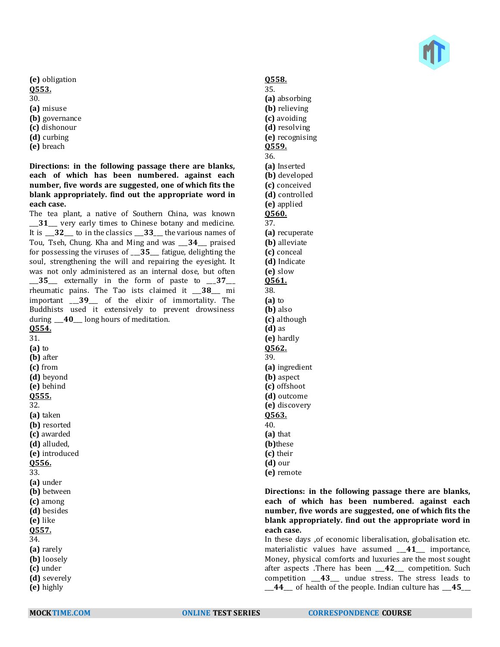

- **(e)** obligation **Q553.** 30. **(a)** misuse **(b)** governance **(c)** dishonour **(d)** curbing
- **(e)** breach

**Directions: in the following passage there are blanks, each of which has been numbered. against each number, five words are suggested, one of which fits the blank appropriately. find out the appropriate word in each case.**

The tea plant, a native of Southern China, was known \_\_\_**31**\_\_\_ very early times to Chinese botany and medicine. It is \_\_\_**32**\_\_\_ to in the classics \_\_\_**33**\_\_\_ the various names of Tou, Tseh, Chung. Kha and Ming and was \_\_\_**34**\_\_\_ praised for possessing the viruses of \_\_\_**35**\_\_\_ fatigue, delighting the soul, strengthening the will and repairing the eyesight. It was not only administered as an internal dose, but often \_\_\_**35**\_\_\_ externally in the form of paste to \_\_\_**37**\_\_\_ rheumatic pains. The Tao ists claimed it \_\_\_**38**\_\_\_ mi important \_\_\_**39**\_\_\_ of the elixir of immortality. The Buddhists used it extensively to prevent drowsiness during \_\_\_**40**\_\_\_ long hours of meditation. **Q554.** 31. **(a)** to **(b)** after **(c)** from **(d)** beyond **(e)** behind **Q555.** 32. **(a)** taken **(b)** resorted **(c)** awarded **(d)** alluded, **(e)** introduced **Q556.** 33. **(a)** under **(b)** between

# **Q558.**

35. **(a)** absorbing **(b)** relieving **(c)** avoiding **(d)** resolving **(e)** recognising **Q559.** 36. **(a)** Inserted **(b)** developed **(c)** conceived **(d)** controlled **(e)** applied **Q560.** 37. **(a)** recuperate **(b)** alleviate **(c)** conceal **(d)** Indicate **(e)** slow **Q561.** 38. **(a)** to **(b)** also **(c)** although **(d)** as **(e)** hardly **Q562.** 39. **(a)** ingredient **(b)** aspect **(c)** offshoot **(d)** outcome **(e)** discovery **Q563.** 40. **(a)** that **(b)**these **(c)** their **(d)** our **(e)** remote

**Directions: in the following passage there are blanks, each of which has been numbered. against each number, five words are suggested, one of which fits the blank appropriately. find out the appropriate word in each case.**

In these days ,of economic liberalisation, globalisation etc. materialistic values have assumed \_\_\_**41**\_\_\_ importance, Money, physical comforts and luxuries are the most sought after aspects .There has been \_\_\_**42**\_\_\_ competition. Such competition \_\_\_**43**\_\_\_ undue stress. The stress leads to \_\_\_**44**\_\_\_ of health of the people. Indian culture has \_\_\_**45**\_\_\_

**(c)** among **(d)** besides **(e)** like **Q557.** 34. **(a)** rarely **(b)** loosely **(c)** under **(d)** severely **(e)** highly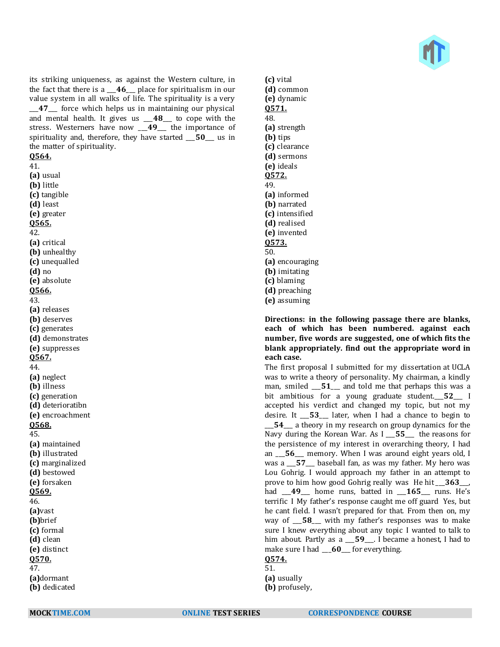

its striking uniqueness, as against the Western culture, in the fact that there is a \_\_\_**46**\_\_\_ place for spiritualism in our value system in all walks of life. The spirituality is a very \_\_\_**47**\_\_\_ force which helps us in maintaining our physical and mental health. It gives us \_\_\_**48**\_\_\_ to cope with the stress. Westerners have now \_\_\_**49**\_\_\_ the importance of spirituality and, therefore, they have started \_\_\_**50**\_\_\_ us in the matter of spirituality.

#### **Q564.**

41. **(a)** usual **(b)** little **(c)** tangible **(d)** least **(e)** greater **Q565.** 42. **(a)** critical **(b)** unhealthy **(c)** unequalled **(d)** no **(e)** absolute **Q566.** 43. **(a)** releases **(b)** deserves **(c)** generates **(d)** demonstrates **(e)** suppresses **Q567.** 44. **(a)** neglect **(b)** illness **(c)** generation **(d)** deterioratibn **(e)** encroachment **Q568.** 45. **(a)** maintained **(b)** illustrated **(c)** marginalized **(d)** bestowed **(e)** forsaken **Q569.** 46. **(a)**vast **(b)**brief **(c)** formal **(d)** clean **(e)** distinct **Q570.** 47. **(a)**dormant **(b)** dedicated

**(c)** vital **(d)** common **(e)** dynamic **Q571.** 48. **(a)** strength **(b)** tips **(c)** clearance **(d)** sermons **(e)** ideals **Q572.** 49. **(a)** informed **(b)** narrated **(c)** intensified **(d)** realised **(e)** invented **Q573.** 50. **(a)** encouraging **(b)** imitating **(c)** blaming **(d)** preaching **(e)** assuming

**Directions: in the following passage there are blanks, each of which has been numbered. against each number, five words are suggested, one of which fits the blank appropriately. find out the appropriate word in each case.**

The first proposal I submitted for my dissertation at UCLA was to write a theory of personality. My chairman, a kindly man, smiled \_\_\_**51**\_\_\_ and told me that perhaps this was a bit ambitious for a young graduate student.\_\_\_**52**\_\_\_ I accepted his verdict and changed my topic, but not my desire. It \_\_\_**53**\_\_\_ later, when I had a chance to begin to \_\_\_**54**\_\_\_ a theory in my research on group dynamics for the Navy during the Korean War. As I \_\_\_**55**\_\_\_ the reasons for the persistence of my interest in overarching theory, I had an \_\_\_**56**\_\_\_ memory. When I was around eight years old, I was a \_\_\_**57**\_\_\_ baseball fan, as was my father. My hero was Lou Gohrig. I would approach my father in an attempt to prove to him how good Gohrig really was He hit \_\_\_**363**\_\_\_, had \_\_\_**49**\_\_\_ home runs, batted in \_\_\_**165**\_\_\_ runs. He's terrific I My father's response caught me off guard Yes, but he cant field. I wasn't prepared for that. From then on, my way of \_\_\_**58**\_\_\_ with my father's responses was to make sure I knew everything about any topic I wanted to talk to him about. Partly as a \_\_\_**59**\_\_\_. I became a honest, I had to make sure I had \_\_**60**\_\_ for everything.

# **Q574.**

51. **(a)** usually

**(b)** profusely,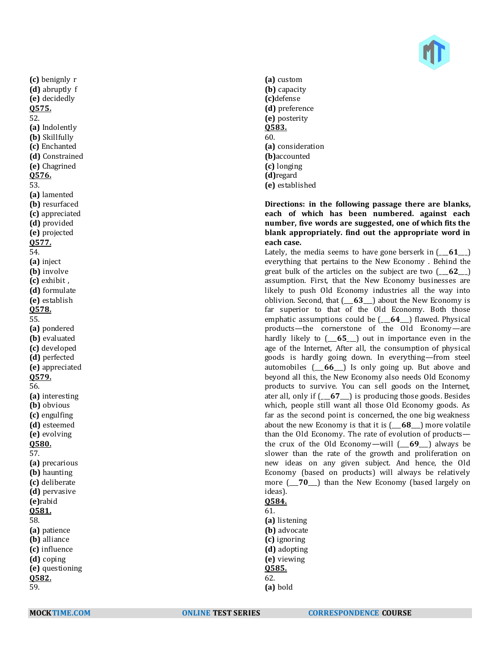

**(c)** benignly r **(d)** abruptly f **(e)** decidedly **Q575.** 52. **(a)** Indolently **(b)** Skillfully **(c)** Enchanted **(d)** Constrained **(e)** Chagrined **Q576.** 53. **(a)** lamented **(b)** resurfaced **(c)** appreciated **(d)** provided **(e)** projected **Q577.** 54. **(a)** inject **(b)** involve **(c)** exhibit , **(d)** formulate **(e)** establish **Q578.** 55. **(a)** pondered **(b)** evaluated **(c)** developed **(d)** perfected **(e)** appreciated **Q579.** 56. **(a)** interesting **(b)** obvious **(c)** engulfing **(d)** esteemed **(e)** evolving **Q580.** 57. **(a)** precarious **(b)** haunting **(c)** deliberate **(d)** pervasive **(e)**rabid **Q581.** 58. **(a)** patience **(b)** alliance **(c)** influence **(d)** coping **(e)** questioning **Q582.** 59.

**(a)** custom **(b)** capacity **(c)**defense **(d)** preference **(e)** posterity **Q583.** 60. **(a)** consideration **(b)**accounted **(c)** longing **(d)**regard **(e)** established

**Directions: in the following passage there are blanks, each of which has been numbered. against each number, five words are suggested, one of which fits the blank appropriately. find out the appropriate word in each case.**

Lately, the media seems to have gone berserk in (\_\_\_**61**\_\_\_) everything that pertains to the New Economy . Behind the great bulk of the articles on the subject are two (\_\_\_**62**\_\_\_) assumption. First, that the New Economy businesses are likely to push Old Economy industries all the way into oblivion. Second, that (\_\_\_**63**\_\_\_) about the New Economy is far superior to that of the Old Economy. Both those emphatic assumptions could be (\_\_\_**64**\_\_\_) flawed. Physical products—the cornerstone of the Old Economy—are hardly likely to (\_\_\_**65**\_\_\_) out in importance even in the age of the Internet, After all, the consumption of physical goods is hardly going down. In everything—from steel automobiles (\_\_\_**66**\_\_\_) Is only going up. But above and beyond all this, the New Economy also needs Old Economy products to survive. You can sell goods on the Internet, ater all, only if (\_\_\_**67**\_\_\_) is producing those goods. Besides which, people still want all those Old Economy goods. As far as the second point is concerned, the one big weakness about the new Economy is that it is (\_\_\_**68**\_\_\_) more volatile than the Old Economy. The rate of evolution of products the crux of the Old Economy—will (\_\_\_**69**\_\_\_) always be slower than the rate of the growth and proliferation on new ideas on any given subject. And hence, the Old Economy (based on products) will always be relatively more  $\begin{pmatrix} 70 \end{pmatrix}$  than the New Economy (based largely on ideas).

# **Q584.**

61. **(a)** listening **(b)** advocate **(c)** ignoring **(d)** adopting **(e)** viewing **Q585.** 62. **(a)** bold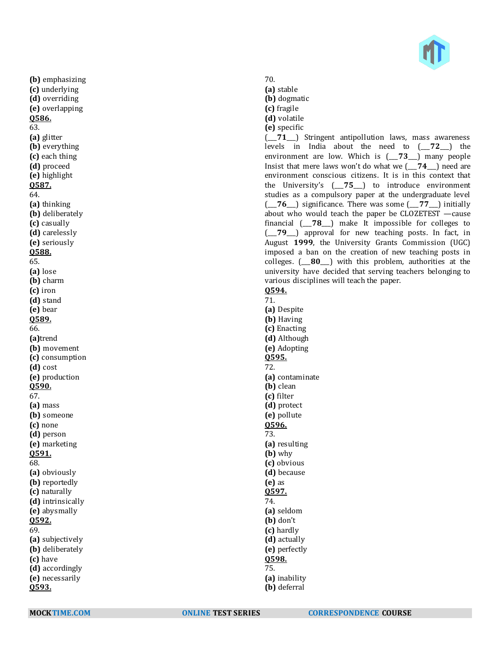

**(b)** emphasizing **(c)** underlying **(d)** overriding **(e)** overlapping **Q586.** 63. **(a)** glitter **(b)** everything **(c)** each thing **(d)** proceed **(e)** highlight **Q587.** 64. **(a)** thinking **(b)** deliberately **(c)** casually **(d)** carelessly **(e)** seriously **Q588.** 65. **(a)** lose **(b)** charm **(c)** iron **(d)** stand **(e)** bear **Q589.** 66. **(a)**trend **(b)** movement **(c)** consumption **(d)** cost **(e)** production **Q590.** 67. **(a)** mass **(b)** someone **(c)** none **(d)** person **(e)** marketing **Q591.** 68. **(a)** obviously **(b)** reportedly **(c)** naturally **(d)** intrinsically **(e)** abysmally **Q592.** 69. **(a)** subjectively **(b)** deliberately **(c)** have **(d)** accordingly **(e)** necessarily **Q593.**

- 70.
- **(a)** stable
- **(b)** dogmatic
- **(c)** fragile
- **(d)** volatile
- **(e)** specific

(\_\_\_**71**\_\_\_) Stringent antipollution laws, mass awareness levels in India about the need to (\_\_\_**72**\_\_\_) the environment are low. Which is (\_\_\_**73**\_\_\_) many people Insist that mere laws won't do what we (\_\_\_**74**\_\_\_) need are environment conscious citizens. It is in this context that the University's (\_\_\_**75**\_\_\_) to introduce environment studies as a compulsory paper at the undergraduate level (\_\_\_**76**\_\_\_) significance. There was some (\_\_\_**77**\_\_\_) initially about who would teach the paper be CLOZETEST —cause financial (\_\_\_**78**\_\_\_) make It impossible for colleges to (\_\_\_**79**\_\_\_) approval for new teaching posts. In fact, in August **1999**, the University Grants Commission (UGC) imposed a ban on the creation of new teaching posts in colleges. (\_\_\_**80**\_\_\_) with this problem, authorities at the university have decided that serving teachers belonging to various disciplines will teach the paper.

**Q594.** 71. **(a)** Despite **(b)** Having **(c)** Enacting **(d)** Although **(e)** Adopting **Q595.** 72. **(a)** contaminate **(b)** clean **(c)** filter **(d)** protect **(e)** pollute **Q596.** 73. **(a)** resulting **(b)** why

**(c)** obvious **(d)** because **(e)** as **Q597.** 74. **(a)** seldom **(b)** don't

**(c)** hardly

- **(d)** actually **(e)** perfectly **Q598.**
- 75. **(a)** inability
- **(b)** deferral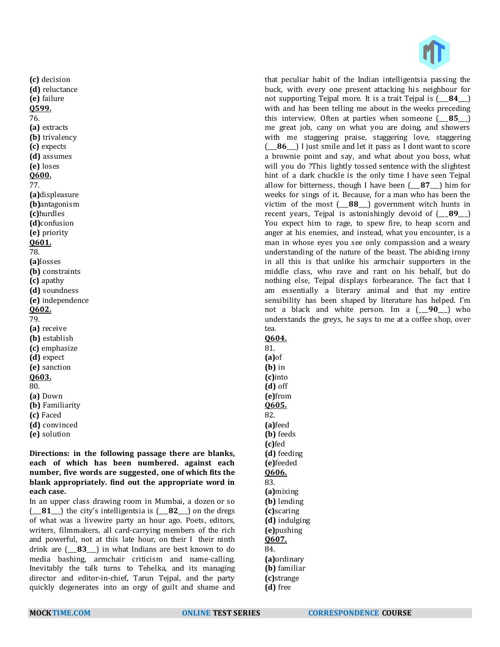l. that peculiar habit of the Indian intelligentsia passing the buck, with every one present attacking his neighbour for not supporting Tejpal more. It is a trait Tejpal is (\_\_\_**84**\_\_\_) with and has been telling me about in the weeks preceding this interview. Often at parties when someone (\_\_\_**85**\_\_\_) me great job, cany on what you are doing, and showers with me staggering praise, staggering love, staggering (\_\_\_**86**\_\_\_) I just smile and let it pass as I dont want to score a brownie point and say, and what about you boss, what will you do ?This lightly tossed sentence with the slightest hint of a dark chuckle is the only time I have seen Tejpal allow for bitterness, though I have been (\_\_\_**87**\_\_\_) him for weeks for sings of it. Because, for a man who has been the victim of the most (\_\_\_**88**\_\_\_) government witch hunts in recent years, Tejpal is astonishingly devoid of (\_\_\_**89**\_\_\_) You expect him to rage, to spew fire, to heap scorn and anger at his enemies, and instead, what you encounter, is a man in whose eyes you see only compassion and a weary understanding of the nature of the beast. The abiding irony in all this is that unlike his armchair supporters in the middle class, who rave and rant on his behalf, but do nothing else, Tejpal displays forbearance. The fact that I am essentially a literary animal and that my entire sensibility has been shaped by literature has helped. I'm not a black and white person. Im a (\_\_\_**90**\_\_\_) who understands the greys, he says to me at a coffee shop, over tea.

**Q604.**

81. **(a)**of **(b)** in **(c)**into **(d)** off **(e)**from **Q605.** 82. **(a)**feed **(b)** feeds **(c)**fed **(d)** feeding **(e)**feeded **Q606.** 83. **(a)**mixing **(b)** lending **(c)**scaring **(d)** indulging **(e)**pushing **Q607.** 84. **(a)**ordinary **(b)** familiar **(c)**strange

**(c)** decision **(d)** reluctance **(e)** failure **Q599.** 76. **(a)** extracts **(b)** trivalency **(c)** expects **(d)** assumes **(e)** loses **Q600.** 77. **(a)**displeasure **(b)**antagonism **(c)**hurdles **(d)**confusion **(e)** priority **Q601.** 78. **(a)**losses **(b)** constraints **(c)** apathy **(d)** soundness **(e)** independence **Q602.** 79. **(a)** receive **(b)** establish **(c)** emphasize **(d)** expect **(e)** sanction **Q603.** 80. **(a)** Down **(b)** Familiarity **(c)** Faced **(d)** convinced **(e)** solution

**Directions: in the following passage there are blanks, each of which has been numbered. against each number, five words are suggested, one of which fits the blank appropriately. find out the appropriate word in each case.**

In an upper class drawing room in Mumbai, a dozen or so (\_\_\_**81**\_\_\_) the city's intelligentsia is (\_\_\_**82**\_\_\_) on the dregs of what was a livewire party an hour ago. Poets, editors, writers, filmmakers, all card-carrying members of the rich and powerful, not at this late hour, on their I their ninth drink are (\_\_\_**83**\_\_\_) in what Indians are best known to do media bashing, armchair criticism and name-calling. Inevitably the talk turns to Tehelka, and its managing director and editor-in-chief, Tarun Tejpal, and the party quickly degenerates into an orgy of guilt and shame and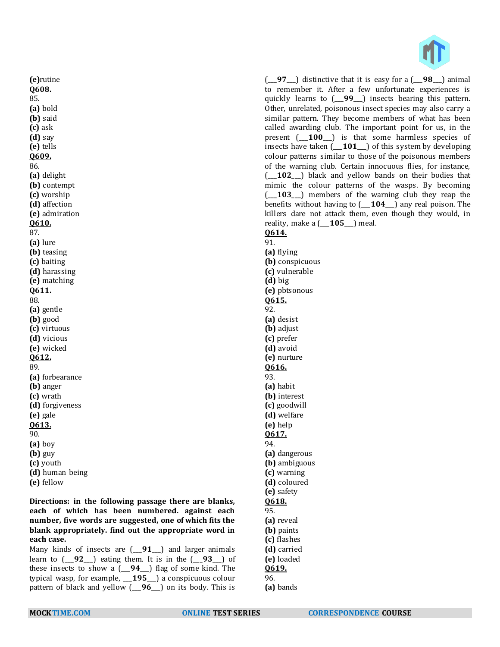

(\_\_\_**97**\_\_\_) distinctive that it is easy for a (\_\_\_**98**\_\_\_) animal to remember it. After a few unfortunate experiences is quickly learns to (\_\_\_**99**\_\_\_) insects bearing this pattern. Other, unrelated, poisonous insect species may also carry a similar pattern. They become members of what has been called awarding club. The important point for us, in the present (\_\_\_**100**\_\_\_) is that some harmless species of insects have taken (\_\_\_**101**\_\_\_) of this system by developing colour patterns similar to those of the poisonous members of the warning club. Certain innocuous flies, for instance, (\_\_\_**102**\_\_\_) black and yellow bands on their bodies that mimic the colour patterns of the wasps. By becoming (\_\_\_**103**\_\_\_) members of the warning club they reap the benefits without having to (\_\_\_**104**\_\_\_) any real poison. The killers dare not attack them, even though they would, in reality, make a (\_\_\_**105**\_\_\_) meal.

# **Q614.**

91. **(a)** flying **(b)** conspicuous **(c)** vulnerable **(d)** big **(e)** pbtsonous **Q615.** 92. **(a)** desist **(b)** adjust **(c)** prefer **(d)** avoid **(e)** nurture **Q616.** 93. **(a)** habit **(b)** interest **(c)** goodwill **(d)** welfare **(e)** help **Q617.** 94. **(a)** dangerous **(b)** ambiguous **(c)** warning **(d)** coloured **(e)** safety **Q618.** 95. **(a)** reveal **(b)** paints **(c)** flashes **(d)** carried **(e)** loaded **Q619.** 96.

**(a)** bands

**Q608.** 85. **(a)** bold **(b)** said **(c)** ask **(d)** say **(e)** tells **Q609.** 86. **(a)** delight **(b)** contempt **(c)** worship **(d)** affection **(e)** admiration **Q610.** 87. **(a)** lure **(b)** teasing **(c)** baiting **(d)** harassing **(e)** matching **Q611.** 88. **(a)** gentle **(b)** good **(c)** virtuous **(d)** vicious **(e)** wicked **Q612.** 89. **(a)** forbearance **(b)** anger **(c)** wrath **(d)** forgiveness **(e)** gale **Q613.** 90. **(a)** boy **(b)** guy **(c)** youth **(d)** human being **(e)** fellow

**(e)**rutine

**Directions: in the following passage there are blanks, each of which has been numbered. against each number, five words are suggested, one of which fits the blank appropriately. find out the appropriate word in each case.**

Many kinds of insects are (\_\_\_**91**\_\_\_) and larger animals learn to (\_\_\_**92**\_\_\_) eating them. It is in the (\_\_\_**93**\_\_\_) of these insects to show a (\_\_\_**94**\_\_\_) flag of some kind. The typical wasp, for example, \_\_\_**195**\_\_\_) a conspicuous colour pattern of black and yellow (\_\_\_**96**\_\_\_) on its body. This is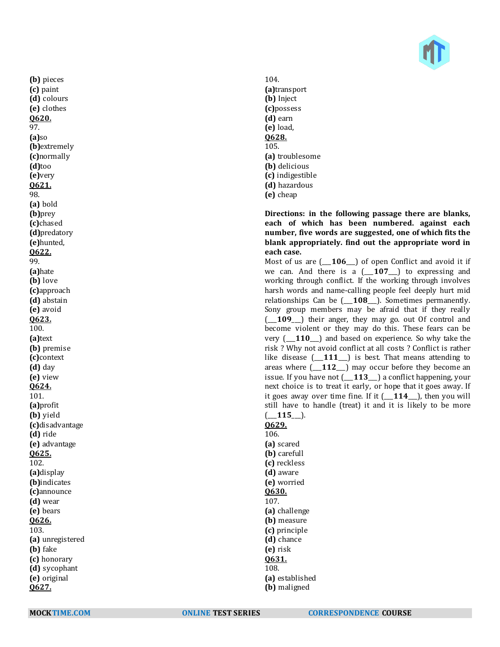

**(b)** pieces **(c)** paint **(d)** colours **(e)** clothes **Q620.** 97. **(a)**so **(b)**extremely **(c)**normally **(d)**too **(e)**very **Q621.** 98. **(a)** bold **(b)**prey **(c)**chased **(d)**predatory **(e)**hunted, **Q622.** 99. **(a)**hate **(b)** love **(c)**approach **(d)** abstain **(e)** avoid **Q623.** 100. **(a)**text **(b)** premise **(c)**context **(d)** day **(e)** view **Q624.** 101. **(a)**profit **(b)** yield **(c)**disadvantage **(d)** ride **(e)** advantage **Q625.** 102. **(a)**display **(b)**indicates **(c)**announce **(d)** wear **(e)** bears **Q626.** 103. **(a)** unregistered **(b)** fake **(c)** honorary **(d)** sycophant **(e)** original **Q627.**

104. **(a)**transport **(b)** Inject **(c)**possess **(d)** earn **(e)** load, **Q628.** 105. **(a)** troublesome **(b)** delicious **(c)** indigestible **(d)** hazardous **(e)** cheap

#### **Directions: in the following passage there are blanks, each of which has been numbered. against each number, five words are suggested, one of which fits the blank appropriately. find out the appropriate word in each case.**

Most of us are (\_\_\_**106**\_\_\_) of open Conflict and avoid it if we can. And there is a (\_\_\_**107**\_\_\_) to expressing and working through conflict. If the working through involves harsh words and name-calling people feel deeply hurt mid relationships Can be (\_\_\_**108**\_\_\_). Sometimes permanently. Sony group members may be afraid that if they really (\_\_\_**109**\_\_\_) their anger, they may go. out Of control and become violent or they may do this. These fears can be very (\_\_\_**110**\_\_\_) and based on experience. So why take the risk ? Why not avoid conflict at all costs ? Conflict is rather like disease (\_\_\_**111**\_\_\_) is best. That means attending to areas where (\_\_\_**112**\_\_\_) may occur before they become an issue. If you have not (\_\_\_**113**\_\_\_) a conflict happening, your next choice is to treat it early, or hope that it goes away. If it goes away over time fine. If it (\_\_\_**114**\_\_\_), then you will still have to handle (treat) it and it is likely to be more (\_\_\_**115**\_\_\_).

**Q629.** 106. **(a)** scared **(b)** carefull **(c)** reckless **(d)** aware **(e)** worried **Q630.** 107. **(a)** challenge **(b)** measure **(c)** principle **(d)** chance **(e)** risk **Q631.** 108. **(a)** established **(b)** maligned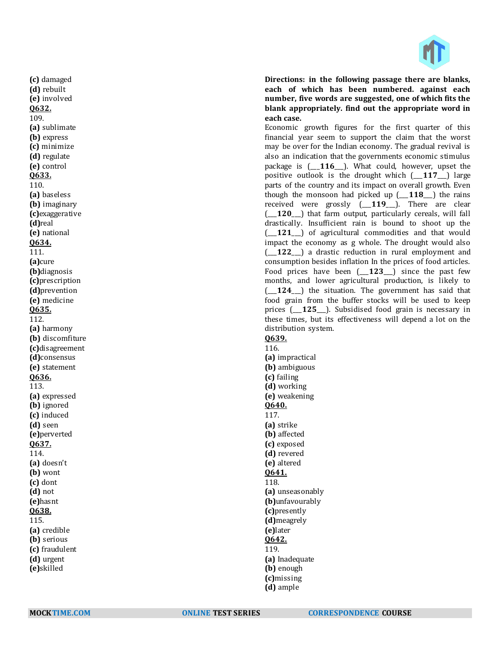

**Directions: in the following passage there are blanks, each of which has been numbered. against each number, five words are suggested, one of which fits the blank appropriately. find out the appropriate word in each case.**

Economic growth figures for the first quarter of this financial year seem to support the claim that the worst may be over for the Indian economy. The gradual revival is also an indication that the governments economic stimulus package is (\_\_\_**116**\_\_\_). What could, however, upset the positive outlook is the drought which (\_\_\_**117**\_\_\_) large parts of the country and its impact on overall growth. Even though the monsoon had picked up (\_\_\_**118**\_\_\_) the rains received were grossly (\_\_\_**119**\_\_\_). There are clear (\_\_\_**120**\_\_\_) that farm output, particularly cereals, will fall drastically. Insufficient rain is bound to shoot up the (\_\_\_**121**\_\_\_) of agricultural commodities and that would impact the economy as g whole. The drought would also (\_\_\_**122**\_\_\_) a drastic reduction in rural employment and consumption besides inflation In the prices of food articles. Food prices have been (\_\_\_**123**\_\_\_) since the past few months, and lower agricultural production, is likely to (\_\_\_**124**\_\_\_) the situation. The government has said that food grain from the buffer stocks will be used to keep prices (\_\_\_**125**\_\_\_). Subsidised food grain is necessary in these times, but its effectiveness will depend a lot on the distribution system.

# **Q639.**

116. **(a)** impractical **(b)** ambiguous **(c)** failing **(d)** working **(e)** weakening **Q640.** 117. **(a)** strike **(b)** affected **(c)** exposed **(d)** revered **(e)** altered **Q641.** 118. **(a)** unseasonably **(b)**unfavourably **(c)**presently **(d)**meagrely **(e)**later **Q642.** 119. **(a)** Inadequate **(b)** enough **(c)**missing **(d)** ample

**(c)** damaged **(d)** rebuilt **(e)** involved **Q632.** 109. **(a)** sublimate **(b)** express **(c)** minimize **(d)** regulate **(e)** control **Q633.** 110. **(a)** baseless **(b)** imaginary **(c)**exaggerative **(d)**real **(e)** national **Q634.** 111. **(a)**cure **(b)**diagnosis **(c)**prescription **(d)**prevention **(e)** medicine **Q635.** 112. **(a)** harmony **(b)** discomfiture **(c)**disagreement **(d)**consensus **(e)** statement **Q636.** 113. **(a)** expressed **(b)** ignored **(c)** induced **(d)** seen **(e)**perverted **Q637.** 114. **(a)** doesn't **(b)** wont **(c)** dont **(d)** not **(e)**hasnt **Q638.** 115. **(a)** credible **(b)** serious **(c)** fraudulent **(d)** urgent **(e)**skilled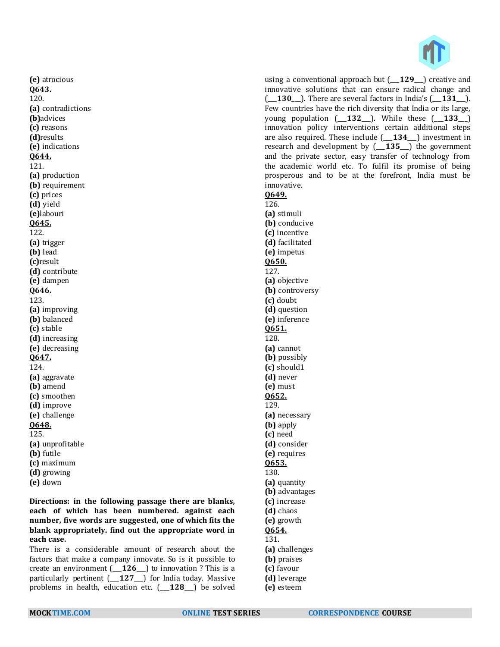

**(e)** atrocious **Q643.** 120. **(a)** contradictions **(b)**advices **(c)** reasons **(d)**results **(e)** indications **Q644.** 121. **(a)** production **(b)** requirement **(c)** prices **(d)** yield **(e)**labouri **Q645.** 122. **(a)** trigger **(b)** lead **(c)**result **(d)** contribute **(e)** dampen **Q646.** 123. **(a)** improving **(b)** balanced **(c)** stable **(d)** increasing **(e)** decreasing **Q647.** 124. **(a)** aggravate **(b)** amend **(c)** smoothen **(d)** improve **(e)** challenge **Q648.** 125. **(a)** unprofitable **(b)** futile **(c)** maximum **(d)** growing

**(e)** down

**Directions: in the following passage there are blanks, each of which has been numbered. against each number, five words are suggested, one of which fits the blank appropriately. find out the appropriate word in each case.**

There is a considerable amount of research about the factors that make a company innovate. So is it possible to create an environment (\_\_\_**126**\_\_\_) to innovation ? This is a particularly pertinent (\_\_\_**127**\_\_\_) for India today. Massive problems in health, education etc. (\_\_\_**128**\_\_\_) be solved

using a conventional approach but (\_\_\_**129**\_\_\_) creative and innovative solutions that can ensure radical change and (\_\_\_**130**\_\_\_). There are several factors in India's (\_\_\_**131**\_\_\_). Few countries have the rich diversity that India or its large, young population  $(-132)$ . While these  $(-133)$ innovation policy interventions certain additional steps are also required. These include (\_\_\_**134**\_\_\_) investment in research and development by (\_\_\_**135**\_\_\_) the government and the private sector, easy transfer of technology from the academic world etc. To fulfil its promise of being prosperous and to be at the forefront, India must be innovative.

**Q649.**

126. **(a)** stimuli **(b)** conducive **(c)** incentive **(d)** facilitated **(e)** impetus **Q650.** 127. **(a)** objective **(b)** controversy **(c)** doubt **(d)** question **(e)** inference **Q651.** 128. **(a)** cannot **(b)** possibly **(c)** should1 **(d)** never **(e)** must **Q652.** 129. **(a)** necessary **(b)** apply **(c)** need **(d)** consider **(e)** requires **Q653.** 130. **(a)** quantity **(b)** advantages **(c)** increase **(d)** chaos **(e)** growth **Q654.** 131. **(a)** challenges **(b)** praises **(c)** favour

- **(d)** leverage
- **(e)** esteem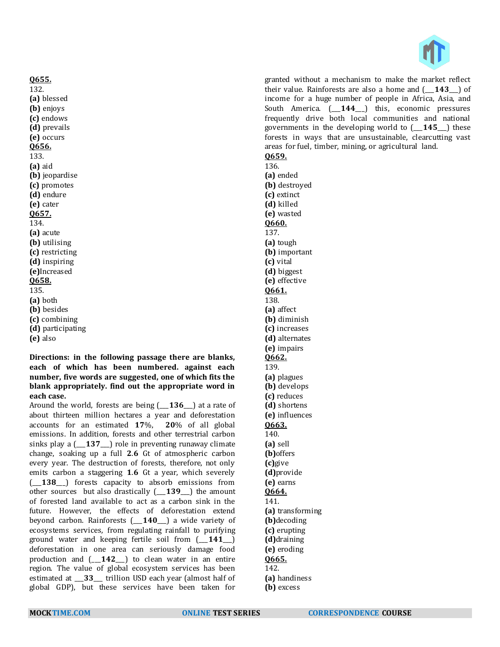

granted without a mechanism to make the market reflect their value. Rainforests are also a home and (\_\_\_**143**\_\_\_) of income for a huge number of people in Africa, Asia, and South America. (\_\_\_**144**\_\_\_) this, economic pressures frequently drive both local communities and national governments in the developing world to (\_\_\_**145**\_\_\_) these forests in ways that are unsustainable, clearcutting vast areas for fuel, timber, mining, or agricultural land.

# **Q659.**

136. **(a)** ended **(b)** destroyed **(c)** extinct **(d)** killed **(e)** wasted **Q660.** 137. **(a)** tough **(b)** important **(c)** vital **(d)** biggest **(e)** effective **Q661.** 138. **(a)** affect **(b)** diminish **(c)** increases **(d)** alternates **(e)** impairs **Q662.** 139. **(a)** plagues **(b)** develops **(c)** reduces **(d)** shortens **(e)** influences **Q663.** 140. **(a)** sell **(b)**offers **(c)**give **(d)**provide **(e)** earns **Q664.** 141. **(a)** transforming **(b)**decoding **(c)** erupting **(d)**draining **(e)** eroding **Q665.** 142. **(a)** handiness **(b)** excess

132. **(a)** blessed **(b)** enjoys **(c)** endows **(d)** prevails **(e)** occurs **Q656.** 133. **(a)** aid **(b)** jeopardise **(c)** promotes **(d)** endure **(e)** cater **Q657.** 134. **(a)** acute **(b)** utilising **(c)** restricting **(d)** inspiring **(e)**Increased **Q658.** 135. **(a)** both **(b)** besides **(c)** combining **(d)** participating **(e)** also

**Q655.**

**Directions: in the following passage there are blanks, each of which has been numbered. against each number, five words are suggested, one of which fits the blank appropriately. find out the appropriate word in each case.**

Around the world, forests are being (\_\_\_**136**\_\_\_) at a rate of about thirteen million hectares a year and deforestation accounts for an estimated **17**%, **20**% of all global emissions. In addition, forests and other terrestrial carbon sinks play a (\_\_\_**137**\_\_\_) role in preventing runaway climate change, soaking up a full **2**.**6** Gt of atmospheric carbon every year. The destruction of forests, therefore, not only emits carbon a staggering **1**.**6** Gt a year, which severely (\_\_\_**138**\_\_\_) forests capacity to absorb emissions from other sources but also drastically (\_\_\_**139**\_\_\_) the amount of forested land available to act as a carbon sink in the future. However, the effects of deforestation extend beyond carbon. Rainforests (\_\_\_**140**\_\_\_) a wide variety of ecosystems services, from regulating rainfall to purifying ground water and keeping fertile soil from (\_\_\_**141**\_\_\_) deforestation in one area can seriously damage food production and (\_\_\_**142**\_\_\_) to clean water in an entire region. The value of global ecosystem services has been estimated at \_\_\_**33**\_\_\_ trillion USD each year (almost half of global GDP), but these services have been taken for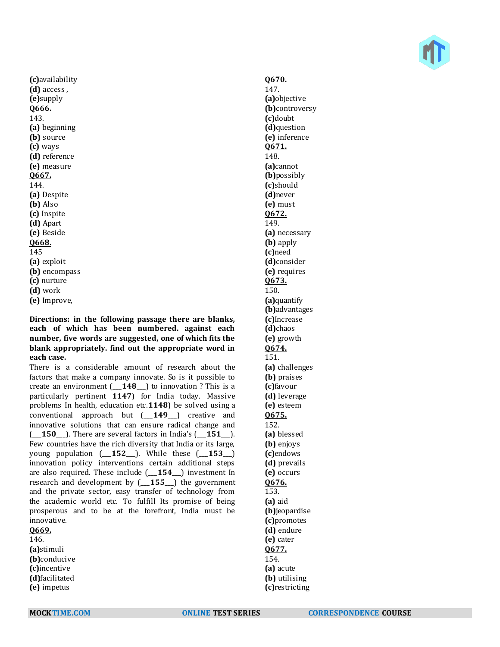

**(c)**availability **(d)** access , **(e)**supply **Q666.** 143. **(a)** beginning **(b)** source **(c)** ways **(d)** reference **(e)** measure **Q667.** 144. **(a)** Despite **(b)** Also **(c)** Inspite **(d)** Apart **(e)** Beside **Q668.** 145 **(a)** exploit **(b)** encompass **(c)** nurture **(d)** work **(e)** Improve,

**Directions: in the following passage there are blanks, each of which has been numbered. against each number, five words are suggested, one of which fits the blank appropriately. find out the appropriate word in each case.**

There is a considerable amount of research about the factors that make a company innovate. So is it possible to create an environment (\_\_\_**148**\_\_\_) to innovation ? This is a particularly pertinent **1147**) for India today. Massive problems In health, education etc.**1148**) be solved using a conventional approach but (\_\_\_**149**\_\_\_) creative and innovative solutions that can ensure radical change and (\_\_\_**150**\_\_\_). There are several factors in India's (\_\_\_**151**\_\_\_). Few countries have the rich diversity that India or its large, young population (\_\_\_**152**\_\_\_). While these (\_\_\_**153**\_\_\_) innovation policy interventions certain additional steps are also required. These include (\_\_\_**154**\_\_\_) investment In research and development by (\_\_\_**155**\_\_\_) the government and the private sector, easy transfer of technology from the academic world etc. To fulfill Its promise of being prosperous and to be at the forefront, India must be innovative.

**Q669.** 146. **(a)**stimuli **(b)**conducive **(c)**incentive **(d)**facilitated

**(e)** impetus

# **Q670.**

147. **(a)**objective **(b)**controversy **(c)**doubt **(d)**question **(e)** inference **Q671.** 148. **(a)**cannot **(b)**possibly **(c)**should **(d)**never **(e)** must **Q672.** 149. **(a)** necessary **(b)** apply **(c)**need **(d)**consider **(e)** requires **Q673.** 150. **(a)**quantify **(b)**advantages **(c)**Increase **(d)**chaos **(e)** growth **Q674.** 151. **(a)** challenges **(b)** praises **(c)**favour **(d)** leverage **(e)** esteem **Q675.** 152. **(a)** blessed **(b)** enjoys **(c)**endows **(d)** prevails **(e)** occurs **Q676.** 153. **(a)** aid **(b)**jeopardise **(c)**promotes **(d)** endure **(e)** cater **Q677.** 154. **(a)** acute **(b)** utilising **(c)**restricting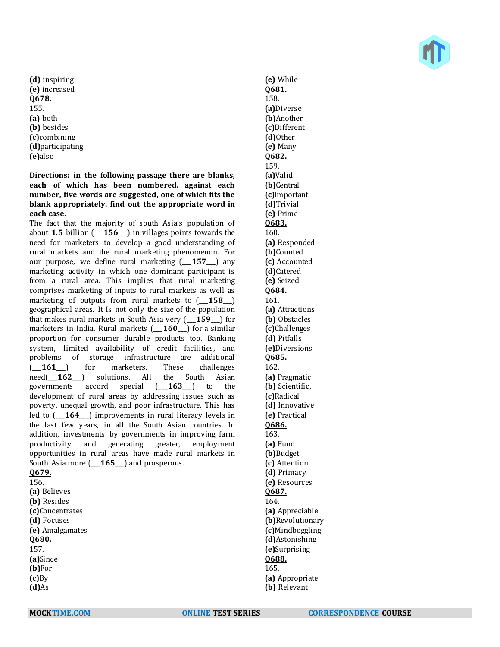**(d)** inspiring **(e)** increased **Q678.** 155. **(a)** both **(b)** besides **(c)**combining **(d)**participating **(e)**also

**Directions: in the following passage there are blanks, each of which has been numbered. against each number, five words are suggested, one of which fits the blank appropriately. find out the appropriate word in each case.**

The fact that the majority of south Asia's population of about **1**.**5** billion (\_\_\_**156**\_\_\_) in villages points towards the need for marketers to develop a good understanding of rural markets and the rural marketing phenomenon. For our purpose, we define rural marketing  $(157)$  any marketing activity in which one dominant participant is from a rural area. This implies that rural marketing comprises marketing of inputs to rural markets as well as marketing of outputs from rural markets to (\_\_\_**158**\_\_\_) geographical areas. It Is not only the size of the population that makes rural markets in South Asia very (\_\_\_**159**\_\_\_) for marketers in India. Rural markets (\_\_\_**160**\_\_\_) for a similar proportion for consumer durable products too. Banking system, limited availability of credit facilities, and problems of storage infrastructure are additional (\_\_\_**161**\_\_\_) for marketers. These challenges need(\_\_\_**162**\_\_\_) solutions. All the South Asian governments accord special (\_\_\_**163**\_\_\_) to the development of rural areas by addressing issues such as poverty, unequal growth, and poor infrastructure. This has led to (\_\_\_**164**\_\_\_) improvements in rural literacy levels in the last few years, in all the South Asian countries. In addition, investments by governments in improving farm productivity and generating greater, employment opportunities in rural areas have made rural markets in South Asia more (\_\_\_**165**\_\_\_) and prosperous. **Q679.**

156.

**(a)** Believes **(b)** Resides **(c)**Concentrates **(d)** Focuses **(e)** Amalgamates **Q680.** 157. **(a)**Since **(b)**For **(c)**By **(d)**As

**(e)** While **Q681.** 158. **(a)**Diverse **(b)**Another **(c)**Different **(d)**Other **(e)** Many **Q682.** 159. **(a)**Valid **(b)**Central **(c)**Important **(d)**Trivial **(e)** Prime **Q683.** 160. **(a)** Responded **(b)**Counted **(c)** Accounted **(d)**Catered **(e)** Seized **Q684.** 161. **(a)** Attractions **(b)** Obstacles **(c)**Challenges **(d)** Pitfalls **(e)**Diversions **Q685.** 162. **(a)** Pragmatic **(b)** Scientific, **(c)**Radical **(d)** Innovative **(e)** Practical **Q686.** 163. **(a)** Fund **(b)**Budget **(c)** Attention **(d)** Primacy **(e)** Resources **Q687.** 164. **(a)** Appreciable **(b)**Revolutionary **(c)**Mindboggling **(d)**Astonishing **(e)**Surprising **Q688.** 165. **(a)** Appropriate **(b)** Relevant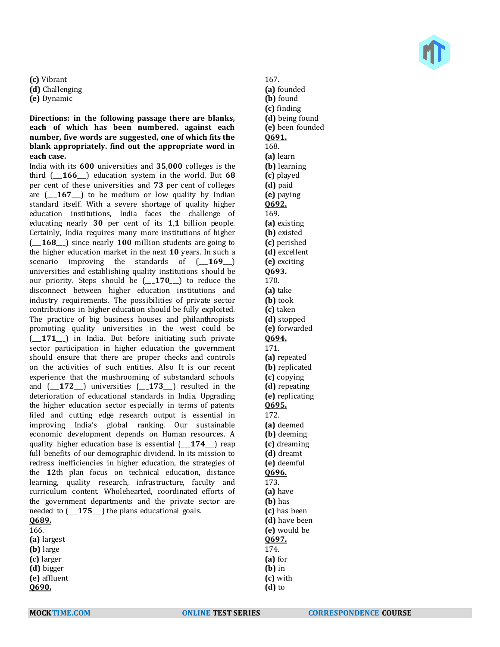**(c)** Vibrant

- **(d)** Challenging
- **(e)** Dynamic

**Directions: in the following passage there are blanks, each of which has been numbered. against each number, five words are suggested, one of which fits the blank appropriately. find out the appropriate word in each case.**

India with its **600** universities and **35**,**000** colleges is the third (\_\_\_**166**\_\_\_) education system in the world. But **68** per cent of these universities and **73** per cent of colleges are (\_\_\_**167**\_\_\_) to be medium or low quality by Indian standard itself. With a severe shortage of quality higher education institutions, India faces the challenge of educating nearly **30** per cent of its **1**,**1** billion people. Certainly, India requires many more institutions of higher (\_\_\_**168**\_\_\_) since nearly **100** million students are going to the higher education market in the next **10** years. In such a scenario improving the standards of  $(169)$ universities and establishing quality institutions should be our priority. Steps should be (\_\_\_**170**\_\_\_) to reduce the disconnect between higher education institutions and industry requirements. The possibilities of private sector contributions in higher education should be fully exploited. The practice of big business houses and philanthropists promoting quality universities in the west could be (\_\_\_**171**\_\_\_) in India. But before initiating such private sector participation in higher education the government should ensure that there are proper checks and controls on the activities of such entities. Also It is our recent experience that the mushrooming of substandard schools and (\_\_\_**172**\_\_\_) universities (\_\_\_**173**\_\_\_) resulted in the deterioration of educational standards in India. Upgrading the higher education sector especially in terms of patents filed and cutting edge research output is essential in improving India's global ranking. Our sustainable economic development depends on Human resources. A quality higher education base is essential (\_\_\_**174**\_\_\_) reap full benefits of our demographic dividend. In its mission to redress inefficiencies in higher education, the strategies of the **12**th plan focus on technical education, distance learning, quality research, infrastructure, faculty and curriculum content. Wholehearted, coordinated efforts of the government departments and the private sector are needed to (\_\_\_**175**\_\_\_) the plans educational goals.

| <u>Q689.</u> |
|--------------|
| 166.         |
| (a) largest  |
| (b) large    |
| (c) larger   |
| (d) bigger   |
| (e) affluent |
| 0690.        |

167. **(a)** founded **(b)** found **(c)** finding **(d)** being found **(e)** been founded **Q691.** 168. **(a)** learn **(b)** learning **(c)** played **(d)** paid **(e)** paying **Q692.** 169. **(a)** existing **(b)** existed **(c)** perished **(d)** excellent **(e)** exciting **Q693.** 170. **(a)** take **(b)** took **(c)** taken **(d)** stopped **(e)** forwarded **Q694.** 171. **(a)** repeated **(b)** replicated **(c)** copying **(d)** repeating **(e)** replicating **Q695.** 172. **(a)** deemed **(b)** deeming **(c)** dreaming **(d)** dreamt **(e)** deemful **Q696.** 173. **(a)** have **(b)** has **(c)** has been **(d)** have been **(e)** would be **Q697.** 174. **(a)** for **(b)** in



**(c)** with **(d)** to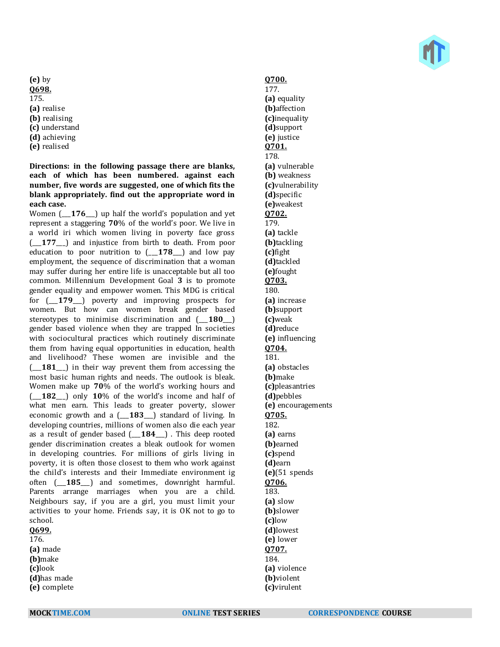**(e)** by **Q698.** 175. **(a)** realise **(b)** realising **(c)** understand **(d)** achieving **(e)** realised

# **Directions: in the following passage there are blanks, each of which has been numbered. against each number, five words are suggested, one of which fits the blank appropriately. find out the appropriate word in each case.**

Women ( $\overline{176}$ ) up half the world's population and yet represent a staggering **70**% of the world's poor. We live in a world iri which women living in poverty face gross (\_\_\_**177**\_\_\_) and injustice from birth to death. From poor education to poor nutrition to (\_\_\_**178**\_\_\_) and low pay employment, the sequence of discrimination that a woman may suffer during her entire life is unacceptable but all too common. Millennium Development Goal **3** is to promote gender equality and empower women. This MDG is critical for (\_\_\_**179**\_\_\_) poverty and improving prospects for women. But how can women break gender based stereotypes to minimise discrimination and  $($  **180**  $)$ gender based violence when they are trapped In societies with sociocultural practices which routinely discriminate them from having equal opportunities in education, health and livelihood? These women are invisible and the (\_\_\_**181**\_\_\_) in their way prevent them from accessing the most basic human rights and needs. The outlook is bleak. Women make up **70**% of the world's working hours and (\_\_\_**182**\_\_\_) only **10**% of the world's income and half of what men earn. This leads to greater poverty, slower economic growth and a (\_\_\_**183**\_\_\_) standard of living. In developing countries, millions of women also die each year as a result of gender based (\_\_\_**184**\_\_\_) . This deep rooted gender discrimination creates a bleak outlook for women in developing countries. For millions of girls living in poverty, it is often those closest to them who work against the child's interests and their Immediate environment ig often (\_\_\_**185**\_\_\_) and sometimes, downright harmful. Parents arrange marriages when you are a child. Neighbours say, if you are a girl, you must limit your activities to your home. Friends say, it is OK not to go to school.

#### **Q699.** 176.

**(a)** made **(b)**make **(c)**look **(d)**has made **(e)** complete

# **Q700.**

177. **(a)** equality **(b)**affection **(c)**inequality **(d)**support **(e)** justice **Q701.** 178. **(a)** vulnerable **(b)** weakness **(c)**vulnerability **(d)**specific **(e)**weakest **Q702.** 179. **(a)** tackle **(b)**tackling **(c)**fight **(d)**tackled **(e)**fought **Q703.** 180. **(a)** increase **(b)**support **(c)**weak **(d)**reduce **(e)** influencing **Q704.** 181. **(a)** obstacles **(b)**make **(c)**pleasantries **(d)**pebbles **(e)** encouragements **Q705.** 182. **(a)** earns **(b)**earned **(c)**spend **(d)**earn **(e)**(51 spends **Q706.** 183. **(a)** slow **(b)**slower **(c)**low **(d)**lowest **(e)** lower **Q707.** 184. **(a)** violence **(b)**violent **(c)**virulent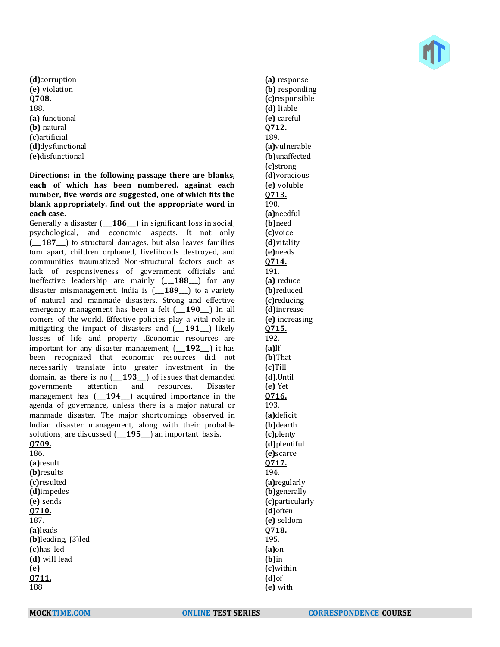**(d)**corruption **(e)** violation **Q708.** 188. **(a)** functional **(b)** natural **(c)**artificial **(d)**dysfunctional **(e)**disfunctional

**Directions: in the following passage there are blanks, each of which has been numbered. against each number, five words are suggested, one of which fits the blank appropriately. find out the appropriate word in each case.**

Generally a disaster (\_\_\_**186**\_\_\_) in significant loss in social, psychological, and economic aspects. It not only (\_\_\_**187**\_\_\_) to structural damages, but also leaves families tom apart, children orphaned, livelihoods destroyed, and communities traumatized Non-structural factors such as lack of responsiveness of government officials and Ineffective leadership are mainly (\_\_\_**188**\_\_\_) for any disaster mismanagement. India is (\_\_\_**189**\_\_\_) to a variety of natural and manmade disasters. Strong and effective emergency management has been a felt (\_\_\_**190**\_\_\_) In all comers of the world. Effective policies play a vital role in mitigating the impact of disasters and (\_\_\_**191**\_\_\_) likely losses of life and property .Economic resources are important for any disaster management, (\_\_\_**192**\_\_\_) it has been recognized that economic resources did not necessarily translate into greater investment in the domain, as there is no (\_\_\_**193**\_\_\_) of issues that demanded governments attention and resources. Disaster management has (\_\_\_**194**\_\_\_) acquired importance in the agenda of governance, unless there is a major natural or manmade disaster. The major shortcomings observed in Indian disaster management, along with their probable solutions, are discussed (\_\_\_**195**\_\_\_) an important basis. **Q709.**

186. **(a)**result **(b)**results **(c)**resulted **(d)**impedes **(e)** sends **Q710.** 187. **(a)**leads **(b)**leading, J3)led **(c)**has led **(d)** will lead **(e) Q711.** 188

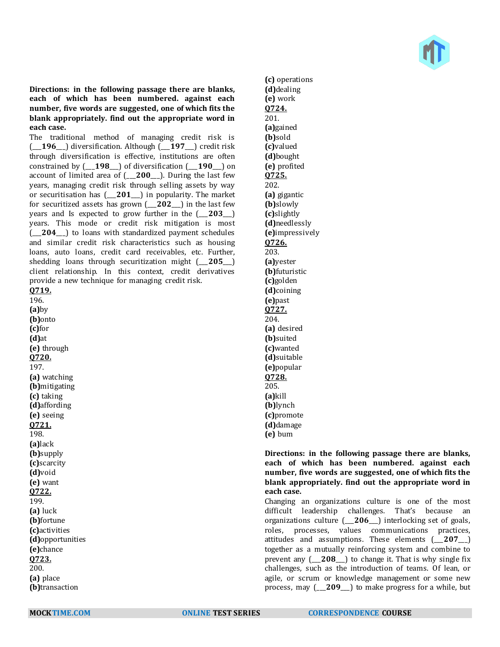

**Directions: in the following passage there are blanks, each of which has been numbered. against each number, five words are suggested, one of which fits the blank appropriately. find out the appropriate word in each case.**

The traditional method of managing credit risk is (\_\_\_**196**\_\_\_) diversification. Although (\_\_\_**197**\_\_\_) credit risk through diversification is effective, institutions are often constrained by (\_\_\_**198**\_\_\_) of diversification (\_\_\_**190**\_\_\_) on account of limited area of (\_\_\_**200**\_\_\_). During the last few years, managing credit risk through selling assets by way or securitisation has (\_\_\_**201**\_\_\_) in popularity. The market for securitized assets has grown (\_\_\_**202**\_\_\_) in the last few years and Is expected to grow further in the (\_\_\_**203**\_\_\_) years. This mode or credit risk mitigation is most (\_\_\_**204**\_\_\_) to loans with standardized payment schedules and similar credit risk characteristics such as housing loans, auto loans, credit card receivables, etc. Further, shedding loans through securitization might (\_\_\_**205**\_\_\_) client relationship. In this context, credit derivatives provide a new technique for managing credit risk. **Q719.**

196. **(a)**by **(b)**onto **(c)**for **(d)**at **(e)** through **Q720.** 197. **(a)** watching **(b)**mitigating **(c)** taking **(d)**affording **(e)** seeing **Q721.** 198. **(a)**lack **(b)**supply **(c)**scarcity **(d)**void **(e)** want **Q722.** 199. **(a)** luck **(b)**fortune **(c)**activities **(d)**opportunities **(e)**chance **Q723.** 200. **(a)** place **(b)**transaction

**(c)** operations **(d)**dealing **(e)** work **Q724.** 201. **(a)**gained **(b)**sold **(c)**valued **(d)**bought **(e)** profited **Q725.** 202. **(a)** gigantic **(b)**slowly **(c)**slightly **(d)**needlessly **(e)**impressively **Q726.** 203. **(a)**yester **(b)**futuristic **(c)**golden **(d)**coining **(e)**past **Q727.** 204. **(a)** desired **(b)**suited **(c)**wanted **(d)**suitable **(e)**popular **Q728.** 205. **(a)**kill **(b)**lynch **(c)**promote **(d)**damage **(e)** bum

### **Directions: in the following passage there are blanks, each of which has been numbered. against each number, five words are suggested, one of which fits the blank appropriately. find out the appropriate word in each case.**

Changing an organizations culture is one of the most difficult leadership challenges. That's because an organizations culture (\_\_\_**206**\_\_\_) interlocking set of goals, roles, processes, values communications practices, attitudes and assumptions. These elements (\_\_\_**207**\_\_\_) together as a mutually reinforcing system and combine to prevent any (\_\_\_**208**\_\_\_) to change it. That is why single fix challenges, such as the introduction of teams. Of lean, or agile, or scrum or knowledge management or some new process, may (\_\_\_**209**\_\_\_) to make progress for a while, but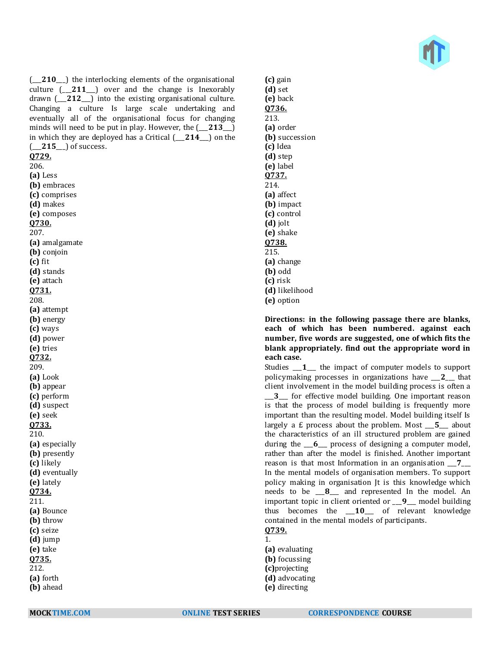

(210) the interlocking elements of the organisational culture (\_\_\_**211**\_\_\_) over and the change is Inexorably drawn (\_\_\_**212**\_\_\_) into the existing organisational culture. Changing a culture Is large scale undertaking and eventually all of the organisational focus for changing minds will need to be put in play. However, the (\_\_\_**213**\_\_\_) in which they are deployed has a Critical (\_\_\_**214**\_\_\_) on the (\_\_\_**215**\_\_\_) of success. **Q729.** 206. **(a)** Less **(b)** embraces **(c)** comprises **(d)** makes **(e)** composes **Q730.** 207. **(a)** amalgamate **(b)** conjoin **(c)** fit **(d)** stands **(e)** attach **Q731.** 208. **(a)** attempt **(b)** energy **(c)** ways **(d)** power **(e)** tries **Q732.** 209. **(a)** Look **(b)** appear **(c)** perform **(d)** suspect **(e)** seek **Q733.** 210. **(a)** especially **(b)** presently **(c)** likely **(d)** eventually **(e)** lately **Q734.** 211. **(a)** Bounce **(b)** throw **(c)** seize **(d)** jump **(e)** take **Q735.** 212.

**(c)** gain **(d)** set **(e)** back **Q736.** 213. **(a)** order **(b)** succession **(c)** Idea **(d)** step **(e)** label **Q737.** 214. **(a)** affect **(b)** impact **(c)** control **(d)** jolt **(e)** shake **Q738.** 215. **(a)** change **(b)** odd **(c)** risk **(d)** likelihood **(e)** option

**Directions: in the following passage there are blanks, each of which has been numbered. against each number, five words are suggested, one of which fits the blank appropriately. find out the appropriate word in each case.**

Studies \_\_\_**1**\_\_\_ the impact of computer models to support policymaking processes in organizations have \_\_\_**2**\_\_\_ that client involvement in the model building process is often a \_\_\_**3**\_\_\_ for effective model building. One important reason is that the process of model building is frequently more important than the resulting model. Model building itself Is largely a £ process about the problem. Most \_\_\_**5**\_\_\_ about the characteristics of an ill structured problem are gained during the \_\_\_**6**\_\_\_ process of designing a computer model, rather than after the model is finished. Another important reason is that most Information in an organisation \_\_\_**7**\_\_\_ In the mental models of organisation members. To support policy making in organisation Jt is this knowledge which needs to be \_\_\_**8**\_\_\_ and represented In the model. An important topic in client oriented or \_\_\_**9**\_\_\_ model building thus becomes the \_\_\_**10**\_\_\_ of relevant knowledge contained in the mental models of participants.

#### **Q739.** 1.

**(a)** evaluating **(b)** focussing **(c)**projecting **(d)** advocating **(e)** directing

**(a)** forth **(b)** ahead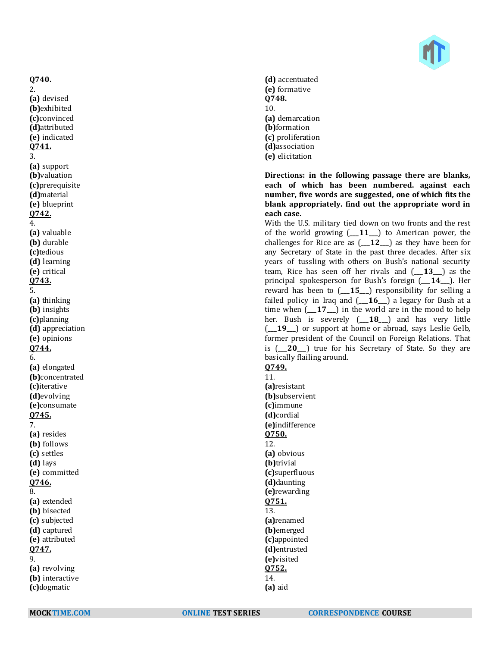

**(d)** accentuated **(e)** formative **Q748.** 10. **(a)** demarcation **(b)**formation **(c)** proliferation **(d)**association **(e)** elicitation

**Directions: in the following passage there are blanks, each of which has been numbered. against each number, five words are suggested, one of which fits the blank appropriately. find out the appropriate word in each case.**

With the U.S. military tied down on two fronts and the rest of the world growing (\_\_\_**11**\_\_\_) to American power, the challenges for Rice are as (\_\_\_**12**\_\_\_) as they have been for any Secretary of State in the past three decades. After six years of tussling with others on Bush's national security team, Rice has seen off her rivals and (\_\_\_**13**\_\_\_) as the principal spokesperson for Bush's foreign (\_\_\_**14**\_\_\_). Her reward has been to (\_\_\_**15**\_\_\_) responsibility for selling a failed policy in Iraq and (\_\_\_**16**\_\_\_) a legacy for Bush at a time when (\_\_\_**17**\_\_\_) in the world are in the mood to help her. Bush is severely (\_\_\_**18**\_\_\_) and has very little (\_\_\_**19**\_\_\_) or support at home or abroad, says Leslie Gelb, former president of the Council on Foreign Relations. That is (\_\_\_**20**\_\_\_) true for his Secretary of State. So they are basically flailing around.

**Q749.** 11.

**(a)**resistant **(b)**subservient **(c)**immune **(d)**cordial **(e)**indifference **Q750.** 12. **(a)** obvious **(b)**trivial **(c)**superfluous **(d)**daunting **(e)**rewarding **Q751.** 13. **(a)**renamed **(b)**emerged **(c)**appointed **(d)**entrusted **(e)**visited **Q752.** 14.

**(a)** aid

**Q740.** 2. **(a)** devised **(b)**exhibited **(c)**convinced **(d)**attributed **(e)** indicated **Q741.** 3. **(a)** support **(b)**valuation **(c)**prerequisite **(d)**material **(e)** blueprint **Q742.** 4. **(a)** valuable **(b)** durable **(c)**tedious **(d)** learning **(e)** critical **Q743.** 5. **(a)** thinking **(b)** insights **(c)**planning **(d)** appreciation **(e)** opinions **Q744.** 6. **(a)** elongated **(b)**concentrated **(c)**iterative **(d)**evolving **(e)**consumate **Q745.** 7. **(a)** resides **(b)** follows **(c)** settles **(d)** lays **(e)** committed **Q746.** 8. **(a)** extended **(b)** bisected **(c)** subjected **(d)** captured **(e)** attributed **Q747.** 9. **(a)** revolving **(b)** interactive **(c)**dogmatic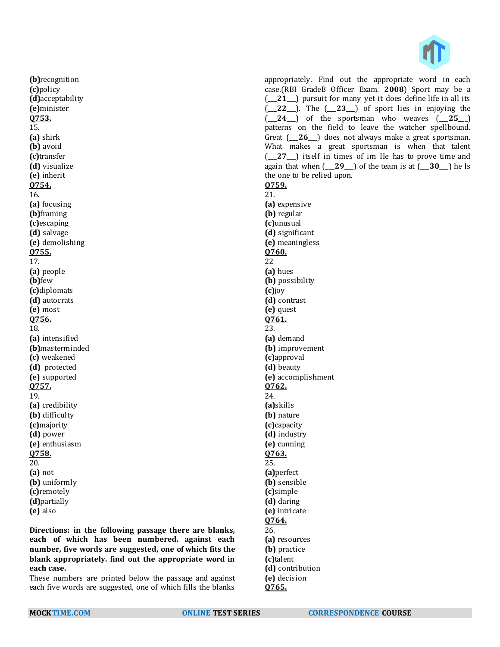

**(b)**recognition **(c)**policy **(d)**acceptability **(e)**minister **Q753.** 15. **(a)** shirk **(b)** avoid **(c)**transfer **(d)** visualize **(e)** inherit **Q754.** 16. **(a)** focusing **(b)**framing **(c)**escaping **(d)** salvage **(e)** demolishing **Q755.** 17. **(a)** people **(b)**few **(c)**diplomats **(d)** autocrats **(e)** most **Q756.** 18. **(a)** intensified **(b)**masterminded **(c)** weakened **(d)** protected **(e)** supported **Q757.** 19. **(a)** credibility **(b)** difficulty **(c)**majority **(d)** power **(e)** enthusiasm **Q758.** 20. **(a)** not **(b)** uniformly **(c)**remotely **(d)**partially **(e)** also

**Directions: in the following passage there are blanks, each of which has been numbered. against each number, five words are suggested, one of which fits the blank appropriately. find out the appropriate word in each case.**

These numbers are printed below the passage and against each five words are suggested, one of which fills the blanks

appropriately. Find out the appropriate word in each case.(RBI GradeB Officer Exam. **2008**) Sport may be a (\_\_\_**21**\_\_\_) pursuit for many yet it does define life in all its (\_\_\_**22**\_\_\_). The (\_\_\_**23**\_\_\_) of sport lies in enjoying the  $($  **24**  $)$  of the sportsman who weaves  $($  **25**  $)$ patterns on the field to leave the watcher spellbound. Great (26<sup>1</sup>) does not always make a great sportsman. What makes a great sportsman is when that talent (\_\_\_**27**\_\_\_) itself in times of im He has to prove time and again that when (\_\_\_**29**\_\_\_) of the team is at (\_\_\_**30**\_\_\_) he Is the one to be relied upon. **Q759.** 21. **(a)** expensive **(b)** regular **(c)**unusual **(d)** significant **(e)** meaningless **Q760.** 22 **(a)** hues **(b)** possibility **(c)**joy **(d)** contrast **(e)** quest **Q761.** 23. **(a)** demand **(b)** improvement **(c)**approval **(d)** beauty **(e)** accomplishment **Q762.** 24. **(a)**skills **(b)** nature **(c)**capacity **(d)** industry **(e)** cunning **Q763.** 25. **(a)**perfect **(b)** sensible **(c)**simple **(d)** daring **(e)** intricate **Q764.** 26. **(a)** resources

**(b)** practice **(c)**talent **(d)** contribution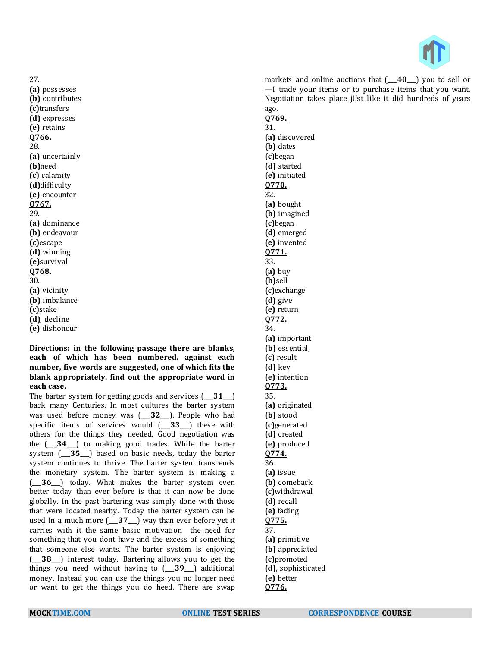

27. **(a)** possesses **(b)** contributes **(c)**transfers **(d)** expresses **(e)** retains **Q766.** 28. **(a)** uncertainly **(b)**need **(c)** calamity **(d)**difficulty **(e)** encounter **Q767.** 29. **(a)** dominance **(b)** endeavour **(c)**escape **(d)** winning **(e)**survival **Q768.** 30. **(a)** vicinity **(b)** imbalance **(c)**stake **(d)**, decline **(e)** dishonour

#### **Directions: in the following passage there are blanks, each of which has been numbered. against each number, five words are suggested, one of which fits the blank appropriately. find out the appropriate word in each case.**

The barter system for getting goods and services (\_\_\_**31**\_\_\_) back many Centuries. In most cultures the barter system was used before money was (\_\_\_**32**\_\_\_). People who had specific items of services would (\_\_\_**33**\_\_\_) these with others for the things they needed. Good negotiation was the (\_\_\_**34**\_\_\_) to making good trades. While the barter system (\_\_\_**35**\_\_\_) based on basic needs, today the barter system continues to thrive. The barter system transcends the monetary system. The barter system is making a (\_\_\_**36**\_\_\_) today. What makes the barter system even better today than ever before is that it can now be done globally. In the past bartering was simply done with those that were located nearby. Today the barter system can be used In a much more (\_\_\_**37**\_\_\_) way than ever before yet it carries with it the same basic motivation the need for something that you dont have and the excess of something that someone else wants. The barter system is enjoying (\_\_\_**38**\_\_\_) interest today. Bartering allows you to get the things you need without having to (\_\_\_**39**\_\_\_) additional money. Instead you can use the things you no longer need or want to get the things you do heed. There are swap

markets and online auctions that (\_\_\_**40**\_\_\_) you to sell or —I trade your items or to purchase items that you want. Negotiation takes place jUst like it did hundreds of years ago. **Q769.** 31. **(a)** discovered **(b)** dates **(c)**began **(d)** started **(e)** initiated **Q770.** 32. **(a)** bought **(b)** imagined **(c)**began **(d)** emerged **(e)** invented **Q771.** 33. **(a)** buy **(b)**sell **(c)**exchange **(d)** give **(e)** return **Q772.** 34. **(a)** important **(b)** essential, **(c)** result **(d)** key **(e)** intention **Q773.**

**(d)** created **(e)** produced **Q774.** 36. **(a)** issue **(b)** comeback **(c)**withdrawal **(d)** recall **(e)** fading **Q775.** 37. **(a)** primitive **(b)** appreciated **(c)**promoted **(d)**, sophisticated **(e)** better **Q776.**

35.

**(a)** originated **(b)** stood **(c)**generated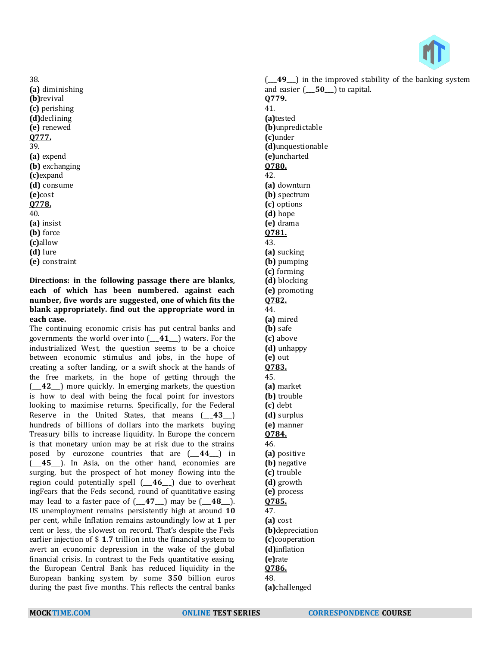38. **(a)** diminishing **(b)**revival **(c)** perishing **(d)**declining **(e)** renewed **Q777.** 39. **(a)** expend **(b)** exchanging **(c)**expand **(d)** consume **(e)**cost **Q778.** 40. **(a)** insist **(b)** force **(c)**allow **(d)** lure **(e)** constraint

**Directions: in the following passage there are blanks, each of which has been numbered. against each number, five words are suggested, one of which fits the blank appropriately. find out the appropriate word in each case.**

The continuing economic crisis has put central banks and governments the world over into (\_\_\_**41**\_\_\_) waters. For the industrialized West, the question seems to be a choice between economic stimulus and jobs, in the hope of creating a softer landing, or a swift shock at the hands of the free markets, in the hope of getting through the (\_\_\_**42**\_\_\_) more quickly. In emerging markets, the question is how to deal with being the focal point for investors looking to maximise returns. Specifically, for the Federal Reserve in the United States, that means (\_\_\_**43**\_\_\_) hundreds of billions of dollars into the markets buying Treasury bills to increase liquidity. In Europe the concern is that monetary union may be at risk due to the strains posed by eurozone countries that are (\_\_\_**44**\_\_\_) in (\_\_\_**45**\_\_\_). In Asia, on the other hand, economies are surging, but the prospect of hot money flowing into the region could potentially spell (\_\_\_**46**\_\_\_) due to overheat ingFears that the Feds second, round of quantitative easing may lead to a faster pace of (\_\_\_**47**\_\_\_) may be (\_\_\_**48**\_\_\_). US unemployment remains persistently high at around **10** per cent, while Inflation remains astoundingly low at **1** per cent or less, the slowest on record. That's despite the Feds earlier injection of \$ **1**.**7** trillion into the financial system to avert an economic depression in the wake of the global financial crisis. In contrast to the Feds quantitative easing, the European Central Bank has reduced liquidity in the European banking system by some **350** billion euros during the past five months. This reflects the central banks

(\_\_\_**49**\_\_\_) in the improved stability of the banking system and easier (\_\_\_**50**\_\_\_) to capital. **Q779.** 41. **(a)**tested **(b)**unpredictable **(c)**under **(d)**unquestionable **(e)**uncharted **Q780.** 42. **(a)** downturn **(b)** spectrum **(c)** options **(d)** hope **(e)** drama **Q781.** 43. **(a)** sucking **(b)** pumping **(c)** forming **(d)** blocking **(e)** promoting **Q782.** 44. **(a)** mired **(b)** safe **(c)** above **(d)** unhappy **(e)** out **Q783.** 45. **(a)** market **(b)** trouble **(c)** debt **(d)** surplus **(e)** manner **Q784.** 46. **(a)** positive **(b)** negative **(c)** trouble **(d)** growth **(e)** process **Q785.** 47. **(a)** cost **(b)**depreciation **(c)**cooperation **(d)**inflation **(e)**rate **Q786.**

48.

**(a)**challenged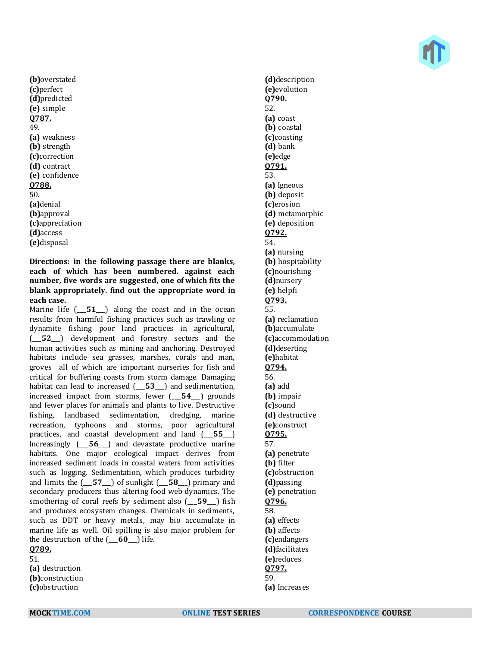**(b)**overstated **(c)**perfect **(d)**predicted **(e)** simple **Q787.** 49. **(a)** weakness **(b)** strength **(c)**correction **(d)** contract **(e)** confidence **Q788.** 50. **(a)**denial **(b)**approval **(c)**appreciation **(d)**access **(e)**disposal

**Directions: in the following passage there are blanks, each of which has been numbered. against each number, five words are suggested, one of which fits the blank appropriately. find out the appropriate word in each case.**

Marine life  $[-51]$  along the coast and in the ocean results from harmful fishing practices such as trawling or dynamite fishing poor land practices in agricultural, (\_\_\_**52**\_\_\_) development and forestry sectors and the human activities such as mining and anchoring. Destroyed habitats include sea grasses, marshes, corals and man, groves all of which are important nurseries for fish and critical for buffering coasts from storm damage. Damaging habitat can lead to increased (\_\_\_**53**\_\_\_) and sedimentation, increased impact from storms, fewer (\_\_\_**54**\_\_\_) grounds and fewer places for animals and plants to live. Destructive fishing, landbased sedimentation, dredging, marine recreation, typhoons and storms, poor agricultural practices, and coastal development and land (\_\_\_**55**\_\_\_) Increasingly (\_\_\_**56**\_\_\_) and devastate productive marine habitats. One major ecological impact derives from increased sediment loads in coastal waters from activities such as logging. Sedimentation, which produces turbidity and limits the (\_\_\_**57**\_\_\_) of sunlight (\_\_\_**58**\_\_\_) primary and secondary producers thus altering food web dynamics. The smothering of coral reefs by sediment also (\_\_\_**59**\_\_\_) fish and produces ecosystem changes. Chemicals in sediments, such as DDT or heavy metals, may bio accumulate in marine life as well. Oil spilling is also major problem for the destruction of the (\_\_\_**60**\_\_\_) life.

**Q789.** 51.

**(a)** destruction

**(b)**construction **(c)**obstruction

**(d)**description **(e)**evolution **Q790.** 52. **(a)** coast **(b)** coastal **(c)**coasting **(d)** bank **(e)**edge **Q791.** 53. **(a)** Igneous **(b)** deposit **(c)**erosion **(d)** metamorphic **(e)** deposition **Q792.** 54. **(a)** nursing **(b)** hospitability **(c)**nourishing **(d)**nursery **(e)** helpfi **Q793.** 55. **(a)** reclamation **(b)**accumulate **(c)**accommodation **(d)**deserting **(e)**habitat **Q794.** 56. **(a)** add **(b)** impair **(c)**sound **(d)** destructive **(e)**construct **Q795.** 57. **(a)** penetrate **(b)** filter **(c)**obstruction **(d)**passing **(e)** penetration **Q796.** 58. **(a)** effects **(b)** affects **(c)**endangers **(d)**facilitates **(e)**reduces **Q797.** 59. **(a)** Increases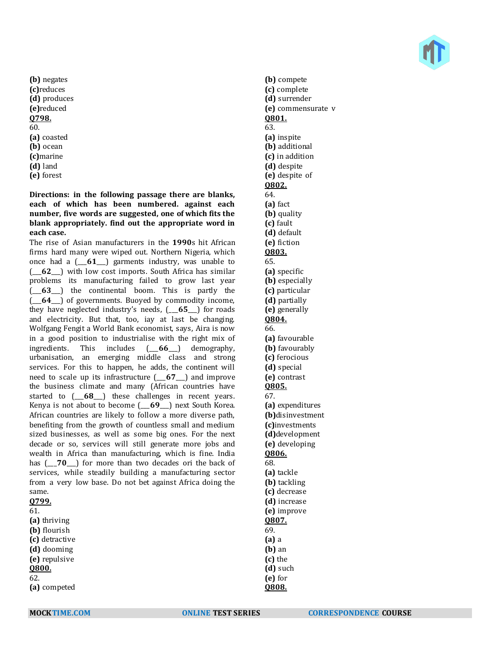**(b)** negates **(c)**reduces **(d)** produces **(e)**reduced **Q798.** 60. **(a)** coasted **(b)** ocean **(c)**marine **(d)** land **(e)** forest

**Directions: in the following passage there are blanks, each of which has been numbered. against each number, five words are suggested, one of which fits the blank appropriately. find out the appropriate word in each case.**

The rise of Asian manufacturers in the **1990**s hit African firms hard many were wiped out. Northern Nigeria, which once had a (\_\_\_**61**\_\_\_) garments industry, was unable to (\_\_\_**62**\_\_\_) with low cost imports. South Africa has similar problems its manufacturing failed to grow last year (\_\_\_**63**\_\_\_) the continental boom. This is partly the (\_\_\_**64**\_\_\_) of governments. Buoyed by commodity income, they have neglected industry's needs, (\_\_\_**65**\_\_\_) for roads and electricity. But that, too, iay at last be changing. Wolfgang Fengit a World Bank economist, says, Aira is now in a good position to industrialise with the right mix of ingredients. This includes (\_\_\_**66**\_\_\_) demography, urbanisation, an emerging middle class and strong services. For this to happen, he adds, the continent will need to scale up its infrastructure (\_\_\_**67**\_\_\_) and improve the business climate and many (African countries have started to (\_\_\_**68**\_\_\_) these challenges in recent years. Kenya is not about to become (\_\_\_**69**\_\_\_) next South Korea. African countries are likely to follow a more diverse path, benefiting from the growth of countless small and medium sized businesses, as well as some big ones. For the next decade or so, services will still generate more jobs and wealth in Africa than manufacturing, which is fine. India has  $(-70)$  for more than two decades ori the back of services, while steadily building a manufacturing sector from a very low base. Do not bet against Africa doing the same. **Q799.**

| v, , , , ,     |  |
|----------------|--|
| 61.            |  |
| (a) thriving   |  |
| (b) flourish   |  |
| (c) detractive |  |
| (d) dooming    |  |
| (e) repulsive  |  |
| Q800.          |  |
| 62.            |  |
| (a) competed   |  |
|                |  |

**(b)** compete **(c)** complete **(d)** surrender **(e)** commensurate v **Q801.** 63. **(a)** inspite **(b)** additional **(c)** in addition **(d)** despite **(e)** despite of **Q802.** 64. **(a)** fact **(b)** quality **(c)** fault **(d)** default **(e)** fiction **Q803.** 65. **(a)** specific **(b)** especially **(c)** particular **(d)** partially **(e)** generally **Q804.** 66. **(a)** favourable **(b)** favourably **(c)** ferocious **(d)** special **(e)** contrast **Q805.** 67. **(a)** expenditures **(b)**disinvestment **(c)**investments **(d)**development **(e)** developing **Q806.** 68. **(a)** tackle **(b)** tackling **(c)** decrease **(d)** increase **(e)** improve **Q807.** 69. **(a)** a **(b)** an **(c)** the **(d)** such **(e)** for **Q808.**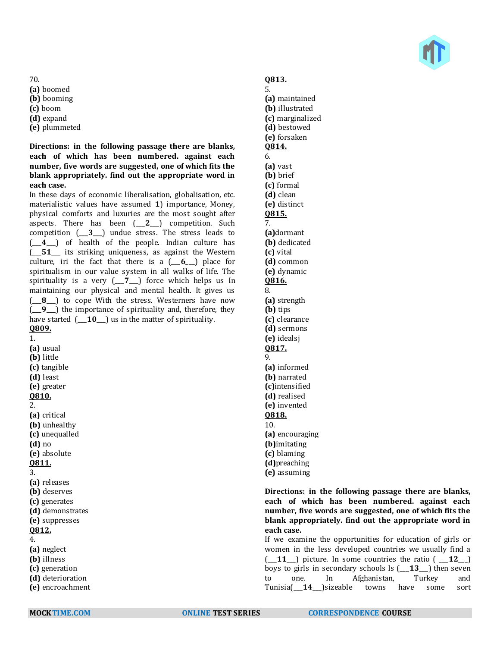

70.

- **(a)** boomed
- **(b)** booming
- **(c)** boom
- **(d)** expand
- **(e)** plummeted

## **Directions: in the following passage there are blanks, each of which has been numbered. against each number, five words are suggested, one of which fits the blank appropriately. find out the appropriate word in each case.**

In these days of economic liberalisation, globalisation, etc. materialistic values have assumed **1**) importance, Money, physical comforts and luxuries are the most sought after aspects. There has been (\_\_\_**2**\_\_\_) competition. Such competition (\_\_\_**3**\_\_\_) undue stress. The stress leads to (\_\_\_**4**\_\_\_) of health of the people. Indian culture has (\_\_\_**51**\_\_\_ its striking uniqueness, as against the Western culture, iri the fact that there is a (\_\_\_**6**\_\_\_) place for spiritualism in our value system in all walks of life. The spirituality is a very (\_\_\_**7**\_\_\_) force which helps us In maintaining our physical and mental health. It gives us (\_\_\_**8**\_\_\_) to cope With the stress. Westerners have now (\_\_\_**9**\_\_\_) the importance of spirituality and, therefore, they have started  $[-10]$  us in the matter of spirituality. **Q809.**

1. **(a)** usual **(b)** little **(c)** tangible **(d)** least **(e)** greater **Q810.** 2. **(a)** critical **(b)** unhealthy **(c)** unequalled **(d)** no **(e)** absolute **Q811.** 3. **(a)** releases **(b)** deserves **(c)** generates **(d)** demonstrates **(e)** suppresses **Q812.** 4. **(a)** neglect

- **(b)** illness
- **(c)** generation
- **(d)** deterioration
- **(e)** encroachment

# **Q813.**

5. **(a)** maintained **(b)** illustrated **(c)** marginalized **(d)** bestowed **(e)** forsaken **Q814.** 6. **(a)** vast **(b)** brief **(c)** formal **(d)** clean **(e)** distinct **Q815.** 7. **(a)**dormant **(b)** dedicated **(c)** vital **(d)** common **(e)** dynamic **Q816.** 8. **(a)** strength **(b)** tips **(c)** clearance **(d)** sermons **(e)** idealsj **Q817.** 9. **(a)** informed **(b)** narrated **(c)**intensified **(d)** realised **(e)** invented **Q818.** 10. **(a)** encouraging **(b)**imitating **(c)** blaming **(d)**preaching **(e)** assuming

**Directions: in the following passage there are blanks, each of which has been numbered. against each number, five words are suggested, one of which fits the blank appropriately. find out the appropriate word in each case.**

If we examine the opportunities for education of girls or women in the less developed countries we usually find a  $(-11)$  picture. In some countries the ratio  $(-12)$ boys to girls in secondary schools Is (\_\_\_**13**\_\_\_) then seven to one. In Afghanistan, Turkey and Tunisia(\_\_\_**14**\_\_\_)sizeable towns have some sort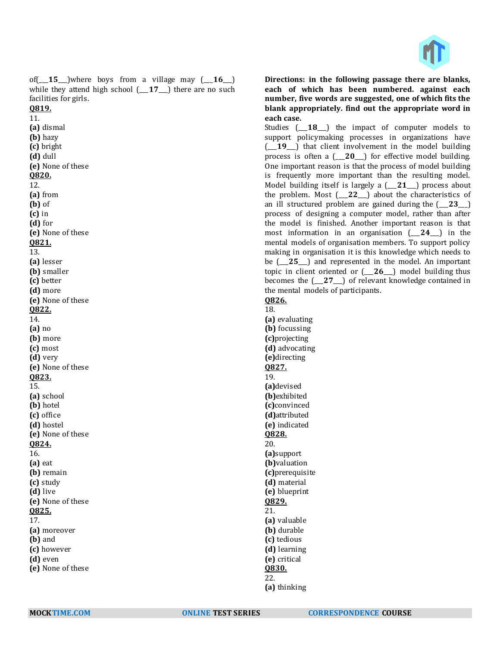

of( $\angle$ **15** $\angle$ )where boys from a village may ( $\angle$ **16** $\angle$ ) while they attend high school (\_\_\_**17**\_\_\_) there are no such facilities for girls.

**Q819.** 11. **(a)** dismal **(b)** hazy **(c)** bright **(d)** dull **(e)** None of these **Q820.** 12. **(a)** from **(b)** of **(c)** in **(d)** for **(e)** None of these **Q821.** 13. **(a)** lesser **(b)** smaller **(c)** better **(d)** more **(e)** None of these **Q822.** 14. **(a)** no **(b)** more **(c)** most **(d)** very **(e)** None of these **Q823.** 15. **(a)** school **(b)** hotel **(c)** office **(d)** hostel **(e)** None of these **Q824.** 16. **(a)** eat **(b)** remain **(c)** study **(d)** live **(e)** None of these **Q825.** 17. **(a)** moreover **(b)** and **(c)** however **(d)** even **(e)** None of these

**Directions: in the following passage there are blanks, each of which has been numbered. against each number, five words are suggested, one of which fits the blank appropriately. find out the appropriate word in each case.**

Studies (\_\_\_**18**\_\_\_) the impact of computer models to support policymaking processes in organizations have (\_\_\_**19**\_\_\_) that client involvement in the model building process is often a (\_\_\_**20**\_\_\_) for effective model building. One important reason is that the process of model building is frequently more important than the resulting model. Model building itself is largely a (\_\_\_**21**\_\_\_) process about the problem. Most (\_\_\_**22**\_\_\_) about the characteristics of an ill structured problem are gained during the  $(23)$ process of designing a computer model, rather than after the model is finished. Another important reason is that most information in an organisation (\_\_\_**24**\_\_\_) in the mental models of organisation members. To support policy making in organisation it is this knowledge which needs to be ( $25$ ) and represented in the model. An important topic in client oriented or (\_\_\_**26**\_\_\_) model building thus becomes the (\_\_\_**27**\_\_\_) of relevant knowledge contained in the mental models of participants.

**Q826.**

18. **(a)** evaluating **(b)** focussing **(c)**projecting **(d)** advocating **(e)**directing **Q827.** 19. **(a)**devised **(b)**exhibited **(c)**convinced **(d)**attributed **(e)** indicated **Q828.** 20. **(a)**support **(b)**valuation **(c)**prerequisite **(d)** material **(e)** blueprint **Q829.** 21. **(a)** valuable **(b)** durable **(c)** tedious **(d)** learning **(e)** critical **Q830.** 22.

**(a)** thinking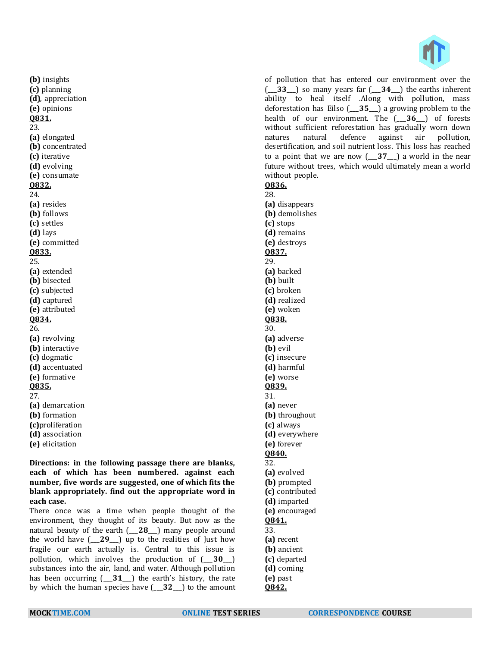

of pollution that has entered our environment over the (\_\_\_**33**\_\_\_) so many years far (\_\_\_**34**\_\_\_) the earths inherent ability to heal itself .Along with pollution, mass deforestation has Eilso (\_\_\_**35**\_\_\_) a growing problem to the health of our environment. The (\_\_\_**36**\_\_\_) of forests without sufficient reforestation has gradually worn down natures natural defence against air pollution, desertification, and soil nutrient loss. This loss has reached to a point that we are now (\_\_\_**37**\_\_\_) a world in the near future without trees, which would ultimately mean a world without people.

**Q836.** 28. **(a)** disappears **(b)** demolishes **(c)** stops **(d)** remains **(e)** destroys **Q837.** 29. **(a)** backed **(b)** built **(c)** broken **(d)** realized **(e)** woken **Q838.** 30. **(a)** adverse **(b)** evil **(c)** insecure **(d)** harmful **(e)** worse **Q839.** 31. **(a)** never **(b)** throughout **(c)** always **(d)** everywhere **(e)** forever **Q840.** 32. **(a)** evolved **(b)** prompted **(c)** contributed **(d)** imparted **(e)** encouraged **Q841.** 33. **(a)** recent **(b)** ancient **(c)** departed **(d)** coming

**(b)** insights **(c)** planning **(d)**, appreciation **(e)** opinions **Q831.** 23. **(a)** elongated **(b)** concentrated **(c)** iterative **(d)** evolving **(e)** consumate **Q832.** 24. **(a)** resides **(b)** follows **(c)** settles **(d)** lays **(e)** committed **Q833.** 25. **(a)** extended **(b)** bisected **(c)** subjected **(d)** captured **(e)** attributed **Q834.** 26. **(a)** revolving **(b)** interactive **(c)** dogmatic **(d)** accentuated **(e)** formative **Q835.** 27. **(a)** demarcation **(b)** formation **(c)**proliferation **(d)** association

**Directions: in the following passage there are blanks, each of which has been numbered. against each number, five words are suggested, one of which fits the blank appropriately. find out the appropriate word in each case.**

There once was a time when people thought of the environment, they thought of its beauty. But now as the natural beauty of the earth (\_\_\_**28**\_\_\_) many people around the world have (\_\_\_**29**\_\_\_) up to the realities of Just how fragile our earth actually is. Central to this issue is pollution, which involves the production of (\_\_\_**30**\_\_\_) substances into the air, land, and water. Although pollution has been occurring (\_\_\_**31**\_\_\_) the earth's history, the rate by which the human species have (\_\_\_**32**\_\_\_) to the amount

**(e)** elicitation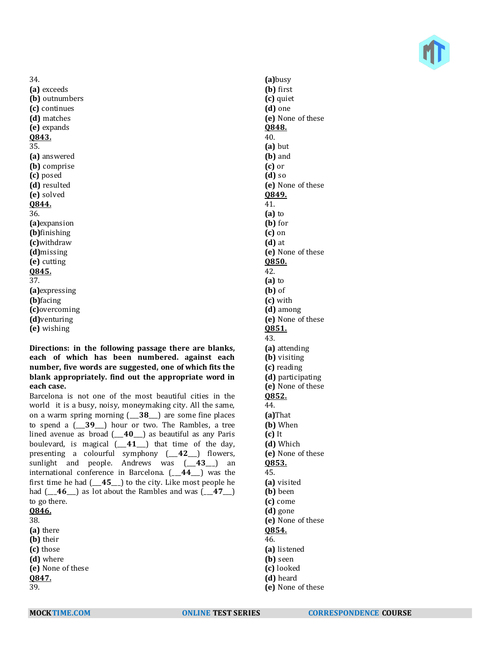

34. **(a)** exceeds **(b)** outnumbers **(c)** continues **(d)** matches **(e)** expands **Q843.** 35. **(a)** answered **(b)** comprise **(c)** posed **(d)** resulted **(e)** solved **Q844.** 36. **(a)**expansion **(b)**finishing **(c)**withdraw **(d)**missing **(e)** cutting **Q845.** 37. **(a)**expressing **(b)**facing **(c)**overcoming **(d)**venturing **(e)** wishing

**Directions: in the following passage there are blanks, each of which has been numbered. against each number, five words are suggested, one of which fits the blank appropriately. find out the appropriate word in each case.**

Barcelona is not one of the most beautiful cities in the world it is a busy, noisy, moneymaking city. All the same, on a warm spring morning (\_\_\_**38**\_\_\_) are some fine places to spend a (\_\_\_**39**\_\_\_) hour or two. The Rambles, a tree lined avenue as broad (\_\_\_**40**\_\_\_) as beautiful as any Paris boulevard, is magical (\_\_\_**41**\_\_\_) that time of the day, presenting a colourful symphony (\_\_\_**42**\_\_\_) flowers, sunlight and people. Andrews was (\_\_\_**43**\_\_\_) an international conference in Barcelona. (\_\_\_**44**\_\_\_) was the first time he had (\_\_\_**45**\_\_\_) to the city. Like most people he had (\_\_\_**46**\_\_\_) as lot about the Rambles and was (\_\_\_**47**\_\_\_) to go there. **Q846.** 38. **(a)** there **(b)** their **(c)** those **(d)** where

**(a)**busy **(b)** first **(c)** quiet **(d)** one **(e)** None of these **Q848.** 40. **(a)** but **(b)** and **(c)** or **(d)** so **(e)** None of these **Q849.** 41. **(a)** to **(b)** for **(c)** on **(d)** at **(e)** None of these **Q850.** 42. **(a)** to **(b)** of **(c)** with **(d)** among **(e)** None of these **Q851.** 43. **(a)** attending **(b)** visiting **(c)** reading **(d)** participating **(e)** None of these **Q852.** 44. **(a)**That **(b)** When **(c)** It **(d)** Which **(e)** None of these **Q853.** 45. **(a)** visited **(b)** been **(c)** come **(d)** gone **(e)** None of these

**Q854.** 46.

- **(a)** listened
- **(b)** seen
- **(c)** looked
- **(d)** heard
- **(e)** None of these

**Q847.** 39.

**(e)** None of these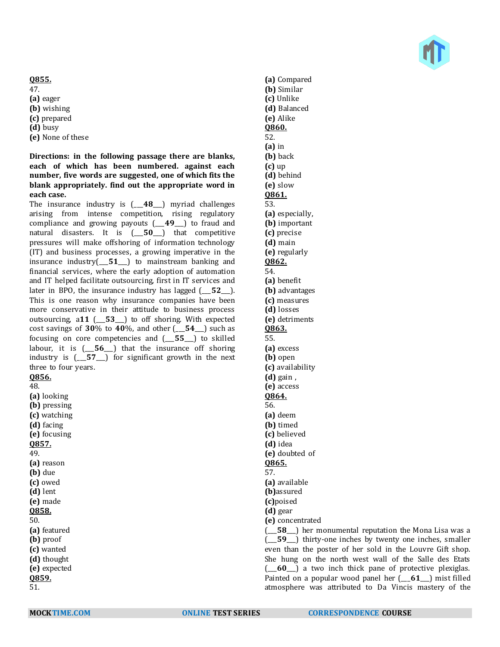#### **Q855.**

47. **(a)** eager **(b)** wishing **(c)** prepared **(d)** busy

**(e)** None of these

**Directions: in the following passage there are blanks, each of which has been numbered. against each number, five words are suggested, one of which fits the blank appropriately. find out the appropriate word in each case.**

The insurance industry is (\_\_\_**48**\_\_\_) myriad challenges arising from intense competition, rising regulatory compliance and growing payouts (\_\_\_**49**\_\_\_) to fraud and natural disasters. It is (\_\_\_**50**\_\_\_) that competitive pressures will make offshoring of information technology (IT) and business processes, a growing imperative in the insurance industry(\_\_\_**51**\_\_\_) to mainstream banking and financial services, where the early adoption of automation and IT helped facilitate outsourcing, first in IT services and later in BPO, the insurance industry has lagged ( $\overline{52}$ ). This is one reason why insurance companies have been more conservative in their attitude to business process outsourcing, a**11** (\_\_\_**53**\_\_\_) to off shoring. With expected cost savings of **30**% to **40**%, and other (\_\_\_**54**\_\_\_) such as focusing on core competencies and (\_\_\_**55**\_\_\_) to skilled labour, it is (\_\_\_**56**\_\_\_) that the insurance off shoring industry is (\_\_\_**57**\_\_\_) for significant growth in the next three to four years. **Q856.**

48.

**(a)** looking **(b)** pressing **(c)** watching **(d)** facing **(e)** focusing **Q857.** 49. **(a)** reason **(b)** due **(c)** owed **(d)** lent **(e)** made **Q858.** 50. **(a)** featured **(b)** proof **(c)** wanted **(d)** thought **(e)** expected **Q859.** 51.

**(a)** Compared **(b)** Similar **(c)** Unlike **(d)** Balanced **(e)** Alike **Q860.** 52. **(a)** in **(b)** back **(c)** up **(d)** behind **(e)** slow **Q861.** 53. **(a)** especially, **(b)** important **(c)** precise **(d)** main **(e)** regularly **Q862.** 54. **(a)** benefit **(b)** advantages **(c)** measures **(d)** losses **(e)** detriments **Q863.** 55. **(a)** excess **(b)** open **(c)** availability **(d)** gain , **(e)** access **Q864.** 56. **(a)** deem **(b)** timed **(c)** believed **(d)** idea **(e)** doubted of **Q865.** 57. **(a)** available **(b)**assured **(c)**poised **(d)** gear **(e)** concentrated (\_\_\_**58**\_\_\_) her monumental reputation the Mona Lisa was a (\_\_\_**59**\_\_\_) thirty-one inches by twenty one inches, smaller even than the poster of her sold in the Louvre Gift shop. She hung on the north west wall of the Salle des Etats (\_\_\_**60**\_\_\_) a two inch thick pane of protective plexiglas. Painted on a popular wood panel her (\_\_\_**61**\_\_\_) mist filled

atmosphere was attributed to Da Vincis mastery of the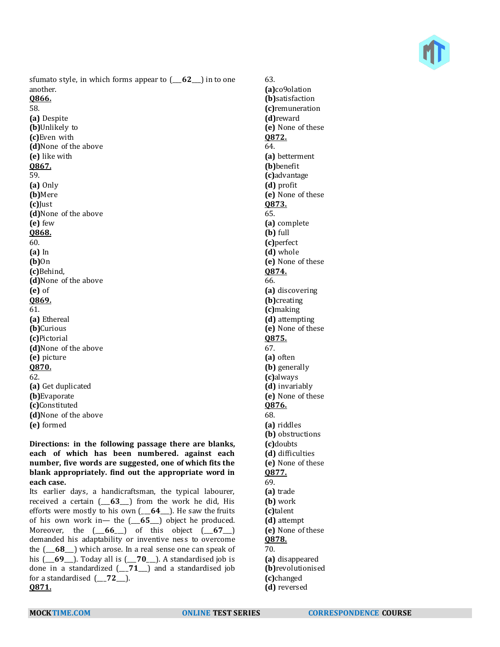

sfumato style, in which forms appear to (\_\_\_**62**\_\_\_) in to one another.

**Q866.** 58. **(a)** Despite **(b)**Unlikely to **(c)**Even with **(d)**None of the above **(e)** like with **Q867.** 59. **(a)** Only **(b)**Mere **(c)**Just **(d)**None of the above **(e)** few **Q868.** 60. **(a)** In **(b)**On **(c)**Behind, **(d)**None of the above **(e)** of **Q869.** 61. **(a)** Ethereal **(b)**Curious **(c)**Pictorial **(d)**None of the above **(e)** picture **Q870.** 62. **(a)** Get duplicated **(b)**Evaporate **(c)**Constituted **(d)**None of the above **(e)** formed

**Directions: in the following passage there are blanks, each of which has been numbered. against each number, five words are suggested, one of which fits the blank appropriately. find out the appropriate word in each case.**

Its earlier days, a handicraftsman, the typical labourer, received a certain (\_\_\_**63**\_\_\_) from the work he did, His efforts were mostly to his own (\_\_\_**64**\_\_\_). He saw the fruits of his own work in— the (\_\_\_**65**\_\_\_) object he produced. Moreover, the  $(-66)$  of this object  $(-67)$ demanded his adaptability or inventive ness to overcome the (\_\_\_**68**\_\_\_) which arose. In a real sense one can speak of his (\_\_\_**69**\_\_\_). Today all is (\_\_\_**70**\_\_\_). A standardised job is done in a standardized (\_\_\_**71**\_\_\_) and a standardised job for a standardised (\_\_\_**72**\_\_\_). **Q871.**

63. **(a)**co9olation **(b)**satisfaction **(c)**remuneration **(d)**reward **(e)** None of these **Q872.** 64. **(a)** betterment **(b)**benefit **(c)**advantage **(d)** profit **(e)** None of these **Q873.** 65. **(a)** complete **(b)** full **(c)**perfect **(d)** whole **(e)** None of these **Q874.** 66. **(a)** discovering **(b)**creating **(c)**making **(d)** attempting **(e)** None of these **Q875.** 67. **(a)** often **(b)** generally **(c)**always **(d)** invariably **(e)** None of these **Q876.** 68. **(a)** riddles **(b)** obstructions **(c)**doubts **(d)** difficulties **(e)** None of these **Q877.** 69. **(a)** trade **(b)** work **(c)**talent **(d)** attempt **(e)** None of these **Q878.** 70. **(a)** disappeared **(b)**revolutionised **(c)**changed **(d)** reversed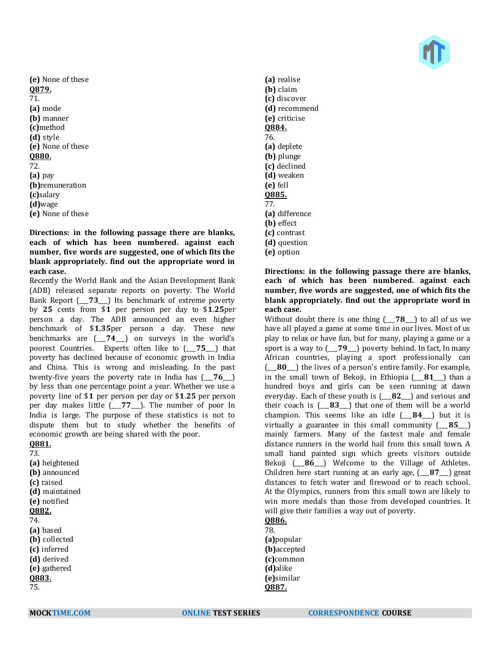

**(e)** None of these **Q879.** 71. **(a)** mode **(b)** manner **(c)**method **(d)** style **(e)** None of these **Q880.** 72. **(a)** pay **(b)**remuneration **(c)**salary **(d)**wage **(e)** None of these

**Directions: in the following passage there are blanks, each of which has been numbered. against each number, five words are suggested, one of which fits the blank appropriately. find out the appropriate word in each case.**

Recently the World Bank and the Asian Development Bank (ADB) released separate reports on poverty. The World Bank Report ( $\overline{73}$ ) Its benchmark of extreme poverty by **25** cents from \$**1** per person per day to \$**1**.**25**per person a day. The ADB announced an even higher benchmark of \$**1**,**35**per person a day. These new benchmarks are (\_\_\_**74**\_\_\_) on surveys in the world's poorest Countries. Experts often like to (\_\_\_**75**\_\_\_) that poverty has declined because of economic growth in India and China. This is wrong and misleading. In the past twenty-five years the poverty rate in India has (\_\_\_**76**\_\_\_) by less than one percentage point a year. Whether we use a poverty line of \$**1** per person per day or \$**1**.**25** per person per day makes little (\_\_\_**77**\_\_\_). The number of poor In India is large. The purpose of these statistics is not to dispute them but to study whether the benefits of economic growth are being shared with the poor.

**Q881.** 73.

**(a)** heightened **(b)** announced **(c)** raised **(d)** maintained **(e)** notified **Q882.** 74. **(a)** based **(b)** collected **(c)** inferred **(d)** derived **(e)** gathered **Q883.**

- **(a)** realise **(b)** claim **(c)** discover **(d)** recommend **(e)** criticise **Q884.** 76. **(a)** deplete **(b)** plunge **(c)** declined **(d)** weaken **(e)** fell **Q885.** 77. **(a)** difference **(b)** effect **(c)** contrast **(d)** question
- **(e)** option

## **Directions: in the following passage there are blanks, each of which has been numbered. against each number, five words are suggested, one of which fits the blank appropriately. find out the appropriate word in each case.**

Without doubt there is one thing (\_\_\_**78**\_\_\_) to all of us we have all played a game at some time in our lives. Most of us play to relax or have fun, but for many, playing a game or a sport is a way to (\_\_\_**79**\_\_\_) poverty behind. In fact, In many African countries, playing a sport professionally can (\_\_\_**80**\_\_\_) the lives of a person's entire family. For example, in the small town of Bekoji, in Ethiopia (\_\_\_**81**\_\_\_) than a hundred boys and girls can be seen running at dawn everyday. Each of these youth is (\_\_\_**82**\_\_\_) and serious and their coach is (\_\_\_**83**\_\_\_) that one of them will be a world champion. This seems like an idle (\_\_\_**84**\_\_\_) but it is virtually a guarantee in this small community (\_\_\_**85**\_\_\_) mainly farmers. Many of the fastest male and female distance runners in the world hail from this small town. A small hand painted sign which greets visitors outside Bekoji (\_\_\_**86**\_\_\_) Welcome to the Village of Athletes. Children here start running at an early age, (\_\_\_**87**\_\_\_) great distances to fetch water and firewood or to reach school. At the Olympics, runners from this small town are likely to win more medals than those from developed countries. It will give their families a way out of poverty.

**Q886.** 78.

**(a)**popular **(b)**accepted **(c)**common **(d)**alike **(e)**similar **Q887.**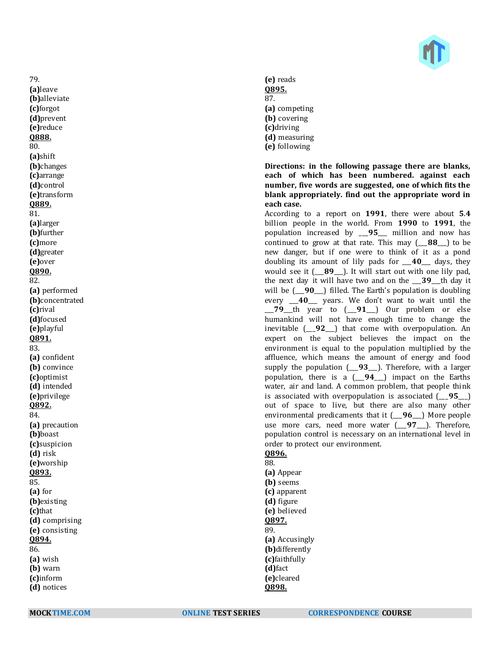

**(e)** reads **Q895.** 87. **(a)** competing **(b)** covering **(c)**driving **(d)** measuring **(e)** following

**Directions: in the following passage there are blanks, each of which has been numbered. against each number, five words are suggested, one of which fits the blank appropriately. find out the appropriate word in each case.**

According to a report on **1991**, there were about **5**.**4** billion people in the world. From **1990** to **1991**, the population increased by \_\_\_**95**\_\_\_ million and now has continued to grow at that rate. This may (\_\_\_**88**\_\_\_) to be new danger, but if one were to think of it as a pond doubling its amount of lily pads for \_\_\_**40**\_\_\_ days, they would see it (\_\_\_**89**\_\_\_). It will start out with one lily pad, the next day it will have two and on the \_\_\_**39**\_\_\_th day it will be (\_\_\_**90**\_\_\_) filled. The Earth's population is doubling every \_\_\_**40**\_\_\_ years. We don't want to wait until the \_\_\_**79**\_\_\_th year to (\_\_\_**91**\_\_\_) Our problem or else humankind will not have enough time to change the inevitable (\_\_\_**92**\_\_\_) that come with overpopulation. An expert on the subject believes the impact on the environment is equal to the population multiplied by the affluence, which means the amount of energy and food supply the population (\_\_\_**93**\_\_\_). Therefore, with a larger population, there is a (\_\_\_**94**\_\_\_) impact on the Earths water, air and land. A common problem, that people think is associated with overpopulation is associated (\_\_\_**95**\_\_\_) out of space to live, but there are also many other environmental predicaments that it (\_\_\_**96**\_\_\_) More people use more cars, need more water (\_\_\_**97**\_\_\_). Therefore, population control is necessary on an international level in order to protect our environment.

**Q896.**

88. **(a)** Appear **(b)** seems **(c)** apparent **(d)** figure **(e)** believed **Q897.** 89. **(a)** Accusingly **(b)**differently **(c)**faithfully **(d)**fact **(e)**cleared **Q898.**

**(b)**alleviate **(c)**forgot **(d)**prevent **(e)**reduce **Q888.** 80. **(a)**shift **(b)**changes **(c)**arrange **(d)**control **(e)**transform **Q889.** 81. **(a)**larger **(b)**further **(c)**more **(d)**greater **(e)**over **Q890.** 82. **(a)** performed **(b)**concentrated **(c)**rival **(d)**focused **(e)**playful **Q891.** 83. **(a)** confident **(b)** convince **(c)**optimist **(d)** intended **(e)**privilege **Q892.** 84. **(a)** precaution **(b)**boast **(c)**suspicion **(d)** risk **(e)**worship **Q893.** 85. **(a)** for **(b)**existing **(c)**that **(d)** comprising **(e)** consisting **Q894.** 86. **(a)** wish **(b)** warn **(c)**inform **(d)** notices

79. **(a)**leave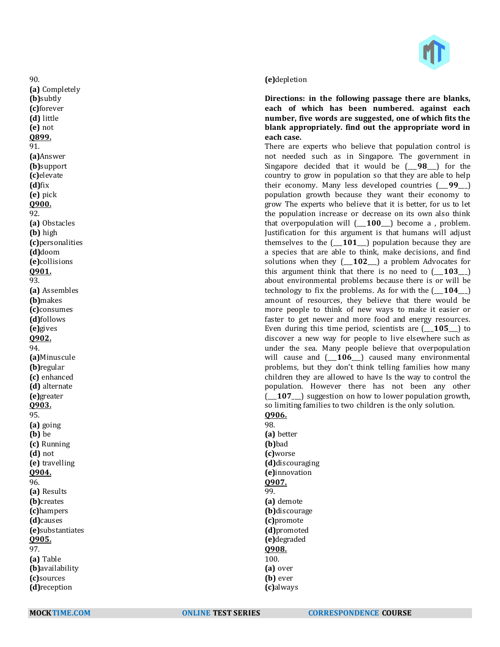

#### **(e)**depletion

**Directions: in the following passage there are blanks, each of which has been numbered. against each number, five words are suggested, one of which fits the blank appropriately. find out the appropriate word in each case.**

There are experts who believe that population control is not needed such as in Singapore. The government in Singapore decided that it would be ( $\overline{98}$ ) for the country to grow in population so that they are able to help their economy. Many less developed countries (\_\_\_**99**\_\_\_) population growth because they want their economy to grow The experts who believe that it is better, for us to let the population increase or decrease on its own also think that overpopulation will (\_\_\_**100**\_\_\_) become a , problem. Justification for this argument is that humans will adjust themselves to the (\_\_\_**101**\_\_\_) population because they are a species that are able to think, make decisions, and find solutions when they  $($  **102**  $)$  a problem Advocates for this argument think that there is no need to  $($  **103**  $)$ about environmental problems because there is or will be technology to fix the problems. As for with the  $($ **104** $)$ amount of resources, they believe that there would be more people to think of new ways to make it easier or faster to get newer and more food and energy resources. Even during this time period, scientists are (\_\_\_**105**\_\_\_) to discover a new way for people to live elsewhere such as under the sea. Many people believe that overpopulation will cause and (\_\_\_**106**\_\_\_) caused many environmental problems, but they don't think telling families how many children they are allowed to have Is the way to control the population. However there has not been any other (\_\_\_**107**\_\_\_) suggestion on how to lower population growth, so limiting families to two children is the only solution. **Q906.**

98. **(a)** better **(b)**bad **(c)**worse **(d)**discouraging **(e)**innovation **Q907.** 99. **(a)** demote **(b)**discourage **(c)**promote **(d)**promoted **(e)**degraded **Q908.** 100. **(a)** over **(b)** ever **(c)**always

90. **(a)** Completely **(b)**subtly **(c)**forever **(d)** little **(e)** not **Q899.** 91. **(a)**Answer **(b)**support **(c)**elevate **(d)**fix **(e)** pick **Q900.** 92. **(a)** Obstacles **(b)** high **(c)**personalities **(d)**doom **(e)**collisions **Q901.** 93. **(a)** Assembles **(b)**makes **(c)**consumes **(d)**follows **(e)**gives **Q902.** 94. **(a)**Minuscule **(b)**regular **(c)** enhanced **(d)** alternate **(e)**greater **Q903.** 95. **(a)** going **(b)** be **(c)** Running **(d)** not **(e)** travelling **Q904.** 96. **(a)** Results **(b)**creates **(c)**hampers **(d)**causes **(e)**substantiates **Q905.** 97. **(a)** Table **(b)**availability **(c)**sources **(d)**reception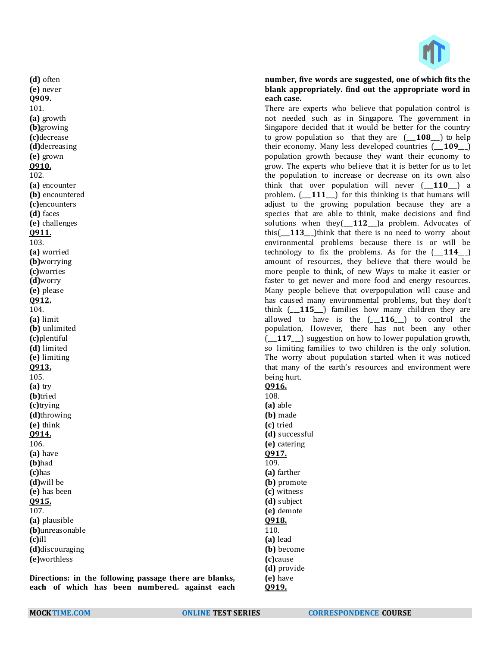

#### **number, five words are suggested, one of which fits the blank appropriately. find out the appropriate word in each case.**

There are experts who believe that population control is not needed such as in Singapore. The government in Singapore decided that it would be better for the country to grow population so that they are (\_\_\_**108**\_\_\_) to help their economy. Many less developed countries (\_\_\_**109**\_\_\_) population growth because they want their economy to grow. The experts who believe that it is better for us to let the population to increase or decrease on its own also think that over population will never (\_\_\_**110**\_\_\_) a problem. (\_\_\_**111**\_\_\_) for this thinking is that humans will adjust to the growing population because they are a species that are able to think, make decisions and find solutions when they(\_\_\_**112**\_\_\_)a problem. Advocates of this [113<sup>]</sup> think that there is no need to worry about environmental problems because there is or will be technology to fix the problems. As for the  $(-114$ —) amount of resources, they believe that there would be more people to think, of new Ways to make it easier or faster to get newer and more food and energy resources. Many people believe that overpopulation will cause and has caused many environmental problems, but they don't think (\_\_\_**115**\_\_\_) families how many children they are allowed to have is the (\_\_\_**116**\_\_\_) to control the population, However, there has not been any other (\_\_\_**117**\_\_\_) suggestion on how to lower population growth, so limiting families to two children is the only solution. The worry about population started when it was noticed that many of the earth's resources and environment were being hurt. **Q916.** 108. **(a)** able **(b)** made **(c)** tried **(d)** successful **(e)** catering **Q917.** 109. **(a)** farther **(b)** promote **(c)** witness **(d)** subject **(e)** demote **Q918.**

110. **(a)** lead **(b)** become **(c)**cause **(d)** provide **(e)** have **Q919.**

**Directions: in the following passage there are blanks, each of which has been numbered. against each** 

**(a)** plausible **(b)**unreasonable

**(d)**discouraging **(e)**worthless

**(c)**ill

**(d)** often **(e)** never **Q909.** 101. **(a)** growth **(b)**growing **(c)**decrease **(d)**decreasing **(e)** grown **Q910.** 102.

**(a)** encounter **(b)** encountered **(c)**encounters **(d)** faces **(e)** challenges **Q911.** 103. **(a)** worried **(b)**worrying **(c)**worries **(d)**worry **(e)** please **Q912.** 104. **(a)** limit **(b)** unlimited **(c)**plentiful **(d)** limited **(e)** limiting **Q913.** 105. **(a)** try **(b)**tried **(c)**trying **(d)**throwing **(e)** think **Q914.** 106. **(a)** have **(b)**had **(c)**has **(d)**will be **(e)** has been **Q915.** 107.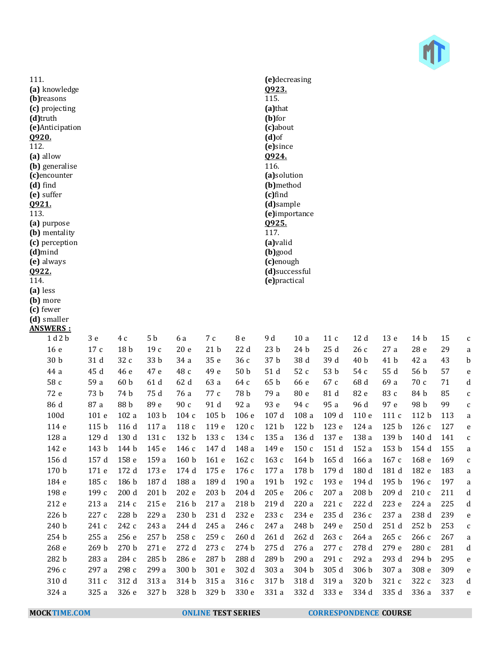

111. **(a)** knowledge **(b)**reasons **(c)** projecting **(d)**truth **(e)**Anticipation **Q920.** 112. **(a)** allow **(b)** generalise **(c)**encounter **(d)** find **(e)** suffer **Q921.** 113. **(a)** purpose **(b)** mentality **(c)** perception **(d)**mind **(e)** always **Q922.** 114. **(a)** less **(b)** more **(c)** fewer **(d)** smaller **ANSWERS :**

| .                |                  |                  |                  |                  |                  |                  |                 |                  |       |                  |                  |                  |     |              |
|------------------|------------------|------------------|------------------|------------------|------------------|------------------|-----------------|------------------|-------|------------------|------------------|------------------|-----|--------------|
| 1d2b             | $3e$             | 4 c              | 5 b              | 6 a              | 7 c              | 8 e              | 9 d             | 10a              | 11c   | 12d              | 13 <sub>e</sub>  | 14 b             | 15  | $\mathsf{C}$ |
| 16 <sub>e</sub>  | 17c              | 18 <sub>b</sub>  | 19c              | 20e              | 21 <sub>b</sub>  | 22d              | 23 <sub>b</sub> | 24 b             | 25d   | 26c              | 27a              | 28 e             | 29  | a            |
| 30 <sub>b</sub>  | 31 d             | 32 c             | 33 b             | 34 a             | 35 e             | 36c              | 37 b            | 38 d             | 39 d  | 40 <sub>b</sub>  | 41 b             | 42 a             | 43  | b            |
| 44 a             | 45 d             | 46 e             | 47 e             | 48 с             | 49 e             | 50 <sub>b</sub>  | 51 d            | 52 c             | 53 b  | 54 c             | 55 d             | 56 b             | 57  | e            |
| 58 c             | 59 a             | 60 <sub>b</sub>  | 61d              | 62 d             | 63 a             | 64 c             | 65 <sub>b</sub> | 66 e             | 67 c  | 68 d             | 69 a             | 70c              | 71  | d            |
| 72 e             | 73 b             | 74 b             | 75 d             | 76 a             | 77 с             | 78 b             | 79 a            | 80 e             | 81 d  | 82 e             | 83 c             | 84 b             | 85  | $\mathsf{C}$ |
| 86 d             | 87 a             | 88 b             | 89 e             | 90 c             | 91 d             | 92 a             | 93 e            | 94 c             | 95 a  | 96 d             | 97 e             | 98 b             | 99  | $\mathsf{C}$ |
| 100d             | 101 e            | 102a             | 103 <sub>b</sub> | 104c             | 105 <sub>b</sub> | 106e             | 107d            | 108a             | 109d  | 110e             | 111c             | 112 <sub>b</sub> | 113 | a            |
| 114 e            | 115 <sub>b</sub> | 116 d            | 117a             | 118 c            | 119 e            | 120c             | 121 b           | 122 <sub>b</sub> | 123 e | 124a             | 125 <sub>b</sub> | 126c             | 127 | e            |
| 128 a            | 129 d            | 130 d            | 131 c            | 132 b            | 133 с            | 134c             | 135 a           | 136 d            | 137 e | 138 a            | 139 b            | 140 d            | 141 | $\mathsf{C}$ |
| 142 e            | 143 b            | 144 b            | 145 e            | 146 с            | 147 d            | 148 a            | 149 e           | 150c             | 151 d | 152 a            | 153 <sub>b</sub> | 154 d            | 155 | a            |
| 156 d            | 157 d            | 158 e            | 159 a            | 160 <sub>b</sub> | 161e             | 162c             | 163c            | 164 <sub>b</sub> | 165d  | 166a             | 167c             | 168 <sub>e</sub> | 169 | $\mathsf{C}$ |
| 170 <sub>b</sub> | 171 e            | 172 d            | 173 e            | 174 d            | 175 e            | 176c             | 177 a           | 178 b            | 179 d | 180 d            | 181 d            | 182 e            | 183 | a            |
| 184 e            | 185 c            | 186 <sub>b</sub> | 187d             | 188 a            | 189 d            | 190a             | 191 b           | 192 с            | 193 e | 194 d            | 195 <sub>b</sub> | 196c             | 197 | a            |
| 198 e            | 199 с            | 200d             | 201 <sub>b</sub> | 202 e            | 203 <sub>b</sub> | 204d             | 205e            | 206c             | 207 a | 208 <sub>b</sub> | 209 d            | 210c             | 211 | d            |
| 212 e            | 213 a            | 214c             | 215 e            | 216 b            | 217a             | 218 <sub>b</sub> | 219 d           | 220 a            | 221 c | 222 d            | 223 e            | 224a             | 225 | $\mathbf d$  |
| 226 b            | 227 с            | 228 b            | 229 a            | 230 <sub>b</sub> | 231 d            | 232 e            | 233 с           | 234 e            | 235 d | 236 с            | 237 a            | 238 d            | 239 | e            |
| 240 b            | 241 c            | 242 c            | 243 a            | 244 d            | 245 a            | 246 с            | 247 a           | 248 b            | 249 e | 250d             | 251 d            | 252 <sub>b</sub> | 253 | $\mathsf{C}$ |
| 254 b            | 255a             | 256 e            | 257 b            | 258 с            | 259 с            | 260d             | 261 d           | 262 d            | 263 с | 264 a            | 265c             | 266c             | 267 | a            |
| 268 e            | 269 b            | 270 <sub>b</sub> | 271 e            | 272 d            | 273c             | 274 b            | 275 d           | 276 a            | 277 c | 278 d            | 279 e            | 280c             | 281 | d            |
| 282 b            | 283 a            | 284 c            | 285 b            | 286 e            | 287 b            | 288 d            | 289 b           | 290 a            | 291c  | 292 a            | 293 d            | 294 b            | 295 | e            |
| 296 с            | 297 a            | 298 с            | 299 a            | 300 <sub>b</sub> | 301 e            | 302 d            | 303 a           | 304 b            | 305 d | 306 b            | 307 a            | 308 e            | 309 | e            |
| 310 d            | 311 c            | 312 d            | 313 a            | 314 b            | 315 a            | 316c             | 317 b           | 318 d            | 319 a | 320 b            | 321 c            | 322 c            | 323 | d            |
| 324 a            | 325 a            | 326 e            | 327 b            | 328 b            | 329 b            | 330 e            | 331 a           | 332 d            | 333 e | 334 d            | 335 d            | 336 a            | 337 | e            |
|                  |                  |                  |                  |                  |                  |                  |                 |                  |       |                  |                  |                  |     |              |

**(e)**decreasing **Q923.** 115. **(a)**that **(b)**for **(c)**about **(d)**of **(e)**since **Q924.** 116. **(a)**solution **(b)**method **(c)**find **(d)**sample **(e)**importance **Q925.** 117. **(a)**valid **(b)**good **(c)**enough **(d)**successful **(e)**practical